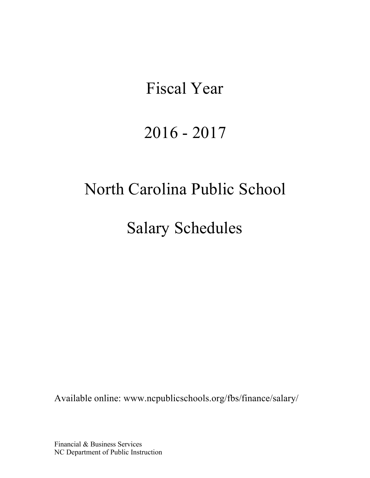# Fiscal Year

# 2016 - 2017

# North Carolina Public School

Salary Schedules

Available online: [www.ncpublicschools.org/fbs/finance/salary/](http://www.ncpublicschools.org/fbs/finance/salary/)

Financial & Business Services NC Department of Public Instruction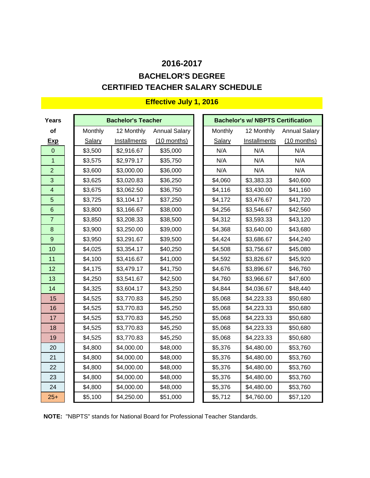# **CERTIFIED TEACHER SALARY SCHEDULE 2016-2017 BACHELOR'S DEGREE**

| Years                   |         | <b>Bachelor's Teacher</b> |                      |                | <b>Bachelor's w/ NBPTS Certification</b> |                      |
|-------------------------|---------|---------------------------|----------------------|----------------|------------------------------------------|----------------------|
| of                      | Monthly | 12 Monthly                | <b>Annual Salary</b> | <b>Monthly</b> | 12 Monthly                               | <b>Annual Salary</b> |
| <b>Exp</b>              | Salary  | Installments              | $(10$ months)        | Salary         | Installments                             | $(10$ months)        |
| $\overline{0}$          | \$3,500 | \$2,916.67                | \$35,000             | N/A            | N/A                                      | N/A                  |
| 1                       | \$3,575 | \$2,979.17                | \$35,750             | N/A            | N/A                                      | N/A                  |
| $\overline{2}$          | \$3,600 | \$3,000.00                | \$36,000             | N/A            | N/A                                      | N/A                  |
| 3                       | \$3,625 | \$3,020.83                | \$36,250             | \$4,060        | \$3,383.33                               | \$40,600             |
| $\overline{\mathbf{4}}$ | \$3,675 | \$3,062.50                | \$36,750             | \$4,116        | \$3,430.00                               | \$41,160             |
| 5                       | \$3,725 | \$3,104.17                | \$37,250             | \$4,172        | \$3,476.67                               | \$41,720             |
| $6\phantom{1}$          | \$3,800 | \$3,166.67                | \$38,000             | \$4,256        | \$3,546.67                               | \$42,560             |
| $\overline{7}$          | \$3,850 | \$3,208.33                | \$38,500             | \$4,312        | \$3,593.33                               | \$43,120             |
| $\bf 8$                 | \$3,900 | \$3,250.00                | \$39,000             | \$4,368        | \$3,640.00                               | \$43,680             |
| 9                       | \$3,950 | \$3,291.67                | \$39,500             | \$4,424        | \$3,686.67                               | \$44,240             |
| 10                      | \$4,025 | \$3,354.17                | \$40,250             | \$4,508        | \$3,756.67                               | \$45,080             |
| 11                      | \$4,100 | \$3,416.67                | \$41,000             | \$4,592        | \$3,826.67                               | \$45,920             |
| 12                      | \$4,175 | \$3,479.17                | \$41,750             | \$4,676        | \$3,896.67                               | \$46,760             |
| 13                      | \$4,250 | \$3,541.67                | \$42,500             | \$4,760        | \$3,966.67                               | \$47,600             |
| 14                      | \$4,325 | \$3,604.17                | \$43,250             | \$4,844        | \$4,036.67                               | \$48,440             |
| 15                      | \$4,525 | \$3,770.83                | \$45,250             | \$5,068        | \$4,223.33                               | \$50,680             |
| 16                      | \$4,525 | \$3,770.83                | \$45,250             | \$5,068        | \$4,223.33                               | \$50,680             |
| 17                      | \$4,525 | \$3,770.83                | \$45,250             | \$5,068        | \$4,223.33                               | \$50,680             |
| 18                      | \$4,525 | \$3,770.83                | \$45,250             | \$5,068        | \$4,223.33                               | \$50,680             |
| 19                      | \$4,525 | \$3,770.83                | \$45,250             | \$5,068        | \$4,223.33                               | \$50,680             |
| 20                      | \$4,800 | \$4,000.00                | \$48,000             | \$5,376        | \$4,480.00                               | \$53,760             |
| 21                      | \$4,800 | \$4,000.00                | \$48,000             | \$5,376        | \$4,480.00                               | \$53,760             |
| 22                      | \$4,800 | \$4,000.00                | \$48,000             | \$5,376        | \$4,480.00                               | \$53,760             |
| 23                      | \$4,800 | \$4,000.00                | \$48,000             | \$5,376        | \$4,480.00                               | \$53,760             |
| 24                      | \$4,800 | \$4,000.00                | \$48,000             | \$5,376        | \$4,480.00                               | \$53,760             |
| $25+$                   | \$5,100 | \$4,250.00                | \$51,000             | \$5,712        | \$4,760.00                               | \$57,120             |

**NOTE:** "NBPTS" stands for National Board for Professional Teacher Standards.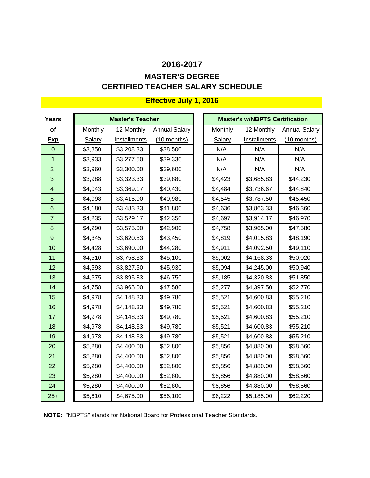# **CERTIFIED TEACHER SALARY SCHEDULE 2016-2017 MASTER'S DEGREE**

| Years                   |         | <b>Master's Teacher</b> |                      |         | <b>Master's w/NBPTS Certification</b> |                      |
|-------------------------|---------|-------------------------|----------------------|---------|---------------------------------------|----------------------|
| of                      | Monthly | 12 Monthly              | <b>Annual Salary</b> | Monthly | 12 Monthly                            | <b>Annual Salary</b> |
| <b>Exp</b>              | Salary  | Installments            | $(10$ months)        | Salary  | Installments                          | $(10$ months)        |
| $\mathbf 0$             | \$3,850 | \$3,208.33              | \$38,500             | N/A     | N/A                                   | N/A                  |
| $\mathbf{1}$            | \$3,933 | \$3,277.50              | \$39,330             | N/A     | N/A                                   | N/A                  |
| $\overline{2}$          | \$3,960 | \$3,300.00              | \$39,600             | N/A     | N/A                                   | N/A                  |
| 3                       | \$3,988 | \$3,323.33              | \$39,880             | \$4,423 | \$3,685.83                            | \$44,230             |
| $\overline{\mathbf{4}}$ | \$4,043 | \$3,369.17              | \$40,430             | \$4,484 | \$3,736.67                            | \$44,840             |
| 5                       | \$4,098 | \$3,415.00              | \$40,980             | \$4,545 | \$3,787.50                            | \$45,450             |
| 6                       | \$4,180 | \$3,483.33              | \$41,800             | \$4,636 | \$3,863.33                            | \$46,360             |
| $\overline{7}$          | \$4,235 | \$3,529.17              | \$42,350             | \$4,697 | \$3,914.17                            | \$46,970             |
| $\bf 8$                 | \$4,290 | \$3,575.00              | \$42,900             | \$4,758 | \$3,965.00                            | \$47,580             |
| $\overline{9}$          | \$4,345 | \$3,620.83              | \$43,450             | \$4,819 | \$4,015.83                            | \$48,190             |
| 10                      | \$4,428 | \$3,690.00              | \$44,280             | \$4,911 | \$4,092.50                            | \$49,110             |
| 11                      | \$4,510 | \$3,758.33              | \$45,100             | \$5,002 | \$4,168.33                            | \$50,020             |
| 12                      | \$4,593 | \$3,827.50              | \$45,930             | \$5,094 | \$4,245.00                            | \$50,940             |
| 13                      | \$4,675 | \$3,895.83              | \$46,750             | \$5,185 | \$4,320.83                            | \$51,850             |
| 14                      | \$4,758 | \$3,965.00              | \$47,580             | \$5,277 | \$4,397.50                            | \$52,770             |
| 15                      | \$4,978 | \$4,148.33              | \$49,780             | \$5,521 | \$4,600.83                            | \$55,210             |
| 16                      | \$4,978 | \$4,148.33              | \$49,780             | \$5,521 | \$4,600.83                            | \$55,210             |
| 17                      | \$4,978 | \$4,148.33              | \$49,780             | \$5,521 | \$4,600.83                            | \$55,210             |
| 18                      | \$4,978 | \$4,148.33              | \$49,780             | \$5,521 | \$4,600.83                            | \$55,210             |
| 19                      | \$4,978 | \$4,148.33              | \$49,780             | \$5,521 | \$4,600.83                            | \$55,210             |
| 20                      | \$5,280 | \$4,400.00              | \$52,800             | \$5,856 | \$4,880.00                            | \$58,560             |
| 21                      | \$5,280 | \$4,400.00              | \$52,800             | \$5,856 | \$4,880.00                            | \$58,560             |
| 22                      | \$5,280 | \$4,400.00              | \$52,800             | \$5,856 | \$4,880.00                            | \$58,560             |
| 23                      | \$5,280 | \$4,400.00              | \$52,800             | \$5,856 | \$4,880.00                            | \$58,560             |
| 24                      | \$5,280 | \$4,400.00              | \$52,800             | \$5,856 | \$4,880.00                            | \$58,560             |
| $25+$                   | \$5,610 | \$4,675.00              | \$56,100             | \$6,222 | \$5,185.00                            | \$62,220             |

**NOTE:** "NBPTS" stands for National Board for Professional Teacher Standards.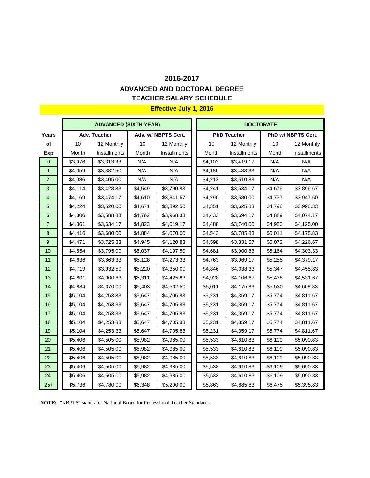### **TEACHER SALARY SCHEDULE ADVANCED AND DOCTORAL DEGREE**

### **Effective July 1, 2016**

|                  |              | <b>ADVANCED (SIXTH YEAR)</b> |         |                     | <b>DOCTORATE</b> |                    |         |                    |  |  |
|------------------|--------------|------------------------------|---------|---------------------|------------------|--------------------|---------|--------------------|--|--|
| Years            |              | Adv. Teacher                 |         | Adv. w/ NBPTS Cert. |                  | <b>PhD Teacher</b> |         | PhD w/ NBPTS Cert. |  |  |
| of               | 10           | 12 Monthly                   | 10      | 12 Monthly          | 10               | 12 Monthly         | 10      | 12 Monthly         |  |  |
| <b>Exp</b>       | <b>Month</b> | Installments                 | Month   | Installments        | Month            | Installments       | Month   | Installments       |  |  |
| $\overline{0}$   | \$3,976      | \$3,313.33                   | N/A     | N/A                 | \$4,103          | \$3,419.17         | N/A     | N/A                |  |  |
| $\mathbf{1}$     | \$4,059      | \$3,382.50                   | N/A     | N/A                 | \$4,186          | \$3,488.33         | N/A     | N/A                |  |  |
| $\overline{2}$   | \$4,086      | \$3,405.00                   | N/A     | N/A                 | \$4,213          | \$3,510.83         | N/A     | N/A                |  |  |
| $\overline{3}$   | \$4,114      | \$3,428.33                   | \$4,549 | \$3,790.83          | \$4,241          | \$3,534.17         | \$4,676 | \$3,896.67         |  |  |
| $\overline{4}$   | \$4,169      | \$3,474.17                   | \$4,610 | \$3,841.67          | \$4,296          | \$3,580.00         | \$4,737 | \$3,947.50         |  |  |
| 5                | \$4,224      | \$3,520.00                   | \$4,671 | \$3,892.50          | \$4,351          | \$3,625.83         | \$4,798 | \$3,998.33         |  |  |
| 6                | \$4,306      | \$3,588.33                   | \$4,762 | \$3,968.33          | \$4,433          | \$3,694.17         | \$4,889 | \$4,074.17         |  |  |
| $\overline{7}$   | \$4,361      | \$3,634.17                   | \$4,823 | \$4,019.17          | \$4,488          | \$3,740.00         | \$4,950 | \$4,125.00         |  |  |
| 8                | \$4,416      | \$3,680.00                   | \$4,884 | \$4,070.00          | \$4,543          | \$3,785.83         | \$5,011 | \$4,175.83         |  |  |
| $\boldsymbol{9}$ | \$4,471      | \$3,725.83                   | \$4,945 | \$4,120.83          | \$4,598          | \$3,831.67         | \$5,072 | \$4,226.67         |  |  |
| 10               | \$4,554      | \$3,795.00                   | \$5,037 | \$4,197.50          | \$4,681          | \$3,900.83         | \$5,164 | \$4,303.33         |  |  |
| 11               | \$4,636      | \$3,863.33                   | \$5,128 | \$4,273.33          | \$4,763          | \$3,969.17         | \$5,255 | \$4,379.17         |  |  |
| 12               | \$4,719      | \$3,932.50                   | \$5,220 | \$4,350.00          | \$4,846          | \$4,038.33         | \$5,347 | \$4,455.83         |  |  |
| 13               | \$4,801      | \$4,000.83                   | \$5,311 | \$4,425.83          | \$4,928          | \$4,106.67         | \$5,438 | \$4,531.67         |  |  |
| 14               | \$4,884      | \$4,070.00                   | \$5,403 | \$4,502.50          | \$5,011          | \$4,175.83         | \$5,530 | \$4,608.33         |  |  |
| 15               | \$5,104      | \$4,253.33                   | \$5,647 | \$4,705.83          | \$5,231          | \$4,359.17         | \$5,774 | \$4,811.67         |  |  |
| 16               | \$5,104      | \$4,253.33                   | \$5,647 | \$4,705.83          | \$5,231          | \$4,359.17         | \$5,774 | \$4,811.67         |  |  |
| 17               | \$5,104      | \$4,253.33                   | \$5,647 | \$4,705.83          | \$5,231          | \$4,359.17         | \$5,774 | \$4,811.67         |  |  |
| 18               | \$5,104      | \$4,253.33                   | \$5,647 | \$4,705.83          | \$5,231          | \$4,359.17         | \$5,774 | \$4,811.67         |  |  |
| 19               | \$5,104      | \$4,253.33                   | \$5,647 | \$4,705.83          | \$5,231          | \$4,359.17         | \$5,774 | \$4,811.67         |  |  |
| 20               | \$5,406      | \$4,505.00                   | \$5,982 | \$4,985.00          | \$5,533          | \$4,610.83         | \$6,109 | \$5,090.83         |  |  |
| 21               | \$5,406      | \$4,505.00                   | \$5,982 | \$4,985.00          | \$5,533          | \$4,610.83         | \$6,109 | \$5,090.83         |  |  |
| 22               | \$5,406      | \$4,505.00                   | \$5,982 | \$4,985.00          | \$5,533          | \$4,610.83         | \$6,109 | \$5,090.83         |  |  |
| 23               | \$5,406      | \$4,505.00                   | \$5,982 | \$4,985.00          | \$5,533          | \$4,610.83         | \$6,109 | \$5,090.83         |  |  |
| 24               | \$5,406      | \$4,505.00                   | \$5,982 | \$4,985.00          | \$5,533          | \$4,610.83         | \$6,109 | \$5,090.83         |  |  |
| $25+$            | \$5,736      | \$4,780.00                   | \$6,348 | \$5,290.00          | \$5,863          | \$4,885.83         | \$6,475 | \$5,395.83         |  |  |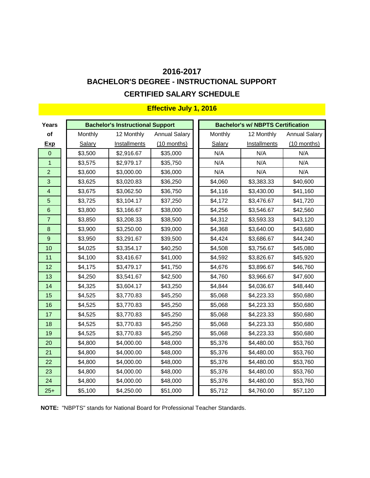# **CERTIFIED SALARY SCHEDULE 2016-2017 BACHELOR'S DEGREE - INSTRUCTIONAL SUPPORT**

| Years           |         | <b>Bachelor's Instructional Support</b> |                      | <b>Bachelor's w/ NBPTS Certification</b> |              |                      |  |  |  |
|-----------------|---------|-----------------------------------------|----------------------|------------------------------------------|--------------|----------------------|--|--|--|
| of              | Monthly | 12 Monthly                              | <b>Annual Salary</b> | Monthly                                  | 12 Monthly   | <b>Annual Salary</b> |  |  |  |
| <b>Exp</b>      | Salary  | Installments                            | (10 months)          | Salary                                   | Installments | $(10$ months)        |  |  |  |
| $\Omega$        | \$3,500 | \$2,916.67                              | \$35,000             | N/A                                      | N/A          | N/A                  |  |  |  |
| $\overline{1}$  | \$3,575 | \$2,979.17                              | \$35,750             | N/A                                      | N/A          | N/A                  |  |  |  |
| $\overline{2}$  | \$3,600 | \$3,000.00                              | \$36,000             | N/A                                      | N/A          | N/A                  |  |  |  |
| 3               | \$3,625 | \$3,020.83                              | \$36,250             | \$4,060                                  | \$3,383.33   | \$40,600             |  |  |  |
| $\overline{4}$  | \$3,675 | \$3,062.50                              | \$36,750             | \$4,116                                  | \$3,430.00   | \$41,160             |  |  |  |
| 5               | \$3,725 | \$3,104.17                              | \$37,250             | \$4,172                                  | \$3,476.67   | \$41,720             |  |  |  |
| $6\phantom{1}6$ | \$3,800 | \$3,166.67                              | \$38,000             | \$4,256                                  | \$3,546.67   | \$42,560             |  |  |  |
| $\overline{7}$  | \$3,850 | \$3,208.33                              | \$38,500             | \$4,312                                  | \$3,593.33   | \$43,120             |  |  |  |
| $\bf 8$         | \$3,900 | \$3,250.00                              | \$39,000             | \$4,368                                  | \$3,640.00   | \$43,680             |  |  |  |
| $\overline{9}$  | \$3,950 | \$3,291.67                              | \$39,500             | \$4,424                                  | \$3,686.67   | \$44,240             |  |  |  |
| 10              | \$4,025 | \$3,354.17                              | \$40,250             | \$4,508                                  | \$3,756.67   | \$45,080             |  |  |  |
| 11              | \$4,100 | \$3,416.67                              | \$41,000             | \$4,592                                  | \$3,826.67   | \$45,920             |  |  |  |
| 12              | \$4,175 | \$3,479.17                              | \$41,750             | \$4,676                                  | \$3,896.67   | \$46,760             |  |  |  |
| 13              | \$4,250 | \$3,541.67                              | \$42,500             | \$4,760                                  | \$3,966.67   | \$47,600             |  |  |  |
| 14              | \$4,325 | \$3,604.17                              | \$43,250             | \$4,844                                  | \$4,036.67   | \$48,440             |  |  |  |
| 15              | \$4,525 | \$3,770.83                              | \$45,250             | \$5,068                                  | \$4,223.33   | \$50,680             |  |  |  |
| 16              | \$4,525 | \$3,770.83                              | \$45,250             | \$5,068                                  | \$4,223.33   | \$50,680             |  |  |  |
| 17              | \$4,525 | \$3,770.83                              | \$45,250             | \$5,068                                  | \$4,223.33   | \$50,680             |  |  |  |
| 18              | \$4,525 | \$3,770.83                              | \$45,250             | \$5,068                                  | \$4,223.33   | \$50,680             |  |  |  |
| 19              | \$4,525 | \$3,770.83                              | \$45,250             | \$5,068                                  | \$4,223.33   | \$50,680             |  |  |  |
| 20              | \$4,800 | \$4,000.00                              | \$48,000             | \$5,376                                  | \$4,480.00   | \$53,760             |  |  |  |
| 21              | \$4,800 | \$4,000.00                              | \$48,000             | \$5,376                                  | \$4,480.00   | \$53,760             |  |  |  |
| 22              | \$4,800 | \$4,000.00                              | \$48,000             | \$5,376                                  | \$4,480.00   | \$53,760             |  |  |  |
| 23              | \$4,800 | \$4,000.00                              | \$48,000             | \$5,376                                  | \$4,480.00   | \$53,760             |  |  |  |
| 24              | \$4,800 | \$4,000.00                              | \$48,000             | \$5,376                                  | \$4,480.00   | \$53,760             |  |  |  |
| $25+$           | \$5,100 | \$4,250.00                              | \$51,000             | \$5,712                                  | \$4,760.00   | \$57,120             |  |  |  |

# **Effective July 1, 2016**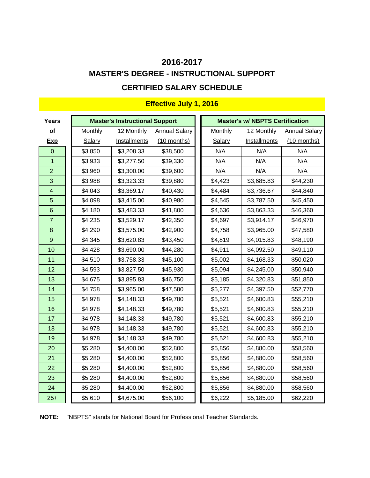# **MASTER'S DEGREE - INSTRUCTIONAL SUPPORT CERTIFIED SALARY SCHEDULE 2016-2017**

| <b>Years</b>            |               | <b>Master's Instructional Support</b> |                      | <b>Master's w/ NBPTS Certification</b> |              |                      |  |  |  |
|-------------------------|---------------|---------------------------------------|----------------------|----------------------------------------|--------------|----------------------|--|--|--|
| of                      | Monthly       | 12 Monthly                            | <b>Annual Salary</b> | Monthly                                | 12 Monthly   | <b>Annual Salary</b> |  |  |  |
| <u>Exp</u>              | <b>Salary</b> | <b>Installments</b>                   | $(10$ months)        | Salary                                 | Installments | $(10$ months)        |  |  |  |
| $\boldsymbol{0}$        | \$3,850       | \$3,208.33                            | \$38,500             | N/A                                    | N/A          | N/A                  |  |  |  |
| $\overline{1}$          | \$3,933       | \$3,277.50                            | \$39,330             | N/A                                    | N/A          | N/A                  |  |  |  |
| $\overline{2}$          | \$3,960       | \$3,300.00                            | \$39,600             | N/A                                    | N/A          | N/A                  |  |  |  |
| 3                       | \$3,988       | \$3,323.33                            | \$39,880             | \$4,423                                | \$3,685.83   | \$44,230             |  |  |  |
| $\overline{\mathbf{4}}$ | \$4,043       | \$3,369.17                            | \$40,430             | \$4,484                                | \$3,736.67   | \$44,840             |  |  |  |
| $\overline{5}$          | \$4,098       | \$3,415.00                            | \$40,980             | \$4,545                                | \$3,787.50   | \$45,450             |  |  |  |
| $\,$ 6 $\,$             | \$4,180       | \$3,483.33                            | \$41,800             | \$4,636                                | \$3,863.33   | \$46,360             |  |  |  |
| $\overline{7}$          | \$4,235       | \$3,529.17                            | \$42,350             | \$4,697                                | \$3,914.17   | \$46,970             |  |  |  |
| $\bf 8$                 | \$4,290       | \$3,575.00                            | \$42,900             | \$4,758                                | \$3,965.00   | \$47,580             |  |  |  |
| $\overline{9}$          | \$4,345       | \$3,620.83                            | \$43,450             | \$4,819                                | \$4,015.83   | \$48,190             |  |  |  |
| 10                      | \$4,428       | \$3,690.00                            | \$44,280             | \$4,911                                | \$4,092.50   | \$49,110             |  |  |  |
| 11                      | \$4,510       | \$3,758.33                            | \$45,100             | \$5,002                                | \$4,168.33   | \$50,020             |  |  |  |
| 12                      | \$4,593       | \$3,827.50                            | \$45,930             | \$5,094                                | \$4,245.00   | \$50,940             |  |  |  |
| 13                      | \$4,675       | \$3,895.83                            | \$46,750             | \$5,185                                | \$4,320.83   | \$51,850             |  |  |  |
| 14                      | \$4,758       | \$3,965.00                            | \$47,580             | \$5,277                                | \$4,397.50   | \$52,770             |  |  |  |
| 15                      | \$4,978       | \$4,148.33                            | \$49,780             | \$5,521                                | \$4,600.83   | \$55,210             |  |  |  |
| 16                      | \$4,978       | \$4,148.33                            | \$49,780             | \$5,521                                | \$4,600.83   | \$55,210             |  |  |  |
| 17                      | \$4,978       | \$4,148.33                            | \$49,780             | \$5,521                                | \$4,600.83   | \$55,210             |  |  |  |
| 18                      | \$4,978       | \$4,148.33                            | \$49,780             | \$5,521                                | \$4,600.83   | \$55,210             |  |  |  |
| 19                      | \$4,978       | \$4,148.33                            | \$49,780             | \$5,521                                | \$4,600.83   | \$55,210             |  |  |  |
| 20                      | \$5,280       | \$4,400.00                            | \$52,800             | \$5,856                                | \$4,880.00   | \$58,560             |  |  |  |
| 21                      | \$5,280       | \$4,400.00                            | \$52,800             | \$5,856                                | \$4,880.00   | \$58,560             |  |  |  |
| 22                      | \$5,280       | \$4,400.00                            | \$52,800             | \$5,856                                | \$4,880.00   | \$58,560             |  |  |  |
| 23                      | \$5,280       | \$4,400.00                            | \$52,800             | \$5,856                                | \$4,880.00   | \$58,560             |  |  |  |
| 24                      | \$5,280       | \$4,400.00                            | \$52,800             | \$5,856                                | \$4,880.00   | \$58,560             |  |  |  |
| $25+$                   | \$5,610       | \$4,675.00                            | \$56,100             | \$6,222                                | \$5,185.00   | \$62,220             |  |  |  |

### **Effective July 1, 2016**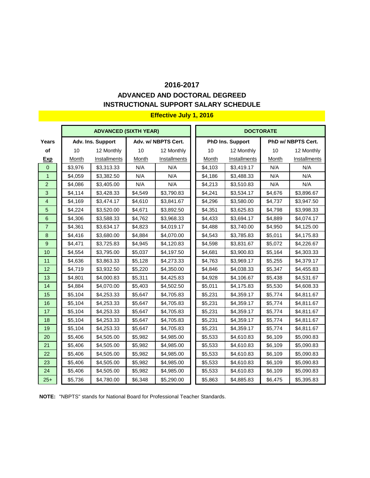#### **ADVANCED AND DOCTORAL DEGREED INSTRUCTIONAL SUPPORT SALARY SCHEDULE**

### **ADVANCED (SIXTH YEAR) 
and the state of the state of the state of the state of the state of the state of the state of the state of the state of the state of the state of the state of the state of the state of the state of Years Adv. Ins. Support Adv. w/ NBPTS Cert. PhD Ins. Support PhD w/ NBPTS Cert. of |** 10 12 Monthly | 10 12 Monthly | 10 12 Monthly | 10 12 Monthly **Exp** | <u>Month Installments</u> | <u>Month Installments</u> | <u>Month Installments | Month Installments</u> <mark>0 || \$3,976 | \$3,313.33 | N/A || N/A || \$4,103 | \$3,419.17 || N/A || N/A</mark> <mark>1 |</mark> \$4,059 | \$3,382.50 | N/A | N/A | | \$4,186 | \$3,488.33 | N/A | N/A 2 || \$4,086 | \$3,405.00 || N/A || N/A || \$4,213 | \$3,510.83 || N/A || N/A <mark>3 |</mark> \$4,114 | \$3,428.33 | \$4,549 | \$3,790.83 | | \$4,241 | \$3,534.17 | \$4,676 | \$3,896.67 4 || \$4,169 | \$3,474.17 | \$4,610 | \$3,841.67 || \$4,296 | \$3,580.00 | \$4,737 | \$3,947.50 <mark>5 |</mark> \$4,224 | \$3,520.00 | \$4,671 | \$3,892.50 | | \$4,351 | \$3,625.83 | \$4,798 | \$3,998.33 6 || \$4,306 | \$3,588.33 || \$4,762 | \$3,968.33 || \$4,433 || \$3,694.17 || \$4,889 | \$4,074.17 <mark>7 |</mark> \$4,361 | \$3,634.17 | \$4,823 | \$4,019.17 | | \$4,488 | \$3,740.00 | \$4,950 | \$4,125.00 8 || \$4,416 | \$3,680.00 || \$4,884 | \$4,070.00 || \$4,543 | \$3,785.83 | \$5,011 | \$4,175.83 <mark>9 |</mark> \$4,471 | \$3,725.83 | \$4,945 | \$4,120.83 || \$4,598 | \$3,831.67 | \$5,072 | \$4,226.67 10 || \$4,554 | \$3,795.00 | \$5,037 | \$4,197.50 || \$4,681 | \$3,900.83 | \$5,164 | \$4,303.33 11 || \$4,636 | \$3,863.33 | \$5,128 | \$4,273.33 || \$4,763 | \$3,969.17 | \$5,255 | \$4,379.17 12 || \$4,719 | \$3,932.50 | \$5,220 | \$4,350.00 || \$4,846 | \$4,038.33 | \$5,347 | \$4,455.83 13 || \$4,801 | \$4,000.83 | \$5,311 | \$4,425.83 || \$4,928 | \$4,106.67 | \$5,438 | \$4,531.67 14 || \$4,884 | \$4,070.00 | \$5,403 | \$4,502.50 || \$5,011 | \$4,175.83 | \$5,530 | \$4,608.33 15 || \$5,104 | \$4,253.33 || \$5,647 | \$4,705.83 || \$5,231 | \$4,359.17 || \$5,774 | \$4,811.67 16 || \$5,104 | \$4,253.33 | \$5,647 | \$4,705.83 || \$5,231 | \$4,359.17 | \$5,774 | \$4,811.67 17 || \$5,104 | \$4,253.33 | \$5,647 | \$4,705.83 || \$5,231 | \$4,359.17 | \$5,774 | \$4,811.67 18 || \$5,104 | \$4,253.33 || \$5,647 || \$4,705.83 || \$5,231 || \$4,359.17 || \$5,774 || \$4,811.67 19 || \$5,104 | \$4,253.33 || \$5,647 || \$4,705.83 || \$5,231 || \$4,359.17 || \$5,774 || \$4,811.67 20 || \$5,406 | \$4,505.00 | \$5,982 | \$4,985.00 || \$5,533 | \$4,610.83 | \$6,109 | \$5,090.83 21 || \$5,406 | \$4,505.00 | \$5,982 | \$4,985.00 || \$5,533 | \$4,610.83 | \$6,109 | \$5,090.83 22 || \$5,406 | \$4,505.00 | \$5,982 | \$4,985.00 || \$5,533 | \$4,610.83 | \$6,109 | \$5,090.83 23 || \$5,406 | \$4,505.00 | \$5,982 | \$4,985.00 || \$5,533 | \$4,610.83 | \$6,109 | \$5,090.83 24 || \$5,406 | \$4,505.00 || \$5,982 || \$4,985.00 || \$5,533 || \$4,610.83 || \$6,109 || \$5,090.83 2<mark>5+ |</mark> \$5,736 | \$4,780.00 | \$6,348 | \$5,290.00 || \$5,863 | \$4,885.83 | \$6,475 | \$5,395.83

**NOTE:** "NBPTS" stands for National Board for Professional Teacher Standards.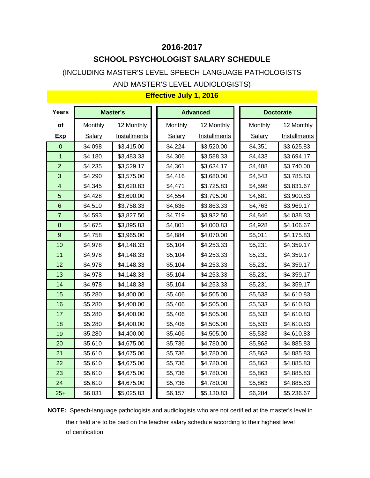# **2016-2017 SCHOOL PSYCHOLOGIST SALARY SCHEDULE**

(INCLUDING MASTER'S LEVEL SPEECH-LANGUAGE PATHOLOGISTS AND MASTER'S LEVEL AUDIOLOGISTS)

| <b>Years</b>            |               | <b>Master's</b>     |               | <b>Advanced</b>     | <b>Doctorate</b> |                     |
|-------------------------|---------------|---------------------|---------------|---------------------|------------------|---------------------|
| of                      | Monthly       | 12 Monthly          | Monthly       | 12 Monthly          | Monthly          | 12 Monthly          |
| <b>Exp</b>              | <b>Salary</b> | <b>Installments</b> | <b>Salary</b> | <b>Installments</b> | <b>Salary</b>    | <b>Installments</b> |
| $\mathbf 0$             | \$4,098       | \$3,415.00          | \$4,224       | \$3,520.00          | \$4,351          | \$3,625.83          |
| 1                       | \$4,180       | \$3,483.33          | \$4,306       | \$3,588.33          | \$4,433          | \$3,694.17          |
| $\overline{2}$          | \$4,235       | \$3,529.17          | \$4,361       | \$3,634.17          | \$4,488          | \$3,740.00          |
| 3                       | \$4,290       | \$3,575.00          | \$4,416       | \$3,680.00          | \$4,543          | \$3,785.83          |
| $\overline{\mathbf{4}}$ | \$4,345       | \$3,620.83          | \$4,471       | \$3,725.83          | \$4,598          | \$3,831.67          |
| 5                       | \$4,428       | \$3,690.00          | \$4,554       | \$3,795.00          | \$4,681          | \$3,900.83          |
| 6                       | \$4,510       | \$3,758.33          | \$4,636       | \$3,863.33          | \$4,763          | \$3,969.17          |
| $\overline{7}$          | \$4,593       | \$3,827.50          | \$4,719       | \$3,932.50          | \$4,846          | \$4,038.33          |
| 8                       | \$4,675       | \$3,895.83          | \$4,801       | \$4,000.83          | \$4,928          | \$4,106.67          |
| 9                       | \$4,758       | \$3,965.00          | \$4,884       | \$4,070.00          | \$5,011          | \$4,175.83          |
| 10                      | \$4,978       | \$4,148.33          | \$5,104       | \$4,253.33          | \$5,231          | \$4,359.17          |
| 11                      | \$4,978       | \$4,148.33          | \$5,104       | \$4,253.33          | \$5,231          | \$4,359.17          |
| 12                      | \$4,978       | \$4,148.33          | \$5,104       | \$4,253.33          | \$5,231          | \$4,359.17          |
| 13                      | \$4,978       | \$4,148.33          | \$5,104       | \$4,253.33          | \$5,231          | \$4,359.17          |
| 14                      | \$4,978       | \$4,148.33          | \$5,104       | \$4,253.33          | \$5,231          | \$4,359.17          |
| 15                      | \$5,280       | \$4,400.00          | \$5,406       | \$4,505.00          | \$5,533          | \$4,610.83          |
| 16                      | \$5,280       | \$4,400.00          | \$5,406       | \$4,505.00          | \$5,533          | \$4,610.83          |
| 17                      | \$5,280       | \$4,400.00          | \$5,406       | \$4,505.00          | \$5,533          | \$4,610.83          |
| 18                      | \$5,280       | \$4,400.00          | \$5,406       | \$4,505.00          | \$5,533          | \$4,610.83          |
| 19                      | \$5,280       | \$4,400.00          | \$5,406       | \$4,505.00          | \$5,533          | \$4,610.83          |
| 20                      | \$5,610       | \$4,675.00          | \$5,736       | \$4,780.00          | \$5,863          | \$4,885.83          |
| 21                      | \$5,610       | \$4,675.00          | \$5,736       | \$4,780.00          | \$5,863          | \$4,885.83          |
| 22                      | \$5,610       | \$4,675.00          | \$5,736       | \$4,780.00          | \$5,863          | \$4,885.83          |
| 23                      | \$5,610       | \$4,675.00          | \$5,736       | \$4,780.00          | \$5,863          | \$4,885.83          |
| 24                      | \$5,610       | \$4,675.00          | \$5,736       | \$4,780.00          | \$5,863          | \$4,885.83          |
| $25+$                   | \$6,031       | \$5,025.83          | \$6,157       | \$5,130.83          | \$6,284          | \$5,236.67          |

# **Effective July 1, 2016**

**NOTE:** Speech-language pathologists and audiologists who are not certified at the master's level in their field are to be paid on the teacher salary schedule according to their highest level of certification.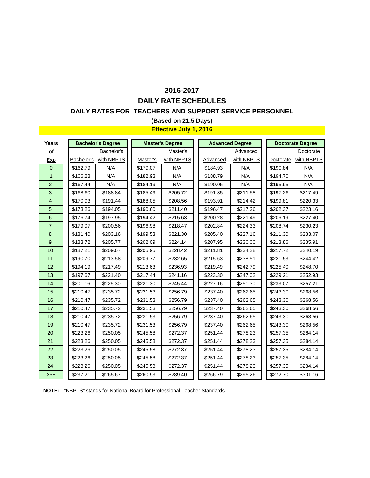### **DAILY RATE SCHEDULES 2016-2017**

#### **DAILY RATES FOR TEACHERS AND SUPPORT SERVICE PERSONNEL**

### **(Based on 21.5 Days)**

#### **Effective July 1, 2016**

| Years          |            | <b>Bachelor's Degree</b> |          | <b>Master's Degree</b> |          | <b>Advanced Degree</b> |           | <b>Doctorate Degree</b> |
|----------------|------------|--------------------------|----------|------------------------|----------|------------------------|-----------|-------------------------|
| of             |            | Bachelor's               |          | Master's               |          | Advanced               |           | Doctorate               |
| <b>Exp</b>     | Bachelor's | with NBPTS               | Master's | with NBPTS             | Advanced | with NBPTS             | Doctorate | with NBPTS              |
| $\overline{0}$ | \$162.79   | N/A                      | \$179.07 | N/A                    | \$184.93 | N/A                    | \$190.84  | N/A                     |
| $\mathbf{1}$   | \$166.28   | N/A                      | \$182.93 | N/A                    | \$188.79 | N/A                    | \$194.70  | N/A                     |
| $\overline{2}$ | \$167.44   | N/A                      | \$184.19 | N/A                    | \$190.05 | N/A                    | \$195.95  | N/A                     |
| 3              | \$168.60   | \$188.84                 | \$185.49 | \$205.72               | \$191.35 | \$211.58               | \$197.26  | \$217.49                |
| $\overline{4}$ | \$170.93   | \$191.44                 | \$188.05 | \$208.56               | \$193.91 | \$214.42               | \$199.81  | \$220.33                |
| 5              | \$173.26   | \$194.05                 | \$190.60 | \$211.40               | \$196.47 | \$217.26               | \$202.37  | \$223.16                |
| 6              | \$176.74   | \$197.95                 | \$194.42 | \$215.63               | \$200.28 | \$221.49               | \$206.19  | \$227.40                |
| $\overline{7}$ | \$179.07   | \$200.56                 | \$196.98 | \$218.47               | \$202.84 | \$224.33               | \$208.74  | \$230.23                |
| 8              | \$181.40   | \$203.16                 | \$199.53 | \$221.30               | \$205.40 | \$227.16               | \$211.30  | \$233.07                |
| 9              | \$183.72   | \$205.77                 | \$202.09 | \$224.14               | \$207.95 | \$230.00               | \$213.86  | \$235.91                |
| 10             | \$187.21   | \$209.67                 | \$205.95 | \$228.42               | \$211.81 | \$234.28               | \$217.72  | \$240.19                |
| 11             | \$190.70   | \$213.58                 | \$209.77 | \$232.65               | \$215.63 | \$238.51               | \$221.53  | \$244.42                |
| 12             | \$194.19   | \$217.49                 | \$213.63 | \$236.93               | \$219.49 | \$242.79               | \$225.40  | \$248.70                |
| 13             | \$197.67   | \$221.40                 | \$217.44 | \$241.16               | \$223.30 | \$247.02               | \$229.21  | \$252.93                |
| 14             | \$201.16   | \$225.30                 | \$221.30 | \$245.44               | \$227.16 | \$251.30               | \$233.07  | \$257.21                |
| 15             | \$210.47   | \$235.72                 | \$231.53 | \$256.79               | \$237.40 | \$262.65               | \$243.30  | \$268.56                |
| 16             | \$210.47   | \$235.72                 | \$231.53 | \$256.79               | \$237.40 | \$262.65               | \$243.30  | \$268.56                |
| 17             | \$210.47   | \$235.72                 | \$231.53 | \$256.79               | \$237.40 | \$262.65               | \$243.30  | \$268.56                |
| 18             | \$210.47   | \$235.72                 | \$231.53 | \$256.79               | \$237.40 | \$262.65               | \$243.30  | \$268.56                |
| 19             | \$210.47   | \$235.72                 | \$231.53 | \$256.79               | \$237.40 | \$262.65               | \$243.30  | \$268.56                |
| 20             | \$223.26   | \$250.05                 | \$245.58 | \$272.37               | \$251.44 | \$278.23               | \$257.35  | \$284.14                |
| 21             | \$223.26   | \$250.05                 | \$245.58 | \$272.37               | \$251.44 | \$278.23               | \$257.35  | \$284.14                |
| 22             | \$223.26   | \$250.05                 | \$245.58 | \$272.37               | \$251.44 | \$278.23               | \$257.35  | \$284.14                |
| 23             | \$223.26   | \$250.05                 | \$245.58 | \$272.37               | \$251.44 | \$278.23               | \$257.35  | \$284.14                |
| 24             | \$223.26   | \$250.05                 | \$245.58 | \$272.37               | \$251.44 | \$278.23               | \$257.35  | \$284.14                |
| $25+$          | \$237.21   | \$265.67                 | \$260.93 | \$289.40               | \$266.79 | \$295.26               | \$272.70  | \$301.16                |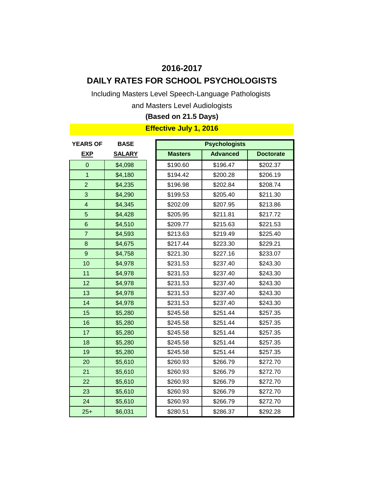# **DAILY RATES FOR SCHOOL PSYCHOLOGISTS**

Including Masters Level Speech-Language Pathologists

and Masters Level Audiologists

### **(Based on 21.5 Days)**

| <b>YEARS OF</b>         | <b>BASE</b>   |                | <b>Psychologists</b> |                  |
|-------------------------|---------------|----------------|----------------------|------------------|
| <b>EXP</b>              | <b>SALARY</b> | <b>Masters</b> | <b>Advanced</b>      | <b>Doctorate</b> |
| $\Omega$                | \$4,098       | \$190.60       | \$196.47             | \$202.37         |
| 1                       | \$4,180       | \$194.42       | \$200.28             | \$206.19         |
| $\overline{2}$          | \$4,235       | \$196.98       | \$202.84             | \$208.74         |
| 3                       | \$4,290       | \$199.53       | \$205.40             | \$211.30         |
| $\overline{\mathbf{4}}$ | \$4,345       | \$202.09       | \$207.95             | \$213.86         |
| 5                       | \$4,428       | \$205.95       | \$211.81             | \$217.72         |
| $\,6$                   | \$4,510       | \$209.77       | \$215.63             | \$221.53         |
| $\overline{7}$          | \$4,593       | \$213.63       | \$219.49             | \$225.40         |
| 8                       | \$4,675       | \$217.44       | \$223.30             | \$229.21         |
| 9                       | \$4,758       | \$221.30       | \$227.16             | \$233.07         |
| 10                      | \$4,978       | \$231.53       | \$237.40             | \$243.30         |
| 11                      | \$4,978       | \$231.53       | \$237.40             | \$243.30         |
| 12                      | \$4,978       | \$231.53       | \$237.40             | \$243.30         |
| 13                      | \$4,978       | \$231.53       | \$237.40             | \$243.30         |
| 14                      | \$4,978       | \$231.53       | \$237.40             | \$243.30         |
| 15                      | \$5,280       | \$245.58       | \$251.44             | \$257.35         |
| 16                      | \$5,280       | \$245.58       | \$251.44             | \$257.35         |
| 17                      | \$5,280       | \$245.58       | \$251.44             | \$257.35         |
| 18                      | \$5,280       | \$245.58       | \$251.44             | \$257.35         |
| 19                      | \$5,280       | \$245.58       | \$251.44             | \$257.35         |
| 20                      | \$5,610       | \$260.93       | \$266.79             | \$272.70         |
| 21                      | \$5,610       | \$260.93       | \$266.79             | \$272.70         |
| 22                      | \$5,610       | \$260.93       | \$266.79             | \$272.70         |
| 23                      | \$5,610       | \$260.93       | \$266.79             | \$272.70         |
| 24                      | \$5,610       | \$260.93       | \$266.79             | \$272.70         |
| $25+$                   | \$6,031       | \$280.51       | \$286.37             | \$292.28         |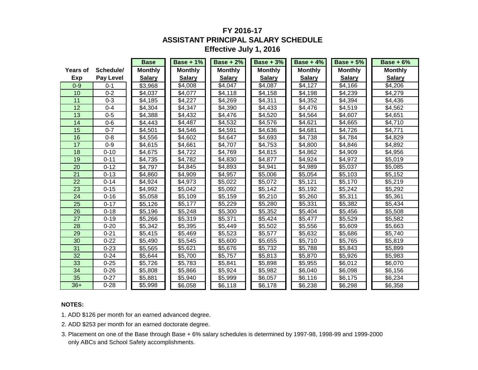### **FY 2016-17 ASSISTANT PRINCIPAL SALARY SCHEDULE Effective July 1, 2016**

|                 |                  | <b>Base</b>    | <b>Base + 1%</b> | <b>Base + 2%</b> | <b>Base + 3%</b> | Base + $4\%$   | <b>Base + 5%</b> | <b>Base + 6%</b> |
|-----------------|------------------|----------------|------------------|------------------|------------------|----------------|------------------|------------------|
| <b>Years of</b> | Schedule/        | <b>Monthly</b> | <b>Monthly</b>   | <b>Monthly</b>   | <b>Monthly</b>   | <b>Monthly</b> | <b>Monthly</b>   | <b>Monthly</b>   |
| Exp             | <b>Pay Level</b> | <b>Salary</b>  | <b>Salary</b>    | <b>Salary</b>    | <b>Salary</b>    | <b>Salary</b>  | <b>Salary</b>    | <b>Salary</b>    |
| $0 - 9$         | $0 - 1$          | \$3,968        | \$4,008          | \$4,047          | \$4,087          | \$4,127        | \$4,166          | \$4,206          |
| 10              | $0 - 2$          | \$4,037        | \$4,077          | \$4,118          | \$4,158          | \$4,198        | \$4,239          | \$4,279          |
| 11              | $0 - 3$          | \$4,185        | \$4,227          | \$4,269          | \$4,311          | \$4,352        | \$4,394          | \$4,436          |
| 12              | $0 - 4$          | \$4,304        | \$4,347          | \$4,390          | \$4,433          | \$4,476        | \$4,519          | \$4,562          |
| 13              | $0 - 5$          | \$4,388        | \$4,432          | \$4,476          | \$4,520          | \$4,564        | \$4,607          | \$4,651          |
| 14              | $0-6$            | \$4,443        | \$4,487          | \$4,532          | \$4,576          | \$4,621        | \$4,665          | \$4,710          |
| 15              | $0 - 7$          | \$4,501        | \$4,546          | \$4,591          | \$4,636          | \$4,681        | \$4,726          | \$4,771          |
| 16              | $0 - 8$          | \$4,556        | \$4,602          | \$4,647          | \$4,693          | \$4,738        | \$4,784          | \$4,829          |
| 17              | $0-9$            | \$4,615        | \$4,661          | \$4,707          | \$4,753          | \$4,800        | \$4,846          | \$4,892          |
| 18              | $0 - 10$         | \$4,675        | \$4,722          | \$4,769          | \$4,815          | \$4,862        | \$4,909          | \$4,956          |
| 19              | $0 - 11$         | \$4,735        | \$4,782          | \$4,830          | \$4,877          | \$4,924        | \$4,972          | \$5,019          |
| 20              | $0 - 12$         | \$4,797        | \$4,845          | \$4,893          | \$4,941          | \$4,989        | \$5,037          | \$5,085          |
| 21              | $0 - 13$         | \$4,860        | \$4,909          | \$4,957          | \$5,006          | \$5,054        | \$5,103          | \$5,152          |
| 22              | $0 - 14$         | \$4,924        | \$4,973          | \$5,022          | \$5,072          | \$5,121        | \$5,170          | \$5,219          |
| 23              | $0 - 15$         | \$4,992        | \$5,042          | \$5,092          | \$5,142          | \$5,192        | \$5,242          | \$5,292          |
| 24              | $0 - 16$         | \$5,058        | \$5,109          | \$5,159          | \$5,210          | \$5,260        | \$5,311          | \$5,361          |
| 25              | $0 - 17$         | \$5,126        | \$5,177          | \$5,229          | \$5,280          | \$5,331        | \$5,382          | \$5,434          |
| 26              | $0 - 18$         | \$5,196        | \$5,248          | \$5,300          | \$5,352          | \$5,404        | \$5,456          | \$5,508          |
| 27              | $0 - 19$         | \$5,266        | \$5,319          | \$5,371          | \$5,424          | \$5,477        | \$5,529          | \$5,582          |
| 28              | $0 - 20$         | \$5,342        | \$5,395          | \$5,449          | \$5,502          | \$5,556        | \$5,609          | \$5,663          |
| 29              | $0 - 21$         | \$5,415        | \$5,469          | \$5,523          | \$5,577          | \$5,632        | \$5,686          | \$5,740          |
| 30              | $0 - 22$         | \$5,490        | \$5,545          | \$5,600          | \$5,655          | \$5,710        | \$5,765          | \$5,819          |
| 31              | $0 - 23$         | \$5,565        | \$5,621          | \$5,676          | \$5,732          | \$5,788        | \$5,843          | \$5,899          |
| 32              | $0 - 24$         | \$5,644        | \$5,700          | \$5,757          | \$5,813          | \$5,870        | \$5,926          | \$5,983          |
| 33              | $0 - 25$         | \$5,726        | \$5,783          | \$5,841          | \$5,898          | \$5,955        | \$6,012          | \$6,070          |
| 34              | $0 - 26$         | \$5,808        | \$5,866          | \$5,924          | \$5,982          | \$6,040        | \$6,098          | \$6,156          |
| 35              | $0 - 27$         | \$5,881        | \$5,940          | \$5,999          | \$6,057          | \$6,116        | \$6,175          | \$6,234          |
| $36+$           | $0 - 28$         | \$5,998        | \$6,058          | \$6,118          | \$6,178          | \$6,238        | \$6,298          | \$6,358          |

#### **NOTES:**

- 1. ADD \$126 per month for an earned advanced degree.
- 2. ADD \$253 per month for an earned doctorate degree.
- 3. Placement on one of the Base through Base + 6% salary schedules is determined by 1997-98, 1998-99 and 1999-2000 only ABCs and School Safety accomplishments.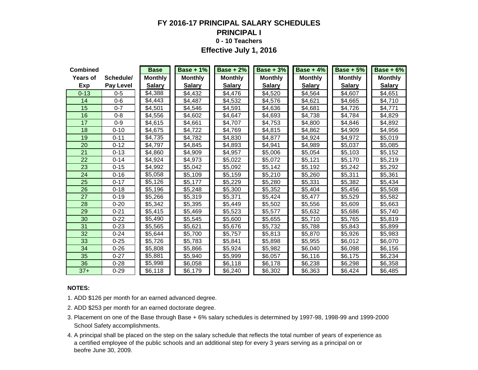### **FY 2016-17 PRINCIPAL SALARY SCHEDULES PRINCIPAL I 0 - 10 Teachers Effective July 1, 2016**

| <b>Combined</b> |                  | <b>Base</b>    | <b>Base + 1%</b> | <b>Base + 2%</b> | <b>Base + 3%</b> | <b>Base + 4%</b> | <b>Base + 5%</b> | <b>Base + 6%</b> |
|-----------------|------------------|----------------|------------------|------------------|------------------|------------------|------------------|------------------|
| <b>Years of</b> | Schedule/        | <b>Monthly</b> | <b>Monthly</b>   | <b>Monthly</b>   | <b>Monthly</b>   | <b>Monthly</b>   | <b>Monthly</b>   | <b>Monthly</b>   |
| Exp             | <b>Pay Level</b> | <b>Salary</b>  | <b>Salary</b>    | <b>Salary</b>    | <b>Salary</b>    | <b>Salary</b>    | <b>Salary</b>    | <b>Salary</b>    |
| $0 - 13$        | $0 - 5$          | \$4,388        | \$4,432          | \$4,476          | \$4,520          | \$4,564          | \$4,607          | \$4,651          |
| 14              | $0 - 6$          | \$4,443        | \$4,487          | \$4,532          | \$4,576          | \$4,621          | \$4,665          | \$4,710          |
| 15              | $0 - 7$          | \$4,501        | \$4,546          | \$4,591          | \$4,636          | \$4,681          | \$4,726          | \$4,771          |
| 16              | $0 - 8$          | \$4,556        | \$4,602          | \$4,647          | \$4,693          | \$4,738          | \$4,784          | \$4,829          |
| 17              | $0 - 9$          | \$4,615        | \$4,661          | \$4,707          | \$4,753          | \$4,800          | \$4,846          | \$4,892          |
| 18              | $0 - 10$         | \$4,675        | \$4,722          | \$4,769          | \$4,815          | \$4,862          | \$4,909          | \$4,956          |
| 19              | $0 - 11$         | \$4,735        | \$4,782          | \$4,830          | \$4,877          | \$4,924          | \$4,972          | \$5,019          |
| 20              | $0 - 12$         | \$4,797        | \$4,845          | \$4,893          | \$4,941          | \$4,989          | \$5,037          | \$5,085          |
| 21              | $0 - 13$         | \$4,860        | \$4,909          | \$4,957          | \$5,006          | \$5,054          | \$5,103          | \$5,152          |
| 22              | $0 - 14$         | \$4,924        | \$4,973          | \$5,022          | \$5,072          | \$5,121          | \$5,170          | \$5,219          |
| 23              | $0 - 15$         | \$4,992        | \$5,042          | \$5,092          | \$5,142          | \$5,192          | \$5,242          | \$5,292          |
| 24              | $0 - 16$         | \$5,058        | \$5,109          | \$5,159          | \$5,210          | \$5,260          | \$5,311          | \$5,361          |
| 25              | $0 - 17$         | \$5,126        | \$5,177          | \$5,229          | \$5,280          | \$5,331          | \$5,382          | \$5,434          |
| 26              | $0 - 18$         | \$5,196        | \$5,248          | \$5,300          | \$5,352          | \$5,404          | \$5,456          | \$5,508          |
| 27              | $0 - 19$         | \$5,266        | \$5,319          | \$5,371          | \$5,424          | \$5,477          | \$5,529          | \$5,582          |
| 28              | $0 - 20$         | \$5,342        | \$5,395          | \$5,449          | \$5,502          | \$5,556          | \$5,609          | \$5,663          |
| 29              | $0 - 21$         | \$5,415        | \$5,469          | \$5,523          | \$5,577          | \$5,632          | \$5,686          | \$5,740          |
| 30              | $0 - 22$         | \$5,490        | \$5,545          | \$5,600          | \$5,655          | \$5,710          | \$5,765          | \$5,819          |
| 31              | $0 - 23$         | \$5,565        | \$5,621          | \$5,676          | \$5,732          | \$5,788          | \$5,843          | \$5,899          |
| 32              | $0 - 24$         | \$5,644        | \$5,700          | \$5,757          | \$5,813          | \$5,870          | \$5,926          | \$5,983          |
| 33              | $0 - 25$         | \$5,726        | \$5,783          | \$5,841          | \$5,898          | \$5,955          | \$6,012          | \$6,070          |
| 34              | $0 - 26$         | \$5,808        | \$5,866          | \$5,924          | \$5,982          | \$6,040          | \$6,098          | \$6,156          |
| 35              | $0 - 27$         | \$5,881        | \$5,940          | \$5,999          | \$6,057          | \$6,116          | \$6,175          | \$6,234          |
| 36              | $0 - 28$         | \$5,998        | \$6,058          | \$6,118          | \$6,178          | \$6,238          | \$6,298          | \$6,358          |
| $37+$           | $0 - 29$         | \$6,118        | \$6,179          | \$6,240          | \$6,302          | \$6,363          | \$6,424          | \$6,485          |

#### **NOTES:**

- 1. ADD \$126 per month for an earned advanced degree.
- 2. ADD \$253 per month for an earned doctorate degree.
- 3. Placement on one of the Base through Base + 6% salary schedules is determined by 1997-98, 1998-99 and 1999-2000 School Safety accomplishments.
- 4. A principal shall be placed on the step on the salary schedule that reflects the total number of years of experience as a certified employee of the public schools and an additional step for every 3 years serving as a principal on or beofre June 30, 2009.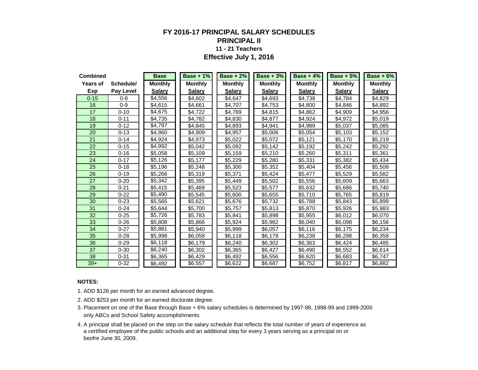### **FY 2016-17 PRINCIPAL SALARY SCHEDULES PRINCIPAL II 11 - 21 Teachers Effective July 1, 2016**

| <b>Combined</b> |                  | <b>Base</b>    | <b>Base + 1%</b> | Base $+2\%$    | <b>Base + 3%</b> | <b>Base + 4%</b> | <b>Base + 5%</b> | Base $+6%$     |
|-----------------|------------------|----------------|------------------|----------------|------------------|------------------|------------------|----------------|
| Years of        | Schedule/        | <b>Monthly</b> | <b>Monthly</b>   | <b>Monthly</b> | <b>Monthly</b>   | <b>Monthly</b>   | <b>Monthly</b>   | <b>Monthly</b> |
| Exp             | <b>Pay Level</b> | <b>Salary</b>  | <b>Salary</b>    | <b>Salary</b>  | <b>Salary</b>    | <b>Salary</b>    | <b>Salary</b>    | <b>Salary</b>  |
| $0 - 15$        | $0 - 8$          | \$4,556        | \$4,602          | \$4,647        | \$4,693          | \$4,738          | \$4,784          | \$4,829        |
| 16              | $0 - 9$          | \$4,615        | \$4,661          | \$4,707        | \$4,753          | \$4,800          | \$4,846          | \$4,892        |
| 17              | $0 - 10$         | \$4,675        | \$4,722          | \$4,769        | \$4,815          | \$4,862          | \$4,909          | \$4,956        |
| 18              | $0 - 11$         | \$4,735        | \$4,782          | \$4,830        | \$4,877          | \$4,924          | \$4,972          | \$5,019        |
| 19              | $0 - 12$         | \$4.797        | \$4,845          | \$4,893        | \$4,941          | \$4,989          | \$5,037          | \$5,085        |
| 20              | $0 - 13$         | \$4,860        | \$4,909          | \$4,957        | \$5,006          | \$5,054          | \$5,103          | \$5,152        |
| 21              | $0 - 14$         | \$4,924        | \$4,973          | \$5,022        | \$5,072          | \$5,121          | \$5,170          | \$5,219        |
| 22              | $0 - 15$         | \$4,992        | \$5,042          | \$5,092        | \$5,142          | \$5,192          | \$5,242          | \$5,292        |
| 23              | $0 - 16$         | \$5,058        | \$5,109          | \$5,159        | \$5,210          | \$5,260          | \$5,311          | \$5,361        |
| 24              | $0 - 17$         | \$5,126        | \$5,177          | \$5,229        | \$5,280          | \$5,331          | \$5,382          | \$5,434        |
| 25              | $0 - 18$         | \$5,196        | \$5,248          | \$5,300        | \$5,352          | \$5,404          | \$5,456          | \$5,508        |
| 26              | $0 - 19$         | \$5,266        | \$5,319          | \$5,371        | \$5,424          | \$5,477          | \$5,529          | \$5,582        |
| 27              | $0 - 20$         | \$5,342        | \$5,395          | \$5,449        | \$5,502          | \$5,556          | \$5,609          | \$5,663        |
| 28              | $0 - 21$         | \$5,415        | \$5,469          | \$5,523        | \$5,577          | \$5,632          | \$5,686          | \$5,740        |
| 29              | $0 - 22$         | \$5,490        | \$5,545          | \$5,600        | \$5,655          | \$5.710          | \$5,765          | \$5,819        |
| 30              | $0 - 23$         | \$5,565        | \$5,621          | \$5,676        | \$5,732          | \$5,788          | \$5,843          | \$5,899        |
| 31              | $0 - 24$         | \$5,644        | \$5,700          | \$5,757        | \$5,813          | \$5,870          | \$5,926          | \$5,983        |
| 32              | $0 - 25$         | \$5,726        | \$5,783          | \$5,841        | \$5,898          | \$5,955          | \$6,012          | \$6,070        |
| 33              | $0 - 26$         | \$5,808        | \$5,866          | \$5,924        | \$5,982          | \$6,040          | \$6,098          | \$6,156        |
| 34              | $0 - 27$         | \$5.881        | \$5,940          | \$5,999        | \$6,057          | \$6,116          | \$6,175          | \$6,234        |
| 35              | $0 - 28$         | \$5,998        | \$6,058          | \$6,118        | \$6,178          | \$6,238          | \$6,298          | \$6,358        |
| 36              | $0 - 29$         | \$6,118        | \$6,179          | \$6,240        | \$6,302          | \$6,363          | \$6,424          | \$6,485        |
| 37              | $0 - 30$         | \$6,240        | \$6,302          | \$6,365        | \$6,427          | \$6,490          | \$6,552          | \$6,614        |
| 38              | $0 - 31$         | \$6,365        | \$6,429          | \$6,492        | \$6,556          | \$6,620          | \$6,683          | \$6,747        |
| $39+$           | $0 - 32$         | \$6,492        | \$6,557          | \$6,622        | \$6,687          | \$6,752          | \$6,817          | \$6,882        |

#### **NOTES:**

1. ADD \$126 per month for an earned advanced degree.

- 3. Placement on one of the Base through Base + 6% salary schedules is determined by 1997-98, 1998-99 and 1999-2000 only ABCs and School Safety accomplishments.
- 4. A principal shall be placed on the step on the salary schedule that reflects the total number of years of experience as a certified employee of the public schools and an additional step for every 3 years serving as a principal on or beofre June 30, 2009.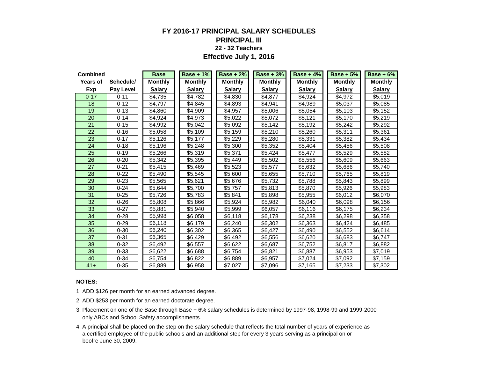### **FY 2016-17 PRINCIPAL SALARY SCHEDULES PRINCIPAL III 22 - 32 Teachers**

**Effective July 1, 2016**

| <b>Combined</b> |                  | <b>Base</b>    | <b>Base + 1%</b> | <b>Base + 2%</b> | $Base + 3%$    | Base + $4\%$   | <b>Base + 5%</b> | Base $+6%$     |
|-----------------|------------------|----------------|------------------|------------------|----------------|----------------|------------------|----------------|
| <b>Years of</b> | Schedule/        | <b>Monthly</b> | <b>Monthly</b>   | <b>Monthly</b>   | <b>Monthly</b> | <b>Monthly</b> | <b>Monthly</b>   | <b>Monthly</b> |
| Exp             | <b>Pay Level</b> | <b>Salary</b>  | <b>Salary</b>    | <b>Salary</b>    | <b>Salary</b>  | <b>Salary</b>  | <b>Salary</b>    | <b>Salary</b>  |
| $0 - 17$        | $0 - 11$         | \$4,735        | \$4,782          | \$4,830          | \$4,877        | \$4,924        | \$4,972          | \$5,019        |
| 18              | $0 - 12$         | \$4,797        | \$4,845          | \$4,893          | \$4,941        | \$4,989        | \$5,037          | \$5.085        |
| 19              | $0 - 13$         | \$4,860        | \$4,909          | \$4,957          | \$5,006        | \$5,054        | \$5,103          | \$5,152        |
| 20              | $0 - 14$         | \$4,924        | \$4,973          | \$5,022          | \$5,072        | \$5,121        | \$5,170          | \$5,219        |
| 21              | $0 - 15$         | \$4,992        | \$5,042          | \$5,092          | \$5,142        | \$5,192        | \$5,242          | \$5,292        |
| 22              | $0 - 16$         | \$5,058        | \$5,109          | \$5,159          | \$5,210        | \$5,260        | \$5,311          | \$5,361        |
| 23              | $0 - 17$         | \$5,126        | \$5,177          | \$5,229          | \$5,280        | \$5,331        | \$5,382          | \$5,434        |
| 24              | $0 - 18$         | \$5,196        | \$5,248          | \$5,300          | \$5,352        | \$5,404        | \$5,456          | \$5,508        |
| 25              | $0 - 19$         | \$5,266        | \$5,319          | \$5,371          | \$5,424        | \$5,477        | \$5,529          | \$5,582        |
| 26              | $0 - 20$         | \$5,342        | \$5,395          | \$5,449          | \$5,502        | \$5,556        | \$5,609          | \$5,663        |
| 27              | $0 - 21$         | \$5,415        | \$5,469          | \$5,523          | \$5,577        | \$5,632        | \$5,686          | \$5,740        |
| 28              | $0 - 22$         | \$5,490        | \$5,545          | \$5,600          | \$5,655        | \$5,710        | \$5,765          | \$5,819        |
| 29              | $0 - 23$         | \$5,565        | \$5,621          | \$5,676          | \$5,732        | \$5,788        | \$5,843          | \$5,899        |
| 30              | $0 - 24$         | \$5,644        | \$5.700          | \$5,757          | \$5,813        | \$5,870        | \$5,926          | \$5,983        |
| 31              | $0 - 25$         | \$5,726        | \$5,783          | \$5,841          | \$5,898        | \$5,955        | \$6,012          | \$6,070        |
| 32              | $0 - 26$         | \$5,808        | \$5,866          | \$5.924          | \$5,982        | \$6.040        | \$6,098          | \$6,156        |
| 33              | $0 - 27$         | \$5,881        | \$5,940          | \$5,999          | \$6,057        | \$6,116        | \$6,175          | \$6,234        |
| 34              | $0 - 28$         | \$5,998        | \$6,058          | \$6,118          | \$6,178        | \$6,238        | \$6,298          | \$6,358        |
| 35              | $0 - 29$         | \$6,118        | \$6,179          | \$6,240          | \$6,302        | \$6,363        | \$6,424          | \$6,485        |
| 36              | $0 - 30$         | \$6,240        | \$6,302          | \$6,365          | \$6,427        | \$6,490        | \$6,552          | \$6,614        |
| 37              | $0 - 31$         | \$6,365        | \$6,429          | \$6,492          | \$6,556        | \$6,620        | \$6,683          | \$6,747        |
| 38              | $0 - 32$         | \$6,492        | \$6,557          | \$6,622          | \$6,687        | \$6,752        | \$6,817          | \$6,882        |
| 39              | $0 - 33$         | \$6,622        | \$6,688          | \$6,754          | \$6,821        | \$6,887        | \$6,953          | \$7,019        |
| 40              | $0 - 34$         | \$6,754        | \$6,822          | \$6,889          | \$6,957        | \$7,024        | \$7,092          | \$7,159        |
| $41+$           | $0 - 35$         | \$6,889        | \$6,958          | \$7,027          | \$7,096        | \$7,165        | \$7,233          | \$7,302        |

#### **NOTES:**

1. ADD \$126 per month for an earned advanced degree.

- 3. Placement on one of the Base through Base + 6% salary schedules is determined by 1997-98, 1998-99 and 1999-2000 only ABCs and School Safety accomplishments.
- 4. A principal shall be placed on the step on the salary schedule that reflects the total number of years of experience as a certified employee of the public schools and an additional step for every 3 years serving as a principal on or beofre June 30, 2009.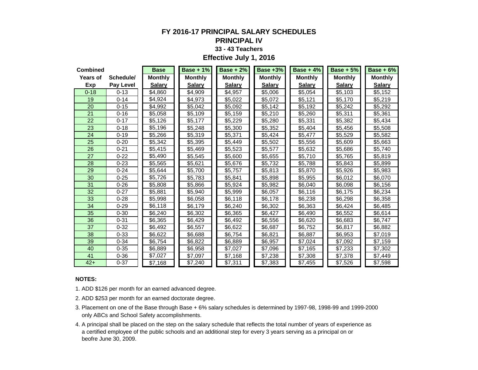# **FY 2016-17 PRINCIPAL SALARY SCHEDULES**

### **PRINCIPAL IV**

#### **33 - 43 Teachers**

#### **Effective July 1, 2016**

| <b>Combined</b> |           | <b>Base</b>    | Base + $1\%$   | $Base + 2%$    | <b>Base +3%</b> | Base + $4\%$   | $Base + 5%$    | $Base + 6%$    |
|-----------------|-----------|----------------|----------------|----------------|-----------------|----------------|----------------|----------------|
| <b>Years of</b> | Schedule/ | <b>Monthly</b> | <b>Monthly</b> | <b>Monthly</b> | <b>Monthly</b>  | <b>Monthly</b> | <b>Monthly</b> | <b>Monthly</b> |
| Exp             | Pay Level | <b>Salary</b>  | <b>Salary</b>  | <b>Salary</b>  | <b>Salary</b>   | <b>Salary</b>  | <b>Salary</b>  | <b>Salary</b>  |
| $0 - 18$        | $0 - 13$  | \$4,860        | \$4,909        | \$4,957        | \$5,006         | \$5,054        | \$5,103        | \$5,152        |
| 19              | $0 - 14$  | \$4,924        | \$4,973        | \$5,022        | \$5,072         | \$5,121        | \$5,170        | \$5,219        |
| 20              | $0 - 15$  | \$4,992        | \$5,042        | \$5,092        | \$5,142         | \$5,192        | \$5,242        | \$5,292        |
| 21              | $0 - 16$  | \$5,058        | \$5,109        | \$5,159        | \$5,210         | \$5,260        | \$5,311        | \$5,361        |
| 22              | $0 - 17$  | \$5,126        | \$5,177        | \$5,229        | \$5,280         | \$5,331        | \$5,382        | \$5,434        |
| 23              | $0 - 18$  | \$5,196        | \$5,248        | \$5,300        | \$5,352         | \$5,404        | \$5,456        | \$5,508        |
| 24              | $0 - 19$  | \$5,266        | \$5,319        | \$5,371        | \$5,424         | \$5,477        | \$5,529        | \$5,582        |
| 25              | $0 - 20$  | \$5,342        | \$5,395        | \$5,449        | \$5,502         | \$5,556        | \$5,609        | \$5,663        |
| 26              | $0 - 21$  | \$5,415        | \$5,469        | \$5,523        | \$5,577         | \$5,632        | \$5,686        | \$5,740        |
| 27              | $0 - 22$  | \$5,490        | \$5,545        | \$5,600        | \$5,655         | \$5,710        | \$5,765        | \$5,819        |
| 28              | $0 - 23$  | \$5,565        | \$5,621        | \$5,676        | \$5,732         | \$5,788        | \$5,843        | \$5,899        |
| 29              | $0 - 24$  | \$5,644        | \$5,700        | \$5,757        | \$5,813         | \$5,870        | \$5,926        | \$5,983        |
| 30              | $0 - 25$  | \$5,726        | \$5,783        | \$5,841        | \$5,898         | \$5,955        | \$6,012        | \$6,070        |
| 31              | $0 - 26$  | \$5,808        | \$5,866        | \$5,924        | \$5,982         | \$6,040        | \$6,098        | \$6,156        |
| 32              | $0 - 27$  | \$5,881        | \$5,940        | \$5,999        | \$6,057         | \$6,116        | \$6,175        | \$6,234        |
| 33              | $0 - 28$  | \$5,998        | \$6,058        | \$6,118        | \$6,178         | \$6,238        | \$6,298        | \$6,358        |
| 34              | $0 - 29$  | \$6,118        | \$6,179        | \$6,240        | \$6,302         | \$6,363        | \$6.424        | \$6,485        |
| 35              | $0 - 30$  | \$6,240        | \$6,302        | \$6,365        | \$6,427         | \$6,490        | \$6,552        | \$6,614        |
| 36              | $0 - 31$  | \$6,365        | \$6,429        | \$6,492        | \$6,556         | \$6,620        | \$6,683        | \$6,747        |
| 37              | $0 - 32$  | \$6,492        | \$6,557        | \$6,622        | \$6,687         | \$6,752        | \$6,817        | \$6,882        |
| 38              | $0 - 33$  | \$6,622        | \$6,688        | \$6,754        | \$6,821         | \$6,887        | \$6,953        | \$7,019        |
| 39              | $0 - 34$  | \$6,754        | \$6,822        | \$6,889        | \$6,957         | \$7,024        | \$7,092        | \$7,159        |
| 40              | $0 - 35$  | \$6,889        | \$6,958        | \$7,027        | \$7,096         | \$7,165        | \$7,233        | \$7,302        |
| 41              | $0 - 36$  | \$7,027        | \$7,097        | \$7,168        | \$7,238         | \$7,308        | \$7,378        | \$7,449        |
| $42+$           | $0 - 37$  | \$7,168        | \$7,240        | \$7,311        | \$7,383         | \$7,455        | \$7,526        | \$7,598        |

#### **NOTES:**

1. ADD \$126 per month for an earned advanced degree.

- 2. ADD \$253 per month for an earned doctorate degree.
- 3. Placement on one of the Base through Base + 6% salary schedules is determined by 1997-98, 1998-99 and 1999-2000 only ABCs and School Safety accomplishments.
- 4. A principal shall be placed on the step on the salary schedule that reflects the total number of years of experience as a certified employee of the public schools and an additional step for every 3 years serving as a principal on or beofre June 30, 2009.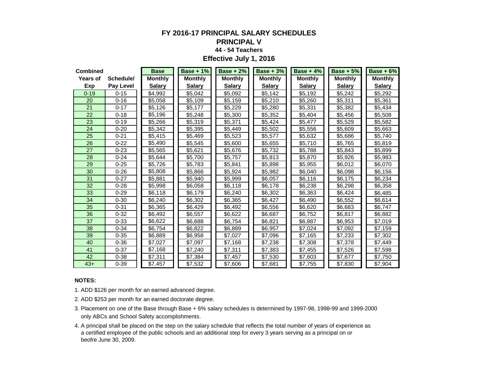#### **FY 2016-17 PRINCIPAL SALARY SCHEDULES PRINCIPAL V**

# **44 - 54 Teachers**

**Effective July 1, 2016**

| <b>Combined</b> |                  | <b>Base</b>    | <b>Base + 1%</b> | Base + $2\%$   | Base + $3\%$   | <b>Base + 4%</b> | Base $+5%$     | $Base + 6%$    |
|-----------------|------------------|----------------|------------------|----------------|----------------|------------------|----------------|----------------|
| Years of        | Schedule/        | <b>Monthly</b> | <b>Monthly</b>   | <b>Monthly</b> | <b>Monthly</b> | <b>Monthly</b>   | <b>Monthly</b> | <b>Monthly</b> |
| Exp             | <b>Pay Level</b> | <b>Salary</b>  | <b>Salary</b>    | <b>Salary</b>  | <b>Salary</b>  | <b>Salary</b>    | <b>Salary</b>  | <b>Salary</b>  |
| $0 - 19$        | $0 - 15$         | \$4,992        | \$5,042          | \$5,092        | \$5,142        | \$5,192          | \$5,242        | \$5,292        |
| 20              | $0 - 16$         | \$5,058        | \$5.109          | \$5,159        | \$5,210        | \$5,260          | \$5,311        | \$5,361        |
| 21              | $0 - 17$         | \$5,126        | \$5,177          | \$5,229        | \$5,280        | \$5,331          | \$5,382        | \$5,434        |
| 22              | $0 - 18$         | \$5,196        | \$5,248          | \$5,300        | \$5,352        | \$5,404          | \$5,456        | \$5,508        |
| 23              | $0 - 19$         | \$5,266        | \$5,319          | \$5,371        | \$5,424        | \$5,477          | \$5,529        | \$5,582        |
| 24              | $0 - 20$         | \$5,342        | \$5,395          | \$5,449        | \$5,502        | \$5,556          | \$5,609        | \$5,663        |
| 25              | $0 - 21$         | \$5,415        | \$5,469          | \$5,523        | \$5,577        | \$5,632          | \$5,686        | \$5,740        |
| 26              | $0 - 22$         | \$5,490        | \$5,545          | \$5,600        | \$5,655        | \$5,710          | \$5,765        | \$5,819        |
| 27              | $0 - 23$         | \$5,565        | \$5,621          | \$5,676        | \$5,732        | \$5,788          | \$5,843        | \$5,899        |
| 28              | $0 - 24$         | \$5,644        | \$5,700          | \$5,757        | \$5,813        | \$5,870          | \$5,926        | \$5,983        |
| 29              | $0 - 25$         | \$5,726        | \$5.783          | \$5,841        | \$5,898        | \$5,955          | \$6,012        | \$6,070        |
| 30              | $0 - 26$         | \$5,808        | \$5,866          | \$5,924        | \$5,982        | \$6.040          | \$6,098        | \$6,156        |
| 31              | $0 - 27$         | \$5,881        | \$5,940          | \$5,999        | \$6,057        | \$6,116          | \$6,175        | \$6,234        |
| 32              | $0 - 28$         | \$5,998        | \$6,058          | \$6,118        | \$6,178        | \$6,238          | \$6,298        | \$6,358        |
| 33              | $0 - 29$         | \$6,118        | \$6,179          | \$6,240        | \$6,302        | \$6,363          | \$6,424        | \$6,485        |
| 34              | $0 - 30$         | \$6,240        | \$6,302          | \$6,365        | \$6,427        | \$6,490          | \$6,552        | \$6,614        |
| 35              | $0 - 31$         | \$6,365        | \$6,429          | \$6,492        | \$6,556        | \$6,620          | \$6,683        | \$6,747        |
| 36              | $0 - 32$         | \$6,492        | \$6,557          | \$6,622        | \$6,687        | \$6,752          | \$6,817        | \$6,882        |
| 37              | $0 - 33$         | \$6,622        | \$6,688          | \$6,754        | \$6,821        | \$6,887          | \$6,953        | \$7,019        |
| 38              | $0 - 34$         | \$6,754        | \$6,822          | \$6,889        | \$6,957        | \$7,024          | \$7,092        | \$7,159        |
| 39              | $0 - 35$         | \$6,889        | \$6,958          | \$7,027        | \$7,096        | \$7,165          | \$7,233        | \$7,302        |
| 40              | $0 - 36$         | \$7,027        | \$7,097          | \$7,168        | \$7,238        | \$7,308          | \$7,378        | \$7,449        |
| 41              | $0 - 37$         | \$7,168        | \$7,240          | \$7,311        | \$7,383        | \$7,455          | \$7,526        | \$7,598        |
| 42              | $0 - 38$         | \$7,311        | \$7,384          | \$7,457        | \$7,530        | \$7,603          | \$7,677        | \$7,750        |
| $43+$           | $0 - 39$         | \$7,457        | \$7,532          | \$7,606        | \$7,681        | \$7,755          | \$7,830        | \$7,904        |

#### **NOTES:**

1. ADD \$126 per month for an earned advanced degree.

- 3. Placement on one of the Base through Base + 6% salary schedules is determined by 1997-98, 1998-99 and 1999-2000 only ABCs and School Safety accomplishments.
- 4. A principal shall be placed on the step on the salary schedule that reflects the total number of years of experience as a certified employee of the public schools and an additional step for every 3 years serving as a principal on or beofre June 30, 2009.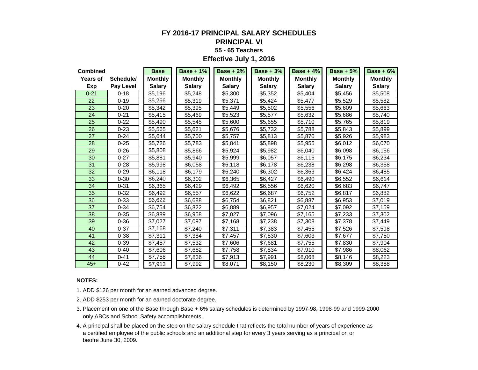### **FY 2016-17 PRINCIPAL SALARY SCHEDULES PRINCIPAL VI 55 - 65 Teachers Effective July 1, 2016**

| <b>Combined</b> |                  | <b>Base</b>    | Base + $1\%$   | Base $+2\%$    | Base $+3%$     | Base + $4\%$   | Base $+5%$     | Base $+6\%$    |
|-----------------|------------------|----------------|----------------|----------------|----------------|----------------|----------------|----------------|
| Years of        | Schedule/        | <b>Monthly</b> | <b>Monthly</b> | <b>Monthly</b> | <b>Monthly</b> | <b>Monthly</b> | <b>Monthly</b> | <b>Monthly</b> |
| Exp             | <b>Pay Level</b> | <b>Salary</b>  | <b>Salary</b>  | <b>Salary</b>  | <b>Salary</b>  | <b>Salary</b>  | <b>Salary</b>  | <b>Salary</b>  |
| $0 - 21$        | $0 - 18$         | \$5,196        | \$5,248        | \$5,300        | \$5,352        | \$5,404        | \$5,456        | \$5,508        |
| 22              | $0 - 19$         | \$5,266        | \$5,319        | \$5,371        | \$5,424        | \$5,477        | \$5,529        | \$5,582        |
| 23              | $0 - 20$         | \$5,342        | \$5,395        | \$5,449        | \$5,502        | \$5,556        | \$5,609        | \$5,663        |
| 24              | $0 - 21$         | \$5,415        | \$5,469        | \$5,523        | \$5,577        | \$5,632        | \$5,686        | \$5,740        |
| 25              | $0 - 22$         | \$5,490        | \$5,545        | \$5,600        | \$5,655        | \$5,710        | \$5.765        | \$5,819        |
| 26              | $0 - 23$         | \$5,565        | \$5,621        | \$5,676        | \$5,732        | \$5,788        | \$5,843        | \$5,899        |
| 27              | $0 - 24$         | \$5,644        | \$5,700        | \$5,757        | \$5,813        | \$5,870        | \$5,926        | \$5,983        |
| 28              | $0 - 25$         | \$5,726        | \$5,783        | \$5,841        | \$5,898        | \$5,955        | \$6,012        | \$6,070        |
| 29              | $0 - 26$         | \$5,808        | \$5,866        | \$5,924        | \$5,982        | \$6,040        | \$6,098        | \$6,156        |
| 30              | $0 - 27$         | \$5,881        | \$5,940        | \$5,999        | \$6,057        | \$6,116        | \$6,175        | \$6,234        |
| 31              | $0 - 28$         | \$5,998        | \$6,058        | \$6,118        | \$6,178        | \$6,238        | \$6,298        | \$6,358        |
| 32              | $0 - 29$         | \$6,118        | \$6,179        | \$6,240        | \$6,302        | \$6,363        | \$6,424        | \$6,485        |
| 33              | $0 - 30$         | \$6,240        | \$6,302        | \$6,365        | \$6,427        | \$6,490        | \$6,552        | \$6,614        |
| 34              | $0 - 31$         | \$6.365        | \$6,429        | \$6,492        | \$6,556        | \$6,620        | \$6,683        | \$6,747        |
| 35              | $0 - 32$         | \$6,492        | \$6,557        | \$6,622        | \$6,687        | \$6,752        | \$6,817        | \$6,882        |
| 36              | $0 - 33$         | \$6,622        | \$6,688        | \$6,754        | \$6,821        | \$6,887        | \$6,953        | \$7,019        |
| 37              | $0 - 34$         | \$6,754        | \$6,822        | \$6,889        | \$6,957        | \$7,024        | \$7,092        | \$7,159        |
| 38              | $0 - 35$         | \$6,889        | \$6,958        | \$7,027        | \$7,096        | \$7,165        | \$7,233        | \$7,302        |
| 39              | $0 - 36$         | \$7,027        | \$7,097        | \$7,168        | \$7,238        | \$7,308        | \$7,378        | \$7,449        |
| 40              | $0 - 37$         | \$7,168        | \$7,240        | \$7,311        | \$7,383        | \$7,455        | \$7,526        | \$7,598        |
| 41              | $0 - 38$         | \$7,311        | \$7,384        | \$7,457        | \$7,530        | \$7,603        | \$7,677        | \$7,750        |
| 42              | $0 - 39$         | \$7,457        | \$7,532        | \$7,606        | \$7,681        | \$7,755        | \$7,830        | \$7,904        |
| 43              | $0 - 40$         | \$7,606        | \$7,682        | \$7,758        | \$7,834        | \$7,910        | \$7,986        | \$8,062        |
| 44              | $0 - 41$         | \$7,758        | \$7,836        | \$7,913        | \$7,991        | \$8,068        | \$8,146        | \$8,223        |
| $45+$           | $0 - 42$         | \$7,913        | \$7,992        | \$8,071        | \$8,150        | \$8,230        | \$8,309        | \$8,388        |

#### **NOTES:**

1. ADD \$126 per month for an earned advanced degree.

- 3. Placement on one of the Base through Base + 6% salary schedules is determined by 1997-98, 1998-99 and 1999-2000 only ABCs and School Safety accomplishments.
- 4. A principal shall be placed on the step on the salary schedule that reflects the total number of years of experience as a certified employee of the public schools and an additional step for every 3 years serving as a principal on or beofre June 30, 2009.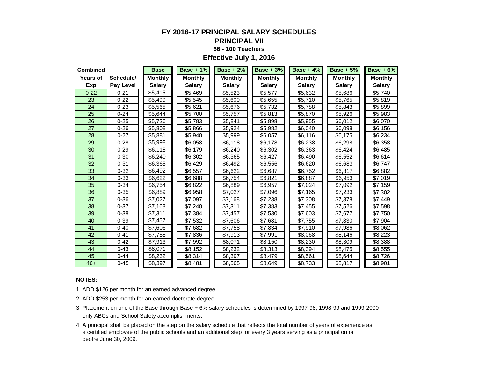### **FY 2016-17 PRINCIPAL SALARY SCHEDULES**

#### **PRINCIPAL VII**

#### **66 - 100 Teachers**

**Effective July 1, 2016**

| <b>Combined</b> |                  | <b>Base</b>    | Base + $1\%$   | Base + $2\%$   | <b>Base + 3%</b> | <b>Base + 4%</b> | $Base + 5%$    | $Base + 6%$    |
|-----------------|------------------|----------------|----------------|----------------|------------------|------------------|----------------|----------------|
| Years of        | Schedule/        | <b>Monthly</b> | <b>Monthly</b> | <b>Monthly</b> | <b>Monthly</b>   | <b>Monthly</b>   | <b>Monthly</b> | <b>Monthly</b> |
| Exp             | <b>Pay Level</b> | <b>Salary</b>  | <b>Salary</b>  | <b>Salary</b>  | <b>Salary</b>    | <b>Salary</b>    | <b>Salary</b>  | <b>Salary</b>  |
| $0 - 22$        | $0 - 21$         | \$5.415        | \$5,469        | \$5,523        | \$5,577          | \$5,632          | \$5,686        | \$5.740        |
| 23              | $0 - 22$         | \$5,490        | \$5,545        | \$5,600        | \$5,655          | \$5,710          | \$5,765        | \$5,819        |
| 24              | $0 - 23$         | \$5,565        | \$5,621        | \$5,676        | \$5,732          | \$5,788          | \$5,843        | \$5,899        |
| 25              | $0 - 24$         | \$5,644        | \$5,700        | \$5,757        | \$5,813          | \$5,870          | \$5,926        | \$5,983        |
| 26              | $0 - 25$         | \$5,726        | \$5,783        | \$5,841        | \$5,898          | \$5,955          | \$6,012        | \$6,070        |
| 27              | $0 - 26$         | \$5,808        | \$5,866        | \$5,924        | \$5,982          | \$6,040          | \$6,098        | \$6,156        |
| 28              | $0 - 27$         | \$5,881        | \$5,940        | \$5,999        | \$6,057          | \$6,116          | \$6,175        | \$6,234        |
| 29              | $0 - 28$         | \$5,998        | \$6,058        | \$6,118        | \$6,178          | \$6,238          | \$6,298        | \$6,358        |
| 30              | $0 - 29$         | \$6,118        | \$6,179        | \$6,240        | \$6,302          | \$6,363          | \$6,424        | \$6,485        |
| 31              | $0 - 30$         | \$6,240        | \$6,302        | \$6,365        | \$6,427          | \$6,490          | \$6,552        | \$6,614        |
| 32              | $0 - 31$         | \$6,365        | \$6,429        | \$6,492        | \$6,556          | \$6,620          | \$6,683        | \$6,747        |
| 33              | $0 - 32$         | \$6,492        | \$6,557        | \$6,622        | \$6,687          | \$6,752          | \$6,817        | \$6,882        |
| 34              | $0 - 33$         | \$6,622        | \$6,688        | \$6,754        | \$6,821          | \$6,887          | \$6,953        | \$7,019        |
| 35              | $0 - 34$         | \$6,754        | \$6,822        | \$6,889        | \$6.957          | \$7,024          | \$7,092        | \$7,159        |
| 36              | $0 - 35$         | \$6,889        | \$6,958        | \$7,027        | \$7,096          | \$7,165          | \$7,233        | \$7,302        |
| 37              | $0 - 36$         | \$7,027        | \$7,097        | \$7,168        | \$7,238          | \$7,308          | \$7,378        | \$7,449        |
| 38              | $0 - 37$         | \$7,168        | \$7,240        | \$7,311        | \$7,383          | \$7,455          | \$7,526        | \$7,598        |
| 39              | $0 - 38$         | \$7,311        | \$7,384        | \$7,457        | \$7,530          | \$7,603          | \$7,677        | \$7,750        |
| 40              | $0 - 39$         | \$7,457        | \$7,532        | \$7,606        | \$7,681          | \$7,755          | \$7,830        | \$7,904        |
| 41              | $0 - 40$         | \$7,606        | \$7,682        | \$7,758        | \$7,834          | \$7,910          | \$7,986        | \$8,062        |
| 42              | $0 - 41$         | \$7,758        | \$7,836        | \$7,913        | \$7,991          | \$8,068          | \$8,146        | \$8,223        |
| 43              | $0 - 42$         | \$7,913        | \$7,992        | \$8,071        | \$8,150          | \$8,230          | \$8,309        | \$8,388        |
| 44              | $0 - 43$         | \$8,071        | \$8,152        | \$8,232        | \$8,313          | \$8,394          | \$8,475        | \$8,555        |
| 45              | $0 - 44$         | \$8,232        | \$8,314        | \$8,397        | \$8,479          | \$8,561          | \$8,644        | \$8,726        |
| $46+$           | $0 - 45$         | \$8,397        | \$8,481        | \$8,565        | \$8,649          | \$8,733          | \$8,817        | \$8,901        |

#### **NOTES:**

1. ADD \$126 per month for an earned advanced degree.

- 3. Placement on one of the Base through Base + 6% salary schedules is determined by 1997-98, 1998-99 and 1999-2000 only ABCs and School Safety accomplishments.
- 4. A principal shall be placed on the step on the salary schedule that reflects the total number of years of experience as a certified employee of the public schools and an additional step for every 3 years serving as a principal on or beofre June 30, 2009.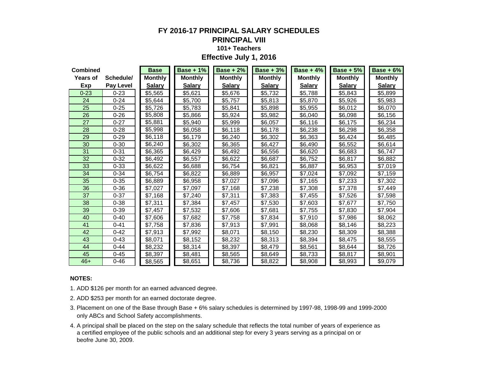#### **FY 2016-17 PRINCIPAL SALARY SCHEDULES PRINCIPAL VIII**

# **101+ Teachers**

**Effective July 1, 2016**

| <b>Combined</b> |                  | <b>Base</b>    | <b>Base + 1%</b> | $Base + 2%$    | Base + $3\%$   | Base + $4\%$   | Base + $5\%$   | $Base + 6%$    |
|-----------------|------------------|----------------|------------------|----------------|----------------|----------------|----------------|----------------|
| Years of        | Schedule/        | <b>Monthly</b> | <b>Monthly</b>   | <b>Monthly</b> | <b>Monthly</b> | <b>Monthly</b> | <b>Monthly</b> | <b>Monthly</b> |
| Exp             | <b>Pay Level</b> | <b>Salary</b>  | <b>Salary</b>    | <b>Salary</b>  | <b>Salary</b>  | <b>Salary</b>  | <b>Salary</b>  | <b>Salary</b>  |
| $0 - 23$        | $0 - 23$         | \$5,565        | \$5,621          | \$5,676        | \$5,732        | \$5,788        | \$5,843        | \$5,899        |
| 24              | $0 - 24$         | \$5,644        | \$5,700          | \$5,757        | \$5,813        | \$5,870        | \$5,926        | \$5,983        |
| 25              | $0 - 25$         | \$5,726        | \$5,783          | \$5,841        | \$5,898        | \$5,955        | \$6,012        | \$6,070        |
| 26              | $0 - 26$         | \$5,808        | \$5,866          | \$5,924        | \$5,982        | \$6,040        | \$6,098        | \$6,156        |
| 27              | $0 - 27$         | \$5,881        | \$5,940          | \$5,999        | \$6,057        | \$6,116        | \$6,175        | \$6,234        |
| 28              | $0 - 28$         | \$5,998        | \$6,058          | \$6,118        | \$6,178        | \$6,238        | \$6,298        | \$6,358        |
| 29              | $0 - 29$         | \$6,118        | \$6,179          | \$6,240        | \$6,302        | \$6,363        | \$6,424        | \$6,485        |
| 30              | $0 - 30$         | \$6,240        | \$6,302          | \$6,365        | \$6,427        | \$6,490        | \$6,552        | \$6,614        |
| 31              | $0 - 31$         | \$6,365        | \$6,429          | \$6,492        | \$6,556        | \$6,620        | \$6,683        | \$6,747        |
| 32              | $0 - 32$         | \$6,492        | \$6,557          | \$6,622        | \$6,687        | \$6,752        | \$6,817        | \$6,882        |
| 33              | $0 - 33$         | \$6,622        | \$6,688          | \$6,754        | \$6,821        | \$6,887        | \$6,953        | \$7,019        |
| 34              | $0 - 34$         | \$6,754        | \$6,822          | \$6,889        | \$6,957        | \$7,024        | \$7,092        | \$7,159        |
| 35              | $0 - 35$         | \$6,889        | \$6,958          | \$7,027        | \$7,096        | \$7,165        | \$7,233        | \$7,302        |
| 36              | $0 - 36$         | \$7,027        | \$7,097          | \$7,168        | \$7,238        | \$7,308        | \$7,378        | \$7,449        |
| 37              | $0 - 37$         | \$7,168        | \$7,240          | \$7,311        | \$7,383        | \$7,455        | \$7,526        | \$7,598        |
| 38              | $0 - 38$         | \$7,311        | \$7,384          | \$7,457        | \$7,530        | \$7,603        | \$7,677        | \$7,750        |
| 39              | $0 - 39$         | \$7,457        | \$7,532          | \$7,606        | \$7,681        | \$7,755        | \$7,830        | \$7,904        |
| 40              | $0 - 40$         | \$7,606        | \$7,682          | \$7,758        | \$7,834        | \$7,910        | \$7,986        | \$8,062        |
| 41              | $0 - 41$         | \$7,758        | \$7,836          | \$7,913        | \$7,991        | \$8,068        | \$8,146        | \$8,223        |
| 42              | $0 - 42$         | \$7,913        | \$7,992          | \$8,071        | \$8,150        | \$8,230        | \$8,309        | \$8,388        |
| 43              | $0 - 43$         | \$8,071        | \$8,152          | \$8,232        | \$8,313        | \$8,394        | \$8,475        | \$8,555        |
| 44              | $0 - 44$         | \$8,232        | \$8,314          | \$8,397        | \$8,479        | \$8,561        | \$8,644        | \$8,726        |
| 45              | $0 - 45$         | \$8,397        | \$8,481          | \$8,565        | \$8,649        | \$8,733        | \$8,817        | \$8,901        |
| $46+$           | $0 - 46$         | \$8,565        | \$8,651          | \$8,736        | \$8,822        | \$8,908        | \$8,993        | \$9,079        |

#### **NOTES:**

1. ADD \$126 per month for an earned advanced degree.

- 3. Placement on one of the Base through Base + 6% salary schedules is determined by 1997-98, 1998-99 and 1999-2000 only ABCs and School Safety accomplishments.
- 4. A principal shall be placed on the step on the salary schedule that reflects the total number of years of experience as a certified employee of the public schools and an additional step for every 3 years serving as a principal on or beofre June 30, 2009.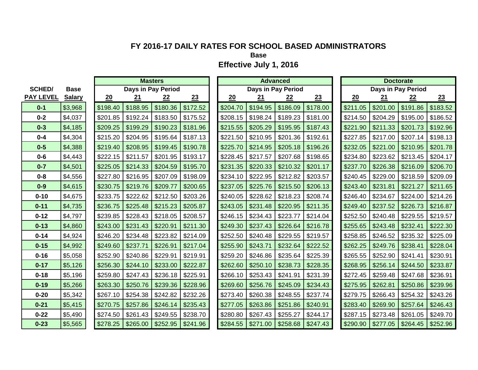**Base**

|                  |               |          |          | <b>Masters</b>     |          |          |                    | <b>Advanced</b> |          |          |          | <b>Doctorate</b>   |          |
|------------------|---------------|----------|----------|--------------------|----------|----------|--------------------|-----------------|----------|----------|----------|--------------------|----------|
| <b>SCHED/</b>    | <b>Base</b>   |          |          | Days in Pay Period |          |          | Days in Pay Period |                 |          |          |          | Days in Pay Period |          |
| <b>PAY LEVEL</b> | <b>Salary</b> | 20       | 21       | 22                 | 23       | 20       | 21                 | 22              | 23       | 20       | 21       | 22                 | 23       |
| $0 - 1$          | \$3,968       | \$198.40 | \$188.95 | \$180.36           | \$172.52 | \$204.70 | \$194.95           | \$186.09        | \$178.00 | \$211.05 | \$201.00 | \$191.86           | \$183.52 |
| $0 - 2$          | \$4,037       | \$201.85 | \$192.24 | \$183.50           | \$175.52 | \$208.15 | \$198.24           | \$189.23        | \$181.00 | \$214.50 | \$204.29 | \$195.00           | \$186.52 |
| $0 - 3$          | \$4,185       | \$209.25 | \$199.29 | \$190.23           | \$181.96 | \$215.55 | \$205.29           | \$195.95        | \$187.43 | \$221.90 | \$211.33 | \$201.73           | \$192.96 |
| $0 - 4$          | \$4,304       | \$215.20 | \$204.95 | \$195.64           | \$187.13 | \$221.50 | \$210.95           | \$201.36        | \$192.61 | \$227.85 | \$217.00 | \$207.14           | \$198.13 |
| $0-5$            | \$4,388       | \$219.40 | \$208.95 | \$199.45           | \$190.78 | \$225.70 | \$214.95           | \$205.18        | \$196.26 | \$232.05 | \$221.00 | \$210.95           | \$201.78 |
| $0 - 6$          | \$4,443       | \$222.15 | \$211.57 | \$201.95           | \$193.17 | \$228.45 | \$217.57           | \$207.68        | \$198.65 | \$234.80 | \$223.62 | \$213.45           | \$204.17 |
| $0 - 7$          | \$4,501       | \$225.05 | \$214.33 | \$204.59           | \$195.70 | \$231.35 | \$220.33           | \$210.32        | \$201.17 | \$237.70 | \$226.38 | \$216.09           | \$206.70 |
| $0 - 8$          | \$4,556       | \$227.80 | \$216.95 | \$207.09           | \$198.09 | \$234.10 | \$222.95           | \$212.82        | \$203.57 | \$240.45 | \$229.00 | \$218.59           | \$209.09 |
| $0-9$            | \$4,615       | \$230.75 | \$219.76 | \$209.77           | \$200.65 | \$237.05 | \$225.76           | \$215.50        | \$206.13 | \$243.40 | \$231.81 | \$221.27           | \$211.65 |
| $0 - 10$         | \$4,675       | \$233.75 | \$222.62 | \$212.50           | \$203.26 | \$240.05 | \$228.62           | \$218.23        | \$208.74 | \$246.40 | \$234.67 | \$224.00           | \$214.26 |
| $0 - 11$         | \$4,735       | \$236.75 | \$225.48 | \$215.23           | \$205.87 | \$243.05 | \$231.48           | \$220.95        | \$211.35 | \$249.40 | \$237.52 | \$226.73           | \$216.87 |
| $0 - 12$         | \$4,797       | \$239.85 | \$228.43 | \$218.05           | \$208.57 | \$246.15 | \$234.43           | \$223.77        | \$214.04 | \$252.50 | \$240.48 | \$229.55           | \$219.57 |
| $0 - 13$         | \$4,860       | \$243.00 | \$231.43 | \$220.91           | \$211.30 | \$249.30 | \$237.43           | \$226.64        | \$216.78 | \$255.65 | \$243.48 | \$232.41           | \$222.30 |
| $0 - 14$         | \$4,924       | \$246.20 | \$234.48 | \$223.82           | \$214.09 | \$252.50 | \$240.48           | \$229.55        | \$219.57 | \$258.85 | \$246.52 | \$235.32           | \$225.09 |
| $0 - 15$         | \$4,992       | \$249.60 | \$237.71 | \$226.91           | \$217.04 | \$255.90 | \$243.71           | \$232.64        | \$222.52 | \$262.25 | \$249.76 | \$238.41           | \$228.04 |
| $0 - 16$         | \$5,058       | \$252.90 | \$240.86 | \$229.91           | \$219.91 | \$259.20 | \$246.86           | \$235.64        | \$225.39 | \$265.55 | \$252.90 | \$241.41           | \$230.91 |
| $0 - 17$         | \$5,126       | \$256.30 | \$244.10 | \$233.00           | \$222.87 | \$262.60 | \$250.10           | \$238.73        | \$228.35 | \$268.95 | \$256.14 | \$244.50           | \$233.87 |
| $0 - 18$         | \$5,196       | \$259.80 | \$247.43 | \$236.18           | \$225.91 | \$266.10 | \$253.43           | \$241.91        | \$231.39 | \$272.45 | \$259.48 | \$247.68           | \$236.91 |
| $0 - 19$         | \$5,266       | \$263.30 | \$250.76 | \$239.36           | \$228.96 | \$269.60 | \$256.76           | \$245.09        | \$234.43 | \$275.95 | \$262.81 | \$250.86           | \$239.96 |
| $0 - 20$         | \$5,342       | \$267.10 | \$254.38 | \$242.82           | \$232.26 | \$273.40 | \$260.38           | \$248.55        | \$237.74 | \$279.75 | \$266.43 | \$254.32           | \$243.26 |
| $0 - 21$         | \$5,415       | \$270.75 | \$257.86 | \$246.14           | \$235.43 | \$277.05 | \$263.86           | \$251.86        | \$240.91 | \$283.40 | \$269.90 | \$257.64           | \$246.43 |
| $0 - 22$         | \$5,490       | \$274.50 | \$261.43 | \$249.55           | \$238.70 | \$280.80 | \$267.43           | \$255.27        | \$244.17 | \$287.15 | \$273.48 | \$261.05           | \$249.70 |
| $0 - 23$         | \$5,565       | \$278.25 | \$265.00 | \$252.95           | \$241.96 | \$284.55 | \$271.00           | \$258.68        | \$247.43 | \$290.90 | \$277.05 | \$264.45           | \$252.96 |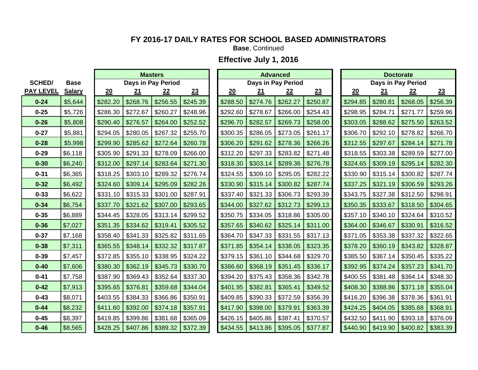**Base**, Continued

|                  |               |          |          | <b>Masters</b>     |          |          |           | <b>Advanced</b>    |          |          |           | <b>Doctorate</b>   |          |
|------------------|---------------|----------|----------|--------------------|----------|----------|-----------|--------------------|----------|----------|-----------|--------------------|----------|
| <b>SCHED/</b>    | <b>Base</b>   |          |          | Days in Pay Period |          |          |           | Days in Pay Period |          |          |           | Days in Pay Period |          |
| <b>PAY LEVEL</b> | <b>Salary</b> | 20       | 21       | 22                 | 23       | 20       | <u>21</u> | 22                 | 23       | 20       | <u>21</u> | 22                 | 23       |
| $0 - 24$         | \$5,644       | \$282.20 | \$268.76 | \$256.55           | \$245.39 | \$288.50 | \$274.76  | \$262.27           | \$250.87 | \$294.85 | \$280.81  | \$268.05           | \$256.39 |
| $0 - 25$         | \$5,726       | \$286.30 | \$272.67 | \$260.27           | \$248.96 | \$292.60 | \$278.67  | \$266.00           | \$254.43 | \$298.95 | \$284.71  | \$271.77           | \$259.96 |
| $0 - 26$         | \$5,808       | \$290.40 | \$276.57 | \$264.00           | \$252.52 | \$296.70 | \$282.57  | \$269.73           | \$258.00 | \$303.05 | \$288.62  | \$275.50           | \$263.52 |
| $0 - 27$         | \$5,881       | \$294.05 | \$280.05 | \$267.32           | \$255.70 | \$300.35 | \$286.05  | \$273.05           | \$261.17 | \$306.70 | \$292.10  | \$278.82           | \$266.70 |
| $0 - 28$         | \$5,998       | \$299.90 | \$285.62 | \$272.64           | \$260.78 | \$306.20 | \$291.62  | \$278.36           | \$266.26 | \$312.55 | \$297.67  | \$284.14           | \$271.78 |
| $0 - 29$         | \$6,118       | \$305.90 | \$291.33 | \$278.09           | \$266.00 | \$312.20 | \$297.33  | \$283.82           | \$271.48 | \$318.55 | \$303.38  | \$289.59           | \$277.00 |
| $0 - 30$         | \$6,240       | \$312.00 | \$297.14 | \$283.64           | \$271.30 | \$318.30 | \$303.14  | \$289.36           | \$276.78 | \$324.65 | \$309.19  | \$295.14           | \$282.30 |
| $0 - 31$         | \$6,365       | \$318.25 | \$303.10 | \$289.32           | \$276.74 | \$324.55 | \$309.10  | \$295.05           | \$282.22 | \$330.90 | \$315.14  | \$300.82           | \$287.74 |
| $0 - 32$         | \$6,492       | \$324.60 | \$309.14 | \$295.09           | \$282.26 | \$330.90 | \$315.14  | \$300.82           | \$287.74 | \$337.25 | \$321.19  | \$306.59           | \$293.26 |
| $0 - 33$         | \$6,622       | \$331.10 | \$315.33 | \$301.00           | \$287.91 | \$337.40 | \$321.33  | \$306.73           | \$293.39 | \$343.75 | \$327.38  | \$312.50           | \$298.91 |
| $0 - 34$         | \$6,754       | \$337.70 | \$321.62 | \$307.00           | \$293.65 | \$344.00 | \$327.62  | \$312.73           | \$299.13 | \$350.35 | \$333.67  | \$318.50           | \$304.65 |
| $0 - 35$         | \$6,889       | \$344.45 | \$328.05 | \$313.14           | \$299.52 | \$350.75 | \$334.05  | \$318.86           | \$305.00 | \$357.10 | \$340.10  | \$324.64           | \$310.52 |
| $0 - 36$         | \$7,027       | \$351.35 | \$334.62 | \$319.41           | \$305.52 | \$357.65 | \$340.62  | \$325.14           | \$311.00 | \$364.00 | \$346.67  | \$330.91           | \$316.52 |
| $0 - 37$         | \$7,168       | \$358.40 | \$341.33 | \$325.82           | \$311.65 | \$364.70 | \$347.33  | \$331.55           | \$317.13 | \$371.05 | \$353.38  | \$337.32           | \$322.65 |
| $0 - 38$         | \$7,311       | \$365.55 | \$348.14 | \$332.32           | \$317.87 | \$371.85 | \$354.14  | \$338.05           | \$323.35 | \$378.20 | \$360.19  | \$343.82           | \$328.87 |
| $0 - 39$         | \$7,457       | \$372.85 | \$355.10 | \$338.95           | \$324.22 | \$379.15 | \$361.10  | \$344.68           | \$329.70 | \$385.50 | \$367.14  | \$350.45           | \$335.22 |
| $0 - 40$         | \$7,606       | \$380.30 | \$362.19 | \$345.73           | \$330.70 | \$386.60 | \$368.19  | \$351.45           | \$336.17 | \$392.95 | \$374.24  | \$357.23           | \$341.70 |
| $0 - 41$         | \$7,758       | \$387.90 | \$369.43 | \$352.64           | \$337.30 | \$394.20 | \$375.43  | \$358.36           | \$342.78 | \$400.55 | \$381.48  | \$364.14           | \$348.30 |
| $0 - 42$         | \$7,913       | \$395.65 | \$376.81 | \$359.68           | \$344.04 | \$401.95 | \$382.81  | \$365.41           | \$349.52 | \$408.30 | \$388.86  | \$371.18           | \$355.04 |
| $0 - 43$         | \$8,071       | \$403.55 | \$384.33 | \$366.86           | \$350.91 | \$409.85 | \$390.33  | \$372.59           | \$356.39 | \$416.20 | \$396.38  | \$378.36           | \$361.91 |
| $0 - 44$         | \$8,232       | \$411.60 | \$392.00 | \$374.18           | \$357.91 | \$417.90 | \$398.00  | \$379.91           | \$363.39 | \$424.25 | \$404.05  | \$385.68           | \$368.91 |
| $0 - 45$         | \$8,397       | \$419.85 | \$399.86 | \$381.68           | \$365.09 | \$426.15 | \$405.86  | \$387.41           | \$370.57 | \$432.50 | \$411.90  | \$393.18           | \$376.09 |
| $0 - 46$         | \$8,565       | \$428.25 | \$407.86 | \$389.32           | \$372.39 | \$434.55 | \$413.86  | \$395.05           | \$377.87 | \$440.90 | \$419.90  | \$400.82           | \$383.39 |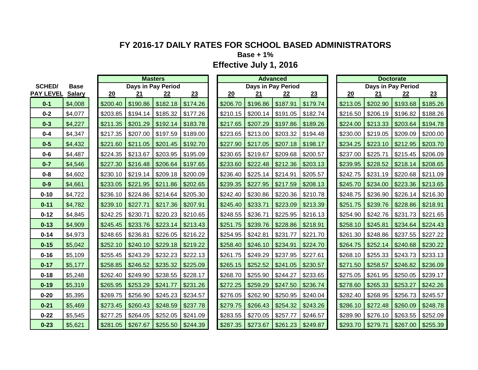**Base + 1%**

|                  |               |          | <b>Masters</b> |                    |          |          | <b>Advanced</b> |                    |          |          |          | <b>Doctorate</b>   |          |
|------------------|---------------|----------|----------------|--------------------|----------|----------|-----------------|--------------------|----------|----------|----------|--------------------|----------|
| <b>SCHED/</b>    | <b>Base</b>   |          |                | Days in Pay Period |          |          |                 | Days in Pay Period |          |          |          | Days in Pay Period |          |
| <b>PAY LEVEL</b> | <b>Salary</b> | 20       | 21             | 22                 | 23       | 20       | 21              | 22                 | 23       | 20       | 21       | 22                 | 23       |
| $0 - 1$          | \$4,008       | \$200.40 | \$190.86       | \$182.18           | \$174.26 | \$206.70 | \$196.86        | \$187.91           | \$179.74 | \$213.05 | \$202.90 | \$193.68           | \$185.26 |
| $0 - 2$          | \$4,077       | \$203.85 | \$194.14       | \$185.32           | \$177.26 | \$210.15 | \$200.14        | \$191.05           | \$182.74 | \$216.50 | \$206.19 | \$196.82           | \$188.26 |
| $0 - 3$          | \$4,227       | \$211.35 | \$201.29       | \$192.14           | \$183.78 | \$217.65 | \$207.29        | \$197.86           | \$189.26 | \$224.00 | \$213.33 | \$203.64           | \$194.78 |
| $0 - 4$          | \$4,347       | \$217.35 | \$207.00       | \$197.59           | \$189.00 | \$223.65 | \$213.00        | \$203.32           | \$194.48 | \$230.00 | \$219.05 | \$209.09           | \$200.00 |
| $0 - 5$          | \$4,432       | \$221.60 | \$211.05       | \$201.45           | \$192.70 | \$227.90 | \$217.05        | \$207.18           | \$198.17 | \$234.25 | \$223.10 | \$212.95           | \$203.70 |
| $0 - 6$          | \$4,487       | \$224.35 | \$213.67       | \$203.95           | \$195.09 | \$230.65 | \$219.67        | \$209.68           | \$200.57 | \$237.00 | \$225.71 | \$215.45           | \$206.09 |
| $0 - 7$          | \$4,546       | \$227.30 | \$216.48       | \$206.64           | \$197.65 | \$233.60 | \$222.48        | \$212.36           | \$203.13 | \$239.95 | \$228.52 | \$218.14           | \$208.65 |
| $0 - 8$          | \$4,602       | \$230.10 | \$219.14       | \$209.18           | \$200.09 | \$236.40 | \$225.14        | \$214.91           | \$205.57 | \$242.75 | \$231.19 | \$220.68           | \$211.09 |
| $0-9$            | \$4,661       | \$233.05 | \$221.95       | \$211.86           | \$202.65 | \$239.35 | \$227.95        | \$217.59           | \$208.13 | \$245.70 | \$234.00 | \$223.36           | \$213.65 |
| $0 - 10$         | \$4,722       | \$236.10 | \$224.86       | \$214.64           | \$205.30 | \$242.40 | \$230.86        | \$220.36           | \$210.78 | \$248.75 | \$236.90 | \$226.14           | \$216.30 |
| $0 - 11$         | \$4,782       | \$239.10 | \$227.71       | \$217.36           | \$207.91 | \$245.40 | \$233.71        | \$223.09           | \$213.39 | \$251.75 | \$239.76 | \$228.86           | \$218.91 |
| $0 - 12$         | \$4,845       | \$242.25 | \$230.71       | \$220.23           | \$210.65 | \$248.55 | \$236.71        | \$225.95           | \$216.13 | \$254.90 | \$242.76 | \$231.73           | \$221.65 |
| $0 - 13$         | \$4,909       | \$245.45 | \$233.76       | \$223.14           | \$213.43 | \$251.75 | \$239.76        | \$228.86           | \$218.91 | \$258.10 | \$245.81 | \$234.64           | \$224.43 |
| $0 - 14$         | \$4,973       | \$248.65 | \$236.81       | \$226.05           | \$216.22 | \$254.95 | \$242.81        | \$231.77           | \$221.70 | \$261.30 | \$248.86 | \$237.55           | \$227.22 |
| $0 - 15$         | \$5,042       | \$252.10 | \$240.10       | \$229.18           | \$219.22 | \$258.40 | \$246.10        | \$234.91           | \$224.70 | \$264.75 | \$252.14 | \$240.68           | \$230.22 |
| $0 - 16$         | \$5,109       | \$255.45 | \$243.29       | \$232.23           | \$222.13 | \$261.75 | \$249.29        | \$237.95           | \$227.61 | \$268.10 | \$255.33 | \$243.73           | \$233.13 |
| $0 - 17$         | \$5,177       | \$258.85 | \$246.52       | \$235.32           | \$225.09 | \$265.15 | \$252.52        | \$241.05           | \$230.57 | \$271.50 | \$258.57 | \$246.82           | \$236.09 |
| $0 - 18$         | \$5,248       | \$262.40 | \$249.90       | \$238.55           | \$228.17 | \$268.70 | \$255.90        | \$244.27           | \$233.65 | \$275.05 | \$261.95 | \$250.05           | \$239.17 |
| $0 - 19$         | \$5,319       | \$265.95 | \$253.29       | \$241.77           | \$231.26 | \$272.25 | \$259.29        | \$247.50           | \$236.74 | \$278.60 | \$265.33 | \$253.27           | \$242.26 |
| $0 - 20$         | \$5,395       | \$269.75 | \$256.90       | \$245.23           | \$234.57 | \$276.05 | \$262.90        | \$250.95           | \$240.04 | \$282.40 | \$268.95 | \$256.73           | \$245.57 |
| $0 - 21$         | \$5,469       | \$273.45 | \$260.43       | \$248.59           | \$237.78 | \$279.75 | \$266.43        | \$254.32           | \$243.26 | \$286.10 | \$272.48 | \$260.09           | \$248.78 |
| $0 - 22$         | \$5,545       | \$277.25 | \$264.05       | \$252.05           | \$241.09 | \$283.55 | \$270.05        | \$257.77           | \$246.57 | \$289.90 | \$276.10 | \$263.55           | \$252.09 |
| $0 - 23$         | \$5,621       | \$281.05 | \$267.67       | \$255.50           | \$244.39 | \$287.35 | \$273.67        | \$261.23           | \$249.87 | \$293.70 | \$279.71 | \$267.00           | \$255.39 |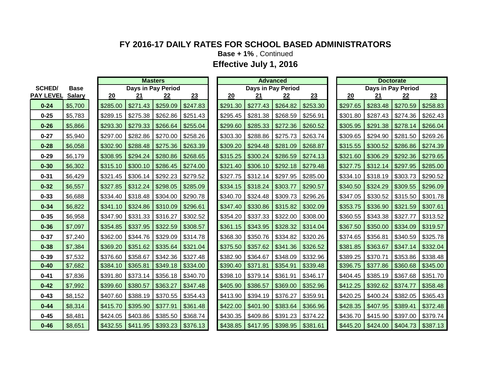**Base + 1%** , Continued

|                  |               |          |          | <b>Masters</b>     |          |          |                     | <b>Advanced</b>    |          |          |          | <b>Doctorate</b>   |          |
|------------------|---------------|----------|----------|--------------------|----------|----------|---------------------|--------------------|----------|----------|----------|--------------------|----------|
| <b>SCHED/</b>    | <b>Base</b>   |          |          | Days in Pay Period |          |          |                     | Days in Pay Period |          |          |          | Days in Pay Period |          |
| <b>PAY LEVEL</b> | <b>Salary</b> | 20       | 21       | 22                 | 23       | 20       | 21                  | 22                 | 23       | 20       | 21       | 22                 | 23       |
| $0 - 24$         | \$5,700       | \$285.00 | \$271.43 | \$259.09           | \$247.83 | \$291.30 | \$277.43            | \$264.82           | \$253.30 | \$297.65 | \$283.48 | \$270.59           | \$258.83 |
| $0 - 25$         | \$5,783       | \$289.15 | \$275.38 | \$262.86           | \$251.43 | \$295.45 | \$281.38            | \$268.59           | \$256.91 | \$301.80 | \$287.43 | \$274.36           | \$262.43 |
| $0 - 26$         | \$5,866       | \$293.30 | \$279.33 | \$266.64           | \$255.04 | \$299.60 | \$285.33            | \$272.36           | \$260.52 | \$305.95 | \$291.38 | \$278.14           | \$266.04 |
| $0 - 27$         | \$5,940       | \$297.00 | \$282.86 | \$270.00           | \$258.26 | \$303.30 | \$288.86            | \$275.73           | \$263.74 | \$309.65 | \$294.90 | \$281.50           | \$269.26 |
| $0 - 28$         | \$6,058       | \$302.90 | \$288.48 | \$275.36           | \$263.39 | \$309.20 | \$294.48            | \$281.09           | \$268.87 | \$315.55 | \$300.52 | \$286.86           | \$274.39 |
| $0 - 29$         | \$6,179       | \$308.95 | \$294.24 | \$280.86           | \$268.65 | \$315.25 | \$300.24            | \$286.59           | \$274.13 | \$321.60 | \$306.29 | \$292.36           | \$279.65 |
| $0 - 30$         | \$6,302       | \$315.10 | \$300.10 | \$286.45           | \$274.00 | \$321.40 | \$306.10            | \$292.18           | \$279.48 | \$327.75 | \$312.14 | \$297.95           | \$285.00 |
| $0 - 31$         | \$6,429       | \$321.45 | \$306.14 | \$292.23           | \$279.52 | \$327.75 | $$312.14$ $$297.95$ |                    | \$285.00 | \$334.10 | \$318.19 | \$303.73           | \$290.52 |
| $0 - 32$         | \$6,557       | \$327.85 | \$312.24 | \$298.05           | \$285.09 | \$334.15 | \$318.24            | \$303.77           | \$290.57 | \$340.50 | \$324.29 | \$309.55           | \$296.09 |
| $0 - 33$         | \$6,688       | \$334.40 | \$318.48 | \$304.00           | \$290.78 | \$340.70 | \$324.48            | \$309.73           | \$296.26 | \$347.05 | \$330.52 | \$315.50           | \$301.78 |
| $0 - 34$         | \$6,822       | \$341.10 | \$324.86 | \$310.09           | \$296.61 | \$347.40 | \$330.86            | \$315.82           | \$302.09 | \$353.75 | \$336.90 | \$321.59           | \$307.61 |
| $0 - 35$         | \$6,958       | \$347.90 | \$331.33 | \$316.27           | \$302.52 | \$354.20 | \$337.33            | \$322.00           | \$308.00 | \$360.55 | \$343.38 | \$327.77           | \$313.52 |
| $0 - 36$         | \$7,097       | \$354.85 | \$337.95 | \$322.59           | \$308.57 | \$361.15 | \$343.95            | \$328.32           | \$314.04 | \$367.50 | \$350.00 | \$334.09           | \$319.57 |
| $0 - 37$         | \$7,240       | \$362.00 | \$344.76 | \$329.09           | \$314.78 | \$368.30 | \$350.76            | \$334.82           | \$320.26 | \$374.65 | \$356.81 | \$340.59           | \$325.78 |
| $0 - 38$         | \$7,384       | \$369.20 | \$351.62 | \$335.64           | \$321.04 | \$375.50 | \$357.62            | \$341.36           | \$326.52 | \$381.85 | \$363.67 | \$347.14           | \$332.04 |
| $0 - 39$         | \$7,532       | \$376.60 | \$358.67 | \$342.36           | \$327.48 | \$382.90 | \$364.67            | \$348.09           | \$332.96 | \$389.25 | \$370.71 | \$353.86           | \$338.48 |
| $0 - 40$         | \$7,682       | \$384.10 | \$365.81 | \$349.18           | \$334.00 | \$390.40 | \$371.81            | \$354.91           | \$339.48 | \$396.75 | \$377.86 | \$360.68           | \$345.00 |
| $0 - 41$         | \$7,836       | \$391.80 | \$373.14 | \$356.18           | \$340.70 | \$398.10 | \$379.14            | \$361.91           | \$346.17 | \$404.45 | \$385.19 | \$367.68           | \$351.70 |
| $0 - 42$         | \$7,992       | \$399.60 | \$380.57 | \$363.27           | \$347.48 | \$405.90 | \$386.57            | \$369.00           | \$352.96 | \$412.25 | \$392.62 | \$374.77           | \$358.48 |
| $0 - 43$         | \$8,152       | \$407.60 | \$388.19 | \$370.55           | \$354.43 | \$413.90 | \$394.19            | \$376.27           | \$359.91 | \$420.25 | \$400.24 | \$382.05           | \$365.43 |
| $0 - 44$         | \$8,314       | \$415.70 | \$395.90 | \$377.91           | \$361.48 | \$422.00 | \$401.90            | \$383.64           | \$366.96 | \$428.35 | \$407.95 | \$389.41           | \$372.48 |
| $0 - 45$         | \$8,481       | \$424.05 | \$403.86 | \$385.50           | \$368.74 | \$430.35 | \$409.86            | \$391.23           | \$374.22 | \$436.70 | \$415.90 | \$397.00           | \$379.74 |
| $0 - 46$         | \$8,651       | \$432.55 | \$411.95 | \$393.23           | \$376.13 | \$438.85 | \$417.95            | \$398.95           | \$381.61 | \$445.20 | \$424.00 | \$404.73           | \$387.13 |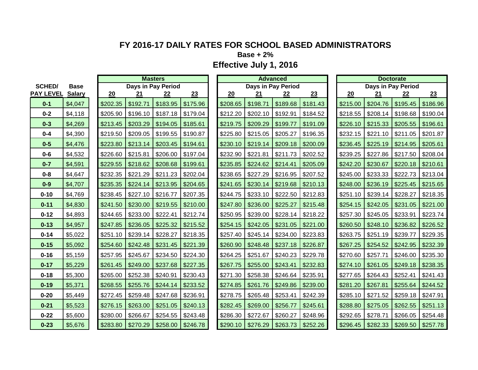**Base + 2%**

|                  |               |          | <b>Masters</b> |                    |          |          |                    | <b>Advanced</b> |          |          |          | <b>Doctorate</b>   |          |
|------------------|---------------|----------|----------------|--------------------|----------|----------|--------------------|-----------------|----------|----------|----------|--------------------|----------|
| <b>SCHED/</b>    | <b>Base</b>   |          |                | Days in Pay Period |          |          | Days in Pay Period |                 |          |          |          | Days in Pay Period |          |
| <b>PAY LEVEL</b> | <b>Salary</b> | 20       | 21             | 22                 | 23       | 20       | 21                 | 22              | 23       | 20       | 21       | 22                 | 23       |
| $0 - 1$          | \$4,047       | \$202.35 | \$192.71       | \$183.95           | \$175.96 | \$208.65 | \$198.71           | \$189.68        | \$181.43 | \$215.00 | \$204.76 | \$195.45           | \$186.96 |
| $0 - 2$          | \$4,118       | \$205.90 | \$196.10       | \$187.18           | \$179.04 | \$212.20 | \$202.10           | \$192.91        | \$184.52 | \$218.55 | \$208.14 | \$198.68           | \$190.04 |
| $0 - 3$          | \$4,269       | \$213.45 | \$203.29       | \$194.05           | \$185.61 | \$219.75 | \$209.29           | \$199.77        | \$191.09 | \$226.10 | \$215.33 | \$205.55           | \$196.61 |
| $0 - 4$          | \$4,390       | \$219.50 | \$209.05       | \$199.55           | \$190.87 | \$225.80 | \$215.05           | \$205.27        | \$196.35 | \$232.15 | \$221.10 | \$211.05           | \$201.87 |
| $0 - 5$          | \$4,476       | \$223.80 | \$213.14       | \$203.45           | \$194.61 | \$230.10 | \$219.14           | \$209.18        | \$200.09 | \$236.45 | \$225.19 | \$214.95           | \$205.61 |
| $0 - 6$          | \$4,532       | \$226.60 | \$215.81       | \$206.00           | \$197.04 | \$232.90 | \$221.81           | \$211.73        | \$202.52 | \$239.25 | \$227.86 | \$217.50           | \$208.04 |
| $0 - 7$          | \$4,591       | \$229.55 | \$218.62       | \$208.68           | \$199.61 | \$235.85 | \$224.62           | \$214.41        | \$205.09 | \$242.20 | \$230.67 | \$220.18           | \$210.61 |
| $0 - 8$          | \$4,647       | \$232.35 | \$221.29       | \$211.23           | \$202.04 | \$238.65 | \$227.29           | \$216.95        | \$207.52 | \$245.00 | \$233.33 | \$222.73           | \$213.04 |
| $0-9$            | \$4,707       | \$235.35 | \$224.14       | \$213.95           | \$204.65 | \$241.65 | \$230.14           | \$219.68        | \$210.13 | \$248.00 | \$236.19 | \$225.45           | \$215.65 |
| $0 - 10$         | \$4,769       | \$238.45 | \$227.10       | \$216.77           | \$207.35 | \$244.75 | \$233.10           | \$222.50        | \$212.83 | \$251.10 | \$239.14 | \$228.27           | \$218.35 |
| $0 - 11$         | \$4,830       | \$241.50 | \$230.00       | \$219.55           | \$210.00 | \$247.80 | \$236.00           | \$225.27        | \$215.48 | \$254.15 | \$242.05 | \$231.05           | \$221.00 |
| $0 - 12$         | \$4,893       | \$244.65 | \$233.00       | \$222.41           | \$212.74 | \$250.95 | \$239.00           | \$228.14        | \$218.22 | \$257.30 | \$245.05 | \$233.91           | \$223.74 |
| $0 - 13$         | \$4,957       | \$247.85 | \$236.05       | \$225.32           | \$215.52 | \$254.15 | \$242.05           | \$231.05        | \$221.00 | \$260.50 | \$248.10 | \$236.82           | \$226.52 |
| $0 - 14$         | \$5,022       | \$251.10 | \$239.14       | \$228.27           | \$218.35 | \$257.40 | \$245.14           | \$234.00        | \$223.83 | \$263.75 | \$251.19 | \$239.77           | \$229.35 |
| $0 - 15$         | \$5,092       | \$254.60 | \$242.48       | \$231.45           | \$221.39 | \$260.90 | \$248.48           | \$237.18        | \$226.87 | \$267.25 | \$254.52 | \$242.95           | \$232.39 |
| $0 - 16$         | \$5,159       | \$257.95 | \$245.67       | \$234.50           | \$224.30 | \$264.25 | \$251.67           | \$240.23        | \$229.78 | \$270.60 | \$257.71 | \$246.00           | \$235.30 |
| $0 - 17$         | \$5,229       | \$261.45 | \$249.00       | \$237.68           | \$227.35 | \$267.75 | \$255.00           | \$243.41        | \$232.83 | \$274.10 | \$261.05 | \$249.18           | \$238.35 |
| $0 - 18$         | \$5,300       | \$265.00 | \$252.38       | \$240.91           | \$230.43 | \$271.30 | \$258.38           | \$246.64        | \$235.91 | \$277.65 | \$264.43 | \$252.41           | \$241.43 |
| $0 - 19$         | \$5,371       | \$268.55 | \$255.76       | \$244.14           | \$233.52 | \$274.85 | \$261.76           | \$249.86        | \$239.00 | \$281.20 | \$267.81 | \$255.64           | \$244.52 |
| $0 - 20$         | \$5,449       | \$272.45 | \$259.48       | \$247.68           | \$236.91 | \$278.75 | \$265.48           | \$253.41        | \$242.39 | \$285.10 | \$271.52 | \$259.18           | \$247.91 |
| $0 - 21$         | \$5,523       | \$276.15 | \$263.00       | \$251.05           | \$240.13 | \$282.45 | \$269.00           | \$256.77        | \$245.61 | \$288.80 | \$275.05 | \$262.55           | \$251.13 |
| $0 - 22$         | \$5,600       | \$280.00 | \$266.67       | \$254.55           | \$243.48 | \$286.30 | \$272.67           | \$260.27        | \$248.96 | \$292.65 | \$278.71 | \$266.05           | \$254.48 |
| $0 - 23$         | \$5,676       | \$283.80 | \$270.29       | \$258.00           | \$246.78 | \$290.10 | \$276.29           | \$263.73        | \$252.26 | \$296.45 | \$282.33 | \$269.50           | \$257.78 |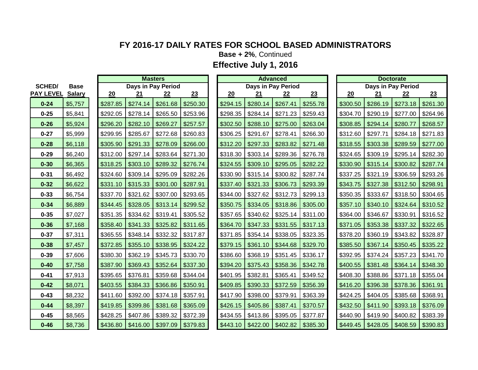**Base + 2%**, Continued

|          | <b>Base</b>   |                  |          |          |          |                |                    |          |          |          |          |                                |          |          |          |                                 |
|----------|---------------|------------------|----------|----------|----------|----------------|--------------------|----------|----------|----------|----------|--------------------------------|----------|----------|----------|---------------------------------|
|          | <b>Salary</b> |                  | 20       | 21       | 22       | 23             |                    | 20       | 21       | 22       | 23       |                                | 20       | 21       | 22       | 23                              |
| $0 - 24$ | \$5,757       |                  | \$287.85 | \$274.14 | \$261.68 | \$250.30       |                    | \$294.15 | \$280.14 | \$267.41 | \$255.78 |                                | \$300.50 | \$286.19 | \$273.18 | \$261.30                        |
| $0 - 25$ | \$5,841       |                  | \$292.05 | \$278.14 | \$265.50 | \$253.96       |                    | \$298.35 | \$284.14 | \$271.23 | \$259.43 |                                | \$304.70 | \$290.19 | \$277.00 | \$264.96                        |
| $0 - 26$ | \$5,924       |                  | \$296.20 | \$282.10 | \$269.27 | \$257.57       |                    | \$302.50 | \$288.10 | \$275.00 | \$263.04 |                                | \$308.85 | \$294.14 | \$280.77 | \$268.57                        |
| $0 - 27$ | \$5,999       |                  | \$299.95 | \$285.67 | \$272.68 | \$260.83       |                    | \$306.25 | \$291.67 | \$278.41 | \$266.30 |                                | \$312.60 | \$297.71 | \$284.18 | \$271.83                        |
| $0 - 28$ | \$6,118       |                  | \$305.90 | \$291.33 | \$278.09 | \$266.00       |                    | \$312.20 | \$297.33 | \$283.82 | \$271.48 |                                | \$318.55 | \$303.38 | \$289.59 | \$277.00                        |
| $0 - 29$ | \$6,240       |                  | \$312.00 | \$297.14 | \$283.64 | \$271.30       |                    | \$318.30 | \$303.14 | \$289.36 | \$276.78 |                                | \$324.65 | \$309.19 | \$295.14 | \$282.30                        |
| $0 - 30$ | \$6,365       |                  | \$318.25 | \$303.10 | \$289.32 | \$276.74       |                    | \$324.55 | \$309.10 | \$295.05 | \$282.22 |                                | \$330.90 | \$315.14 | \$300.82 | \$287.74                        |
| $0 - 31$ | \$6,492       |                  | \$324.60 | \$309.14 | \$295.09 | \$282.26       |                    | \$330.90 | \$315.14 | \$300.82 | \$287.74 |                                | \$337.25 | \$321.19 | \$306.59 | \$293.26                        |
| $0 - 32$ | \$6,622       |                  | \$331.10 | \$315.33 | \$301.00 | \$287.91       |                    | \$337.40 | \$321.33 | \$306.73 | \$293.39 |                                | \$343.75 | \$327.38 | \$312.50 | \$298.91                        |
| $0 - 33$ | \$6,754       |                  | \$337.70 | \$321.62 | \$307.00 | \$293.65       |                    | \$344.00 | \$327.62 | \$312.73 | \$299.13 |                                | \$350.35 | \$333.67 | \$318.50 | \$304.65                        |
| $0 - 34$ | \$6,889       |                  | \$344.45 | \$328.05 | \$313.14 | \$299.52       |                    | \$350.75 | \$334.05 | \$318.86 | \$305.00 |                                | \$357.10 | \$340.10 | \$324.64 | \$310.52                        |
| $0 - 35$ | \$7,027       |                  | \$351.35 | \$334.62 | \$319.41 | \$305.52       |                    | \$357.65 | \$340.62 | \$325.14 | \$311.00 |                                | \$364.00 | \$346.67 | \$330.91 | \$316.52                        |
| $0 - 36$ | \$7,168       |                  | \$358.40 | \$341.33 | \$325.82 | \$311.65       |                    | \$364.70 | \$347.33 |          | \$317.13 |                                | \$371.05 | \$353.38 | \$337.32 | \$322.65                        |
| $0 - 37$ | \$7,311       |                  | \$365.55 | \$348.14 | \$332.32 | \$317.87       |                    | \$371.85 | \$354.14 | \$338.05 | \$323.35 |                                | \$378.20 | \$360.19 | \$343.82 | \$328.87                        |
| $0 - 38$ | \$7,457       |                  | \$372.85 | \$355.10 | \$338.95 | \$324.22       |                    | \$379.15 | \$361.10 | \$344.68 | \$329.70 |                                | \$385.50 | \$367.14 | \$350.45 | \$335.22                        |
| $0 - 39$ | \$7,606       |                  | \$380.30 | \$362.19 | \$345.73 | \$330.70       |                    | \$386.60 | \$368.19 | \$351.45 | \$336.17 |                                | \$392.95 | \$374.24 | \$357.23 | \$341.70                        |
| $0 - 40$ | \$7,758       |                  | \$387.90 | \$369.43 | \$352.64 | \$337.30       |                    | \$394.20 | \$375.43 | \$358.36 | \$342.78 |                                | \$400.55 | \$381.48 | \$364.14 | \$348.30                        |
| $0 - 41$ | \$7,913       |                  | \$395.65 | \$376.81 | \$359.68 | \$344.04       |                    | \$401.95 | \$382.81 | \$365.41 | \$349.52 |                                | \$408.30 | \$388.86 | \$371.18 | \$355.04                        |
| $0 - 42$ | \$8,071       |                  | \$403.55 | \$384.33 | \$366.86 | \$350.91       |                    | \$409.85 | \$390.33 | \$372.59 | \$356.39 |                                | \$416.20 | \$396.38 | \$378.36 | \$361.91                        |
| $0 - 43$ | \$8,232       |                  | \$411.60 | \$392.00 | \$374.18 | \$357.91       |                    | \$417.90 | \$398.00 | \$379.91 | \$363.39 |                                | \$424.25 | \$404.05 | \$385.68 | \$368.91                        |
| $0 - 44$ | \$8,397       |                  | \$419.85 | \$399.86 | \$381.68 | \$365.09       |                    | \$426.15 | \$405.86 | \$387.41 | \$370.57 |                                | \$432.50 | \$411.90 | \$393.18 | \$376.09                        |
| $0 - 45$ | \$8,565       |                  | \$428.25 | \$407.86 | \$389.32 | \$372.39       |                    | \$434.55 | \$413.86 | \$395.05 | \$377.87 |                                | \$440.90 | \$419.90 | \$400.82 | \$383.39                        |
| $0 - 46$ | \$8,736       |                  | \$436.80 | \$416.00 | \$397.09 | \$379.83       |                    | \$443.10 | \$422.00 | \$402.82 | \$385.30 |                                | \$449.45 | \$428.05 | \$408.59 | \$390.83                        |
|          | <b>SCHED/</b> | <b>PAY LEVEL</b> |          |          |          | <b>Masters</b> | Days in Pay Period |          |          |          | Advanced | Days in Pay Period<br>\$331.55 |          |          |          | Doctorate<br>Days in Pay Period |

|            | <b>Masters</b> |          |          |          | <b>Advanced</b>    |          |          | <b>Doctorate</b> |  |
|------------|----------------|----------|----------|----------|--------------------|----------|----------|------------------|--|
|            | in Pay Period  |          |          |          | Days in Pay Period |          |          | Days in Pay Pe   |  |
|            | 22             | 23       | 20       | 21       | 22                 | 23       | 20       | 21               |  |
| .14        | \$261.68       | \$250.30 | \$294.15 | \$280.14 | \$267.41           | \$255.78 | \$300.50 | \$286.19         |  |
| .14        | \$265.50       | \$253.96 | \$298.35 | \$284.14 | \$271.23           | \$259.43 | \$304.70 | \$290.19         |  |
| .10        | \$269.27       | \$257.57 | \$302.50 | \$288.10 | \$275.00           | \$263.04 | \$308.85 | \$294.14         |  |
| .67        | \$272.68       | \$260.83 | \$306.25 | \$291.67 | \$278.41           | \$266.30 | \$312.60 | \$297.71         |  |
| .33        | \$278.09       | \$266.00 | \$312.20 | \$297.33 | \$283.82           | \$271.48 | \$318.55 | \$303.38         |  |
| .14        | \$283.64       | \$271.30 | \$318.30 | \$303.14 | \$289.36           | \$276.78 | \$324.65 | \$309.19         |  |
| .10        | \$289.32       | \$276.74 | \$324.55 | \$309.10 | \$295.05           | \$282.22 | \$330.90 | \$315.14         |  |
| .14        | \$295.09       | \$282.26 | \$330.90 | \$315.14 | \$300.82           | \$287.74 | \$337.25 | \$321.19         |  |
| .33        | \$301.00       | \$287.91 | \$337.40 | \$321.33 | \$306.73           | \$293.39 | \$343.75 | \$327.38         |  |
| 62         | \$307.00       | \$293.65 | \$344.00 | \$327.62 | \$312.73           | \$299.13 | \$350.35 | \$333.67         |  |
| .05        | \$313.14       | \$299.52 | \$350.75 | \$334.05 | \$318.86           | \$305.00 | \$357.10 | \$340.10         |  |
| .62        | \$319.41       | \$305.52 | \$357.65 | \$340.62 | \$325.14           | \$311.00 | \$364.00 | \$346.67         |  |
| .33        | \$325.82       | \$311.65 | \$364.70 | \$347.33 | \$331.55           | \$317.13 | \$371.05 | \$353.38         |  |
| .14        | \$332.32       | \$317.87 | \$371.85 | \$354.14 | \$338.05           | \$323.35 | \$378.20 | \$360.19         |  |
| .10        | \$338.95       | \$324.22 | \$379.15 | \$361.10 | \$344.68           | \$329.70 | \$385.50 | \$367.14         |  |
| .19        | \$345.73       | \$330.70 | \$386.60 | \$368.19 | \$351.45           | \$336.17 | \$392.95 | \$374.24         |  |
| .43        | \$352.64       | \$337.30 | \$394.20 | \$375.43 | \$358.36           | \$342.78 | \$400.55 | \$381.48         |  |
| <u>.81</u> | \$359.68       | \$344.04 | \$401.95 | \$382.81 | \$365.41           | \$349.52 | \$408.30 | \$388.86         |  |
| .33        | \$366.86       | \$350.91 | \$409.85 | \$390.33 | \$372.59           | \$356.39 | \$416.20 | \$396.38         |  |
| .00        | \$374.18       | \$357.91 | \$417.90 | \$398.00 | \$379.91           | \$363.39 | \$424.25 | \$404.05         |  |
| .86        | \$381.68       | \$365.09 | \$426.15 | \$405.86 | \$387.41           | \$370.57 | \$432.50 | \$411.90         |  |
| .86        | \$389.32       | \$372.39 | \$434.55 | \$413.86 | \$395.05           | \$377.87 | \$440.90 | \$419.90         |  |
| .00        | \$397.09       | \$379.83 | \$443.10 | \$422.00 | \$402.82           | \$385.30 | \$449.45 | \$428.05         |  |

| <b>Doctorate</b> |          |                    |          |  |  |  |  |  |  |  |  |
|------------------|----------|--------------------|----------|--|--|--|--|--|--|--|--|
|                  |          | Days in Pay Period |          |  |  |  |  |  |  |  |  |
| 20               | 21       | <u>22</u>          | 23       |  |  |  |  |  |  |  |  |
| \$300.50         | \$286.19 | \$273.18           | \$261.30 |  |  |  |  |  |  |  |  |
| \$304.70         | \$290.19 | \$277.00           | \$264.96 |  |  |  |  |  |  |  |  |
| \$308.85         | \$294.14 | \$280.77           | \$268.57 |  |  |  |  |  |  |  |  |
| \$312.60         | \$297.71 | \$284.18           | \$271.83 |  |  |  |  |  |  |  |  |
| \$318.55         | \$303.38 | \$289.59           | \$277.00 |  |  |  |  |  |  |  |  |
| \$324.65         | \$309.19 | \$295.14           | \$282.30 |  |  |  |  |  |  |  |  |
| \$330.90         | \$315.14 | \$300.82           | \$287.74 |  |  |  |  |  |  |  |  |
| \$337.25         | \$321.19 | \$306.59           | \$293.26 |  |  |  |  |  |  |  |  |
| \$343.75         | \$327.38 | \$312.50           | \$298.91 |  |  |  |  |  |  |  |  |
| \$350.35         | \$333.67 | \$318.50           | \$304.65 |  |  |  |  |  |  |  |  |
| \$357.10         | \$340.10 | \$324.64           | \$310.52 |  |  |  |  |  |  |  |  |
| \$364.00         | \$346.67 | \$330.91           | \$316.52 |  |  |  |  |  |  |  |  |
| \$371.05         | \$353.38 | \$337.32           | \$322.65 |  |  |  |  |  |  |  |  |
| \$378.20         | \$360.19 | \$343.82           | \$328.87 |  |  |  |  |  |  |  |  |
| \$385.50         | \$367.14 | \$350.45           | \$335.22 |  |  |  |  |  |  |  |  |
| \$392.95         | \$374.24 | \$357.23           | \$341.70 |  |  |  |  |  |  |  |  |
| \$400.55         | \$381.48 | \$364.14           | \$348.30 |  |  |  |  |  |  |  |  |
| \$408.30         | \$388.86 | \$371.18           | \$355.04 |  |  |  |  |  |  |  |  |
| \$416.20         | \$396.38 | \$378.36           | \$361.91 |  |  |  |  |  |  |  |  |
| \$424.25         | \$404.05 | \$385.68           | \$368.91 |  |  |  |  |  |  |  |  |
| \$432.50         | \$411.90 | \$393.18           | \$376.09 |  |  |  |  |  |  |  |  |
| \$440.90         | \$419.90 | \$400.82           | \$383.39 |  |  |  |  |  |  |  |  |
| \$449.45         | \$428.05 | \$408.59           | \$390.83 |  |  |  |  |  |  |  |  |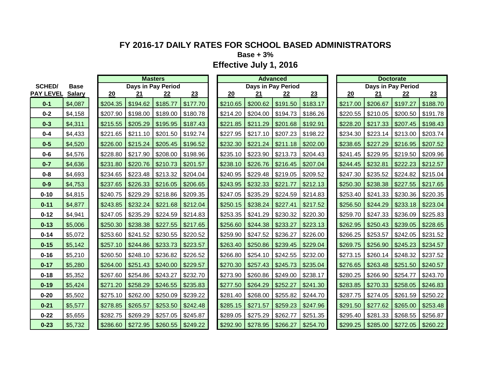**Base + 3%**

|                  |               | <b>Masters</b><br><b>Advanced</b> |                                          |          |          |  |          |          | <b>Doctorate</b> |          |  |          |                           |          |          |
|------------------|---------------|-----------------------------------|------------------------------------------|----------|----------|--|----------|----------|------------------|----------|--|----------|---------------------------|----------|----------|
| <b>SCHED/</b>    | <b>Base</b>   |                                   | Days in Pay Period<br>Days in Pay Period |          |          |  |          |          |                  |          |  |          | <b>Days in Pay Period</b> |          |          |
| <b>PAY LEVEL</b> | <b>Salary</b> | 20                                | 21                                       | 22       | 23       |  | 20       | 21       | 22               | 23       |  | 20       | 21                        | 22       | 23       |
| $0 - 1$          | \$4,087       | \$204.35                          | \$194.62                                 | \$185.77 | \$177.70 |  | \$210.65 | \$200.62 | \$191.50         | \$183.17 |  | \$217.00 | \$206.67                  | \$197.27 | \$188.70 |
| $0 - 2$          | \$4,158       | \$207.90                          | \$198.00                                 | \$189.00 | \$180.78 |  | \$214.20 | \$204.00 | \$194.73         | \$186.26 |  | \$220.55 | \$210.05                  | \$200.50 | \$191.78 |
| $0 - 3$          | \$4,311       | \$215.55                          | \$205.29                                 | \$195.95 | \$187.43 |  | \$221.85 | \$211.29 | \$201.68         | \$192.91 |  | \$228.20 | \$217.33                  | \$207.45 | \$198.43 |
| $0 - 4$          | \$4,433       | \$221.65                          | \$211.10                                 | \$201.50 | \$192.74 |  | \$227.95 | \$217.10 | \$207.23         | \$198.22 |  | \$234.30 | \$223.14                  | \$213.00 | \$203.74 |
| $0 - 5$          | \$4,520       | \$226.00                          | \$215.24                                 | \$205.45 | \$196.52 |  | \$232.30 | \$221.24 | \$211.18         | \$202.00 |  | \$238.65 | \$227.29                  | \$216.95 | \$207.52 |
| $0 - 6$          | \$4,576       | \$228.80                          | \$217.90                                 | \$208.00 | \$198.96 |  | \$235.10 | \$223.90 | \$213.73         | \$204.43 |  | \$241.45 | \$229.95                  | \$219.50 | \$209.96 |
| $0 - 7$          | \$4,636       | \$231.80                          | \$220.76                                 | \$210.73 | \$201.57 |  | \$238.10 | \$226.76 | \$216.45         | \$207.04 |  | \$244.45 | \$232.81                  | \$222.23 | \$212.57 |
| $0 - 8$          | \$4,693       | \$234.65                          | \$223.48                                 | \$213.32 | \$204.04 |  | \$240.95 | \$229.48 | \$219.05         | \$209.52 |  | \$247.30 | \$235.52                  | \$224.82 | \$215.04 |
| $0-9$            | \$4,753       | \$237.65                          | \$226.33                                 | \$216.05 | \$206.65 |  | \$243.95 | \$232.33 | \$221.77         | \$212.13 |  | \$250.30 | \$238.38                  | \$227.55 | \$217.65 |
| $0 - 10$         | \$4,815       | \$240.75                          | \$229.29                                 | \$218.86 | \$209.35 |  | \$247.05 | \$235.29 | \$224.59         | \$214.83 |  | \$253.40 | \$241.33                  | \$230.36 | \$220.35 |
| $0 - 11$         | \$4,877       | \$243.85                          | \$232.24                                 | \$221.68 | \$212.04 |  | \$250.15 | \$238.24 | \$227.41         | \$217.52 |  | \$256.50 | \$244.29                  | \$233.18 | \$223.04 |
| $0 - 12$         | \$4,941       | \$247.05                          | \$235.29                                 | \$224.59 | \$214.83 |  | \$253.35 | \$241.29 | \$230.32         | \$220.30 |  | \$259.70 | \$247.33                  | \$236.09 | \$225.83 |
| $0 - 13$         | \$5,006       | \$250.30                          | \$238.38                                 | \$227.55 | \$217.65 |  | \$256.60 | \$244.38 | \$233.27         | \$223.13 |  | \$262.95 | \$250.43                  | \$239.05 | \$228.65 |
| $0 - 14$         | \$5,072       | \$253.60                          | \$241.52                                 | \$230.55 | \$220.52 |  | \$259.90 | \$247.52 | \$236.27         | \$226.00 |  | \$266.25 | \$253.57                  | \$242.05 | \$231.52 |
| $0 - 15$         | \$5,142       | \$257.10                          | \$244.86                                 | \$233.73 | \$223.57 |  | \$263.40 | \$250.86 | \$239.45         | \$229.04 |  | \$269.75 | \$256.90                  | \$245.23 | \$234.57 |
| $0 - 16$         | \$5,210       | \$260.50                          | \$248.10                                 | \$236.82 | \$226.52 |  | \$266.80 | \$254.10 | \$242.55         | \$232.00 |  | \$273.15 | \$260.14                  | \$248.32 | \$237.52 |
| $0 - 17$         | \$5,280       | \$264.00                          | \$251.43                                 | \$240.00 | \$229.57 |  | \$270.30 | \$257.43 | \$245.73         | \$235.04 |  | \$276.65 | \$263.48                  | \$251.50 | \$240.57 |
| $0 - 18$         | \$5,352       | \$267.60                          | \$254.86                                 | \$243.27 | \$232.70 |  | \$273.90 | \$260.86 | \$249.00         | \$238.17 |  | \$280.25 | \$266.90                  | \$254.77 | \$243.70 |
| $0 - 19$         | \$5,424       | \$271.20                          | \$258.29                                 | \$246.55 | \$235.83 |  | \$277.50 | \$264.29 | \$252.27         | \$241.30 |  | \$283.85 | \$270.33                  | \$258.05 | \$246.83 |
| $0 - 20$         | \$5,502       | \$275.10                          | \$262.00                                 | \$250.09 | \$239.22 |  | \$281.40 | \$268.00 | \$255.82         | \$244.70 |  | \$287.75 | \$274.05                  | \$261.59 | \$250.22 |
| $0 - 21$         | \$5,577       | \$278.85                          | \$265.57                                 | \$253.50 | \$242.48 |  | \$285.15 | \$271.57 | \$259.23         | \$247.96 |  | \$291.50 | \$277.62                  | \$265.00 | \$253.48 |
| $0 - 22$         | \$5,655       | \$282.75                          | \$269.29                                 | \$257.05 | \$245.87 |  | \$289.05 | \$275.29 | \$262.77         | \$251.35 |  | \$295.40 | \$281.33                  | \$268.55 | \$256.87 |
| $0 - 23$         | \$5,732       | \$286.60                          | \$272.95                                 | \$260.55 | \$249.22 |  | \$292.90 | \$278.95 | \$266.27         | \$254.70 |  | \$299.25 | \$285.00                  | \$272.05 | \$260.22 |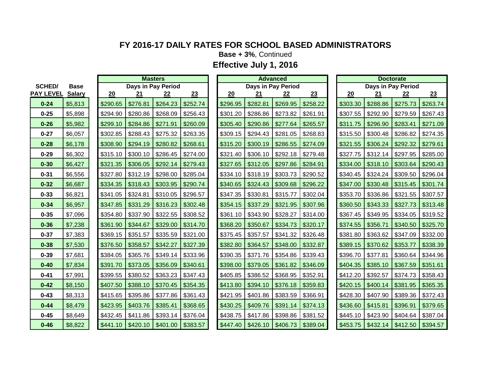**Base + 3%**, Continued

| <b>SCHED/</b><br><b>PAY LEVEL Salary</b> | <b>Base</b>    |                         |
|------------------------------------------|----------------|-------------------------|
|                                          |                | $\overline{\mathbf{2}}$ |
| $0 - 24$                                 | \$5,813        | \$29                    |
| $0 - 25$                                 | \$5,898        | \$29                    |
| $0 - 26$                                 | \$5,982        | \$29                    |
| $0 - 27$                                 | \$6,057        | \$30.                   |
| $0 - 28$                                 | \$6,178        | \$30                    |
| $0 - 29$                                 | \$6,302        | \$31                    |
| $0 - 30$                                 | \$6,427        | \$32                    |
| $0 - 31$                                 | \$6,556        | \$32                    |
| $0 - 32$                                 | \$6,687        | \$33                    |
| 0-33                                     | \$6,821        | \$34                    |
| $0 - 34$                                 | \$6,957        | \$34                    |
| $0 - 35$                                 | \$7,096        | \$35                    |
| $0 - 36$                                 | \$7,238        | \$36                    |
| $0 - 37$                                 | <u>\$7,383</u> | \$36                    |
| $0 - 38$                                 | \$7,530        | \$37                    |
| $0 - 39$                                 | \$7,681        | \$38                    |
| $0 - 40$                                 | \$7,834        | \$39                    |
| $0 - 41$                                 | \$7,991        | \$39                    |
| $0 - 42$                                 | \$8,150        | \$40                    |
| $0 - 43$                                 | \$8,313        | \$41                    |
| $0 - 44$                                 | \$8,479        | \$42                    |
| $0 - 45$                                 | \$8,649        | \$43                    |
| $0 - 46$                                 | \$8,822        | \$44                    |

|                  |               | <b>Masters</b> |          |          |                    |          | <b>Advanced</b> |          |          |                    |          |  | <b>Doctorate</b> |          |                    |          |  |
|------------------|---------------|----------------|----------|----------|--------------------|----------|-----------------|----------|----------|--------------------|----------|--|------------------|----------|--------------------|----------|--|
| <b>SCHED/</b>    | <b>Base</b>   |                |          |          | Days in Pay Period |          |                 |          |          | Days in Pay Period |          |  |                  |          | Days in Pay Period |          |  |
| <b>PAY LEVEL</b> | <b>Salary</b> |                | 20       | 21       | 22                 | 23       |                 | 20       | 21       | 22                 | 23       |  | 20               | 21       | 22                 | 23       |  |
| $0 - 24$         | \$5,813       |                | \$290.65 | \$276.81 | \$264.23           | \$252.74 |                 | \$296.95 | \$282.81 | \$269.95           | \$258.22 |  | \$303.30         | \$288.86 | \$275.73           | \$263.74 |  |
| $0 - 25$         | \$5,898       |                | \$294.90 | \$280.86 | \$268.09           | \$256.43 |                 | \$301.20 | \$286.86 | \$273.82           | \$261.91 |  | \$307.55         | \$292.90 | \$279.59           | \$267.43 |  |
| $0 - 26$         | \$5,982       |                | \$299.10 | \$284.86 | \$271.91           | \$260.09 |                 | \$305.40 | \$290.86 | \$277.64           | \$265.57 |  | \$311.75         | \$296.90 | \$283.41           | \$271.09 |  |
| $0 - 27$         | \$6,057       |                | \$302.85 | \$288.43 | \$275.32           | \$263.35 |                 | \$309.15 | \$294.43 | \$281.05           | \$268.83 |  | \$315.50         | \$300.48 | \$286.82           | \$274.35 |  |
| $0 - 28$         | \$6,178       |                | \$308.90 | \$294.19 | \$280.82           | \$268.61 |                 | \$315.20 | \$300.19 | \$286.55           | \$274.09 |  | \$321.55         | \$306.24 | \$292.32           | \$279.61 |  |
| $0 - 29$         | \$6,302       |                | \$315.10 | \$300.10 | \$286.45           | \$274.00 |                 | \$321.40 | \$306.10 | \$292.18           | \$279.48 |  | \$327.75         | \$312.14 | \$297.95           | \$285.00 |  |
| $0 - 30$         | \$6,427       |                | \$321.35 | \$306.05 | \$292.14           | \$279.43 |                 | \$327.65 | \$312.05 | \$297.86           | \$284.91 |  | \$334.00         | \$318.10 | \$303.64           | \$290.43 |  |
| $0 - 31$         | \$6,556       |                | \$327.80 | \$312.19 | \$298.00           | \$285.04 |                 | \$334.10 | \$318.19 | \$303.73           | \$290.52 |  | \$340.45         | \$324.24 | \$309.50           | \$296.04 |  |
| $0 - 32$         | \$6,687       |                | \$334.35 | \$318.43 | \$303.95           | \$290.74 |                 | \$340.65 | \$324.43 | \$309.68           | \$296.22 |  | \$347.00         | \$330.48 | \$315.45           | \$301.74 |  |
| $0 - 33$         | \$6,821       |                | \$341.05 | \$324.81 | \$310.05           | \$296.57 |                 | \$347.35 | \$330.81 | \$315.77           | \$302.04 |  | \$353.70         | \$336.86 | \$321.55           | \$307.57 |  |
| $0 - 34$         | \$6,957       |                | \$347.85 | \$331.29 | \$316.23           | \$302.48 |                 | \$354.15 | \$337.29 | \$321.95           | \$307.96 |  | \$360.50         | \$343.33 | \$327.73           | \$313.48 |  |
| $0 - 35$         | \$7,096       |                | \$354.80 | \$337.90 | \$322.55           | \$308.52 |                 | \$361.10 | \$343.90 | \$328.27           | \$314.00 |  | \$367.45         | \$349.95 | \$334.05           | \$319.52 |  |
| $0 - 36$         | \$7,238       |                | \$361.90 | \$344.67 | \$329.00           | \$314.70 |                 | \$368.20 | \$350.67 | \$334.73           | \$320.17 |  | \$374.55         | \$356.71 | \$340.50           | \$325.70 |  |
| $0 - 37$         | \$7,383       |                | \$369.15 | \$351.57 | \$335.59           | \$321.00 |                 | \$375.45 | \$357.57 | \$341.32           | \$326.48 |  | \$381.80         | \$363.62 | \$347.09           | \$332.00 |  |
| $0 - 38$         | \$7,530       |                | \$376.50 | \$358.57 | \$342.27           | \$327.39 |                 | \$382.80 | \$364.57 | \$348.00           | \$332.87 |  | \$389.15         | \$370.62 | \$353.77           | \$338.39 |  |
| $0 - 39$         | \$7,681       |                | \$384.05 | \$365.76 | \$349.14           | \$333.96 |                 | \$390.35 | \$371.76 | \$354.86           | \$339.43 |  | \$396.70         | \$377.81 | \$360.64           | \$344.96 |  |
| $0 - 40$         | \$7,834       |                | \$391.70 | \$373.05 | \$356.09           | \$340.61 |                 | \$398.00 | \$379.05 | \$361.82           | \$346.09 |  | \$404.35         | \$385.10 | \$367.59           | \$351.61 |  |
| $0 - 41$         | \$7,991       |                | \$399.55 | \$380.52 | \$363.23           | \$347.43 |                 | \$405.85 | \$386.52 | \$368.95           | \$352.91 |  | \$412.20         | \$392.57 | \$374.73           | \$358.43 |  |
| $0 - 42$         | \$8,150       |                | \$407.50 | \$388.10 | \$370.45           | \$354.35 |                 | \$413.80 | \$394.10 | \$376.18           | \$359.83 |  | \$420.15         | \$400.14 | \$381.95           | \$365.35 |  |
| $0 - 43$         | \$8,313       |                | \$415.65 | \$395.86 | \$377.86           | \$361.43 |                 | \$421.95 | \$401.86 | \$383.59           | \$366.91 |  | \$428.30         | \$407.90 | \$389.36           | \$372.43 |  |
| $0 - 44$         | \$8,479       |                | \$423.95 | \$403.76 | \$385.41           | \$368.65 |                 | \$430.25 | \$409.76 | \$391.14           | \$374.13 |  | \$436.60         | \$415.81 | \$396.91           | \$379.65 |  |
| $0 - 45$         | \$8,649       |                | \$432.45 | \$411.86 | \$393.14           | \$376.04 |                 | \$438.75 | \$417.86 | \$398.86           | \$381.52 |  | \$445.10         | \$423.90 | \$404.64           | \$387.04 |  |
| $0 - 46$         | \$8,822       |                | \$441.10 | \$420.10 | \$401.00           | \$383.57 |                 | \$447.40 | \$426.10 | \$406.73           | \$389.04 |  | \$453.75         | \$432.14 | \$412.50           | \$394.57 |  |

| <b>Doctorate</b>   |          |           |          |  |  |  |  |  |  |  |  |  |  |
|--------------------|----------|-----------|----------|--|--|--|--|--|--|--|--|--|--|
| Days in Pay Period |          |           |          |  |  |  |  |  |  |  |  |  |  |
| 20                 | 21       | <u>22</u> | 23       |  |  |  |  |  |  |  |  |  |  |
| \$303.30           | \$288.86 | \$275.73  | \$263.74 |  |  |  |  |  |  |  |  |  |  |
| \$307.55           | \$292.90 | \$279.59  | \$267.43 |  |  |  |  |  |  |  |  |  |  |
| \$311.75           | \$296.90 | \$283.41  | \$271.09 |  |  |  |  |  |  |  |  |  |  |
| \$315.50           | \$300.48 | \$286.82  | \$274.35 |  |  |  |  |  |  |  |  |  |  |
| \$321.55           | \$306.24 | \$292.32  | \$279.61 |  |  |  |  |  |  |  |  |  |  |
| \$327.75           | \$312.14 | \$297.95  | \$285.00 |  |  |  |  |  |  |  |  |  |  |
| \$334.00           | \$318.10 | \$303.64  | \$290.43 |  |  |  |  |  |  |  |  |  |  |
| \$340.45           | \$324.24 | \$309.50  | \$296.04 |  |  |  |  |  |  |  |  |  |  |
| \$347.00           | \$330.48 | \$315.45  | \$301.74 |  |  |  |  |  |  |  |  |  |  |
| \$353.70           | \$336.86 | \$321.55  | \$307.57 |  |  |  |  |  |  |  |  |  |  |
| \$360.50           | \$343.33 | \$327.73  | \$313.48 |  |  |  |  |  |  |  |  |  |  |
| \$367.45           | \$349.95 | \$334.05  | \$319.52 |  |  |  |  |  |  |  |  |  |  |
| \$374.55           | \$356.71 | \$340.50  | \$325.70 |  |  |  |  |  |  |  |  |  |  |
| \$381.80           | \$363.62 | \$347.09  | \$332.00 |  |  |  |  |  |  |  |  |  |  |
| \$389.15           | \$370.62 | \$353.77  | \$338.39 |  |  |  |  |  |  |  |  |  |  |
| \$396.70           | \$377.81 | \$360.64  | \$344.96 |  |  |  |  |  |  |  |  |  |  |
| \$404.35           | \$385.10 | \$367.59  | \$351.61 |  |  |  |  |  |  |  |  |  |  |
| \$412.20           | \$392.57 | \$374.73  | \$358.43 |  |  |  |  |  |  |  |  |  |  |
| \$420.15           | \$400.14 | \$381.95  | \$365.35 |  |  |  |  |  |  |  |  |  |  |
| \$428.30           | \$407.90 | \$389.36  | \$372.43 |  |  |  |  |  |  |  |  |  |  |
| \$436.60           | \$415.81 | \$396.91  | \$379.65 |  |  |  |  |  |  |  |  |  |  |
| \$445.10           | \$423.90 | \$404.64  | \$387.04 |  |  |  |  |  |  |  |  |  |  |
| \$453.75           | \$432.14 | \$412.50  | \$394.57 |  |  |  |  |  |  |  |  |  |  |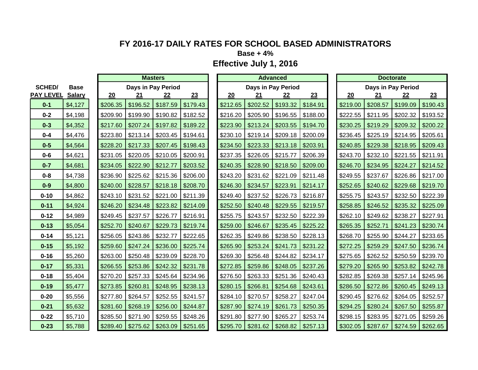**Base + 4%**

|                  |               | <b>Masters</b> |                     |                    |          |  |          |                    | <b>Advanced</b> |          | <b>Doctorate</b> |          |                    |          |          |
|------------------|---------------|----------------|---------------------|--------------------|----------|--|----------|--------------------|-----------------|----------|------------------|----------|--------------------|----------|----------|
| <b>SCHED/</b>    | <b>Base</b>   |                |                     | Days in Pay Period |          |  |          | Days in Pay Period |                 |          |                  |          | Days in Pay Period |          |          |
| <b>PAY LEVEL</b> | <b>Salary</b> | 20             | 21                  | 22                 | 23       |  | 20       | 21                 | 22              | 23       |                  | 20       | 21                 | 22       | 23       |
| $0 - 1$          | \$4,127       | \$206.35       | \$196.52            | \$187.59           | \$179.43 |  | \$212.65 | \$202.52           | \$193.32        | \$184.91 |                  | \$219.00 | \$208.57           | \$199.09 | \$190.43 |
| $0 - 2$          | \$4,198       | \$209.90       | \$199.90            | \$190.82           | \$182.52 |  | \$216.20 | \$205.90           | \$196.55        | \$188.00 |                  | \$222.55 | \$211.95           | \$202.32 | \$193.52 |
| $0 - 3$          | \$4,352       | \$217.60       | \$207.24            | \$197.82           | \$189.22 |  | \$223.90 | \$213.24           | \$203.55        | \$194.70 |                  | \$230.25 | \$219.29           | \$209.32 | \$200.22 |
| $0 - 4$          | \$4,476       | \$223.80       | \$213.14            | \$203.45           | \$194.61 |  | \$230.10 | \$219.14           | \$209.18        | \$200.09 |                  | \$236.45 | \$225.19           | \$214.95 | \$205.61 |
| $0-5$            | \$4,564       | \$228.20       | \$217.33            | \$207.45           | \$198.43 |  | \$234.50 | \$223.33           | \$213.18        | \$203.91 |                  | \$240.85 | \$229.38           | \$218.95 | \$209.43 |
| $0 - 6$          | \$4,621       | \$231.05       | \$220.05            | \$210.05           | \$200.91 |  | \$237.35 | \$226.05           | \$215.77        | \$206.39 |                  | \$243.70 | \$232.10           | \$221.55 | \$211.91 |
| $0 - 7$          | \$4,681       | \$234.05       | \$222.90            | \$212.77           | \$203.52 |  | \$240.35 | \$228.90           | \$218.50        | \$209.00 |                  | \$246.70 | \$234.95           | \$224.27 | \$214.52 |
| $0 - 8$          | \$4,738       | \$236.90       | \$225.62            | \$215.36           | \$206.00 |  | \$243.20 | \$231.62           | \$221.09        | \$211.48 |                  | \$249.55 | \$237.67           | \$226.86 | \$217.00 |
| $0-9$            | \$4,800       | \$240.00       | \$228.57            | \$218.18           | \$208.70 |  | \$246.30 | \$234.57           | \$223.91        | \$214.17 |                  | \$252.65 | \$240.62           | \$229.68 | \$219.70 |
| $0 - 10$         | \$4,862       | \$243.10       | \$231.52            | \$221.00           | \$211.39 |  | \$249.40 | \$237.52           | \$226.73        | \$216.87 |                  | \$255.75 | \$243.57           | \$232.50 | \$222.39 |
| $0 - 11$         | \$4,924       | \$246.20       | \$234.48            | \$223.82           | \$214.09 |  | \$252.50 | \$240.48           | \$229.55        | \$219.57 |                  | \$258.85 | \$246.52           | \$235.32 | \$225.09 |
| $0 - 12$         | \$4,989       | \$249.45       | \$237.57            | \$226.77           | \$216.91 |  | \$255.75 | \$243.57           | \$232.50        | \$222.39 |                  | \$262.10 | \$249.62           | \$238.27 | \$227.91 |
| $0 - 13$         | \$5,054       | \$252.70       | \$240.67            | \$229.73           | \$219.74 |  | \$259.00 | \$246.67           | \$235.45        | \$225.22 |                  | \$265.35 | \$252.71           | \$241.23 | \$230.74 |
| $0 - 14$         | \$5,121       | \$256.05       | \$243.86            | \$232.77           | \$222.65 |  | \$262.35 | \$249.86           | \$238.50        | \$228.13 |                  | \$268.70 | \$255.90           | \$244.27 | \$233.65 |
| $0 - 15$         | \$5,192       | \$259.60       | \$247.24            | \$236.00           | \$225.74 |  | \$265.90 | \$253.24           | \$241.73        | \$231.22 |                  | \$272.25 | \$259.29           | \$247.50 | \$236.74 |
| $0 - 16$         | \$5,260       | \$263.00       | \$250.48            | \$239.09           | \$228.70 |  | \$269.30 | \$256.48           | \$244.82        | \$234.17 |                  | \$275.65 | \$262.52           | \$250.59 | \$239.70 |
| $0 - 17$         | \$5,331       | \$266.55       | \$253.86            | \$242.32           | \$231.78 |  | \$272.85 | \$259.86           | \$248.05        | \$237.26 |                  | \$279.20 | \$265.90           | \$253.82 | \$242.78 |
| $0 - 18$         | \$5,404       | \$270.20       | \$257.33            | \$245.64           | \$234.96 |  | \$276.50 | \$263.33           | \$251.36        | \$240.43 |                  | \$282.85 | \$269.38           | \$257.14 | \$245.96 |
| $0 - 19$         | \$5,477       | \$273.85       | \$260.81            | \$248.95           | \$238.13 |  | \$280.15 | \$266.81           | \$254.68        | \$243.61 |                  | \$286.50 | \$272.86           | \$260.45 | \$249.13 |
| $0 - 20$         | \$5,556       | \$277.80       | \$264.57            | \$252.55           | \$241.57 |  | \$284.10 | \$270.57           | \$258.27        | \$247.04 |                  | \$290.45 | \$276.62           | \$264.05 | \$252.57 |
| $0 - 21$         | \$5,632       | \$281.60       | \$268.19            | \$256.00           | \$244.87 |  | \$287.90 | \$274.19           | \$261.73        | \$250.35 |                  | \$294.25 | \$280.24           | \$267.50 | \$255.87 |
| $0 - 22$         | \$5,710       | \$285.50       | \$271.90            | \$259.55           | \$248.26 |  | \$291.80 | \$277.90           | \$265.27        | \$253.74 |                  | \$298.15 | \$283.95           | \$271.05 | \$259.26 |
| $0 - 23$         | \$5,788       | \$289.40       | $$275.62$ $$263.09$ |                    | \$251.65 |  | \$295.70 | \$281.62           | \$268.82        | \$257.13 |                  | \$302.05 | \$287.67           | \$274.59 | \$262.65 |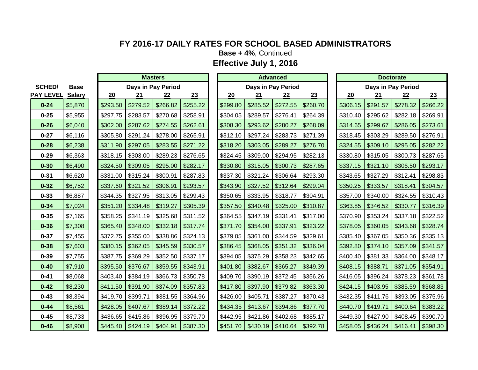**Base + 4%**, Continued

|                  |               |          | <b>Masters</b>     |          |          | <b>Advanced</b> |          |                     |                    |          |  | <b>Doctorate</b> |                    |           |          |  |
|------------------|---------------|----------|--------------------|----------|----------|-----------------|----------|---------------------|--------------------|----------|--|------------------|--------------------|-----------|----------|--|
| <b>SCHED/</b>    | <b>Base</b>   |          | Days in Pay Period |          |          |                 |          |                     | Days in Pay Period |          |  |                  | Days in Pay Period |           |          |  |
| <b>PAY LEVEL</b> | <b>Salary</b> | 20       | 21                 | 22       | 23       |                 | 20       | 21                  | $\frac{22}{1}$     | 23       |  | 20               | 21                 | <u>22</u> | 23       |  |
| $0 - 24$         | \$5,870       | \$293.50 | \$279.52           | \$266.82 | \$255.22 |                 | \$299.80 | \$285.52            | \$272.55           | \$260.70 |  | \$306.15         | \$291.57           | \$278.32  | \$266.22 |  |
| $0 - 25$         | \$5,955       | \$297.75 | \$283.57           | \$270.68 | \$258.91 |                 | \$304.05 | \$289.57            | \$276.41           | \$264.39 |  | \$310.40         | \$295.62           | \$282.18  | \$269.91 |  |
| $0 - 26$         | \$6,040       | \$302.00 | \$287.62           | \$274.55 | \$262.61 |                 | \$308.30 | \$293.62            | \$280.27           | \$268.09 |  | \$314.65         | \$299.67           | \$286.05  | \$273.61 |  |
| $0 - 27$         | \$6,116       | \$305.80 | \$291.24           | \$278.00 | \$265.91 |                 | \$312.10 | \$297.24            | \$283.73           | \$271.39 |  | \$318.45         | \$303.29           | \$289.50  | \$276.91 |  |
| $0 - 28$         | \$6,238       | \$311.90 | \$297.05           | \$283.55 | \$271.22 |                 | \$318.20 | \$303.05            | \$289.27           | \$276.70 |  | \$324.55         | \$309.10           | \$295.05  | \$282.22 |  |
| $0 - 29$         | \$6,363       | \$318.15 | \$303.00           | \$289.23 | \$276.65 |                 | \$324.45 | \$309.00            | \$294.95           | \$282.13 |  | \$330.80         | \$315.05           | \$300.73  | \$287.65 |  |
| $0 - 30$         | \$6,490       | \$324.50 | \$309.05           | \$295.00 | \$282.17 |                 | \$330.80 | \$315.05            | \$300.73           | \$287.65 |  | \$337.15         | \$321.10           | \$306.50  | \$293.17 |  |
| $0 - 31$         | \$6,620       | \$331.00 | \$315.24           | \$300.91 | \$287.83 |                 | \$337.30 | \$321.24            | \$306.64           | \$293.30 |  | \$343.65         | \$327.29           | \$312.41  | \$298.83 |  |
| $0 - 32$         | \$6,752       | \$337.60 | \$321.52           | \$306.91 | \$293.57 |                 | \$343.90 | \$327.52            | \$312.64           | \$299.04 |  | \$350.25         | \$333.57           | \$318.41  | \$304.57 |  |
| $0 - 33$         | \$6,887       | \$344.35 | \$327.95           | \$313.05 | \$299.43 |                 | \$350.65 | \$333.95            | \$318.77           | \$304.91 |  | \$357.00         | \$340.00           | \$324.55  | \$310.43 |  |
| $0 - 34$         | \$7,024       | \$351.20 | \$334.48           | \$319.27 | \$305.39 |                 | \$357.50 | \$340.48            | \$325.00           | \$310.87 |  | \$363.85         | \$346.52           | \$330.77  | \$316.39 |  |
| $0 - 35$         | \$7,165       | \$358.25 | \$341.19           | \$325.68 | \$311.52 |                 | \$364.55 | \$347.19            | \$331.41           | \$317.00 |  | \$370.90         | \$353.24           | \$337.18  | \$322.52 |  |
| $0 - 36$         | \$7,308       | \$365.40 | \$348.00           | \$332.18 | \$317.74 |                 | \$371.70 | \$354.00            | \$337.91           | \$323.22 |  | \$378.05         | \$360.05           | \$343.68  | \$328.74 |  |
| $0 - 37$         | \$7,455       | \$372.75 | \$355.00           | \$338.86 | \$324.13 |                 | \$379.05 | \$361.00            | \$344.59           | \$329.61 |  | \$385.40         | \$367.05           | \$350.36  | \$335.13 |  |
| $0 - 38$         | \$7,603       | \$380.15 | \$362.05           | \$345.59 | \$330.57 |                 | \$386.45 | \$368.05            | \$351.32           | \$336.04 |  | \$392.80         | \$374.10           | \$357.09  | \$341.57 |  |
| $0 - 39$         | \$7,755       | \$387.75 | \$369.29           | \$352.50 | \$337.17 |                 | \$394.05 | \$375.29            | \$358.23           | \$342.65 |  | \$400.40         | \$381.33           | \$364.00  | \$348.17 |  |
| $0 - 40$         | \$7,910       | \$395.50 | \$376.67           | \$359.55 | \$343.91 |                 | \$401.80 | \$382.67            | \$365.27           | \$349.39 |  | \$408.15         | \$388.71           | \$371.05  | \$354.91 |  |
| $0 - 41$         | \$8,068       | \$403.40 | \$384.19           | \$366.73 | \$350.78 |                 | \$409.70 | \$390.19            | \$372.45           | \$356.26 |  | \$416.05         | \$396.24           | \$378.23  | \$361.78 |  |
| $0 - 42$         | \$8,230       | \$411.50 | \$391.90           | \$374.09 | \$357.83 |                 | \$417.80 | \$397.90            | \$379.82           | \$363.30 |  | \$424.15         | \$403.95           | \$385.59  | \$368.83 |  |
| $0 - 43$         | \$8,394       | \$419.70 | \$399.71           | \$381.55 | \$364.96 |                 | \$426.00 | \$405.71            | \$387.27           | \$370.43 |  | \$432.35         | \$411.76           | \$393.05  | \$375.96 |  |
| $0 - 44$         | \$8,561       | \$428.05 | \$407.67           | \$389.14 | \$372.22 |                 | \$434.35 | \$413.67            | \$394.86           | \$377.70 |  | \$440.70         | \$419.71           | \$400.64  | \$383.22 |  |
| $0 - 45$         | \$8,733       | \$436.65 | \$415.86           | \$396.95 | \$379.70 |                 | \$442.95 | \$421.86            | \$402.68           | \$385.17 |  | \$449.30         | \$427.90           | \$408.45  | \$390.70 |  |
| $0 - 46$         | \$8,908       | \$445.40 | \$424.19           | \$404.91 | \$387.30 |                 |          | $$451.70$ $$430.19$ | \$410.64           | \$392.78 |  | \$458.05         | \$436.24           | \$416.41  | \$398.30 |  |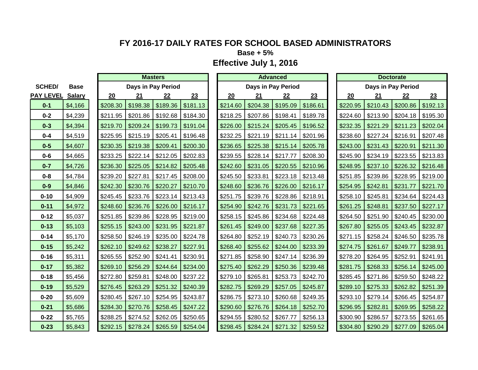**Base + 5%**

|                  |               | <b>Masters</b> |          |                    |          |  |          |                     | <b>Advanced</b>    |          | <b>Doctorate</b> |          |                    |          |          |
|------------------|---------------|----------------|----------|--------------------|----------|--|----------|---------------------|--------------------|----------|------------------|----------|--------------------|----------|----------|
| <b>SCHED/</b>    | <b>Base</b>   |                |          | Days in Pay Period |          |  |          |                     | Days in Pay Period |          |                  |          | Days in Pay Period |          |          |
| <b>PAY LEVEL</b> | <b>Salary</b> | 20             | 21       | 22                 | 23       |  | 20       | 21                  | 22                 | 23       |                  | 20       | 21                 | 22       | 23       |
| $0 - 1$          | \$4,166       | \$208.30       | \$198.38 | \$189.36           | \$181.13 |  | \$214.60 | \$204.38            | \$195.09           | \$186.61 |                  | \$220.95 | \$210.43           | \$200.86 | \$192.13 |
| $0 - 2$          | \$4,239       | \$211.95       | \$201.86 | \$192.68           | \$184.30 |  | \$218.25 | \$207.86            | \$198.41           | \$189.78 |                  | \$224.60 | \$213.90           | \$204.18 | \$195.30 |
| $0 - 3$          | \$4,394       | \$219.70       | \$209.24 | \$199.73           | \$191.04 |  | \$226.00 | \$215.24            | \$205.45           | \$196.52 |                  | \$232.35 | \$221.29           | \$211.23 | \$202.04 |
| $0 - 4$          | \$4,519       | \$225.95       | \$215.19 | \$205.41           | \$196.48 |  | \$232.25 | \$221.19            | \$211.14           | \$201.96 |                  | \$238.60 | \$227.24           | \$216.91 | \$207.48 |
| $0-5$            | \$4,607       | \$230.35       | \$219.38 | \$209.41           | \$200.30 |  | \$236.65 | \$225.38            | \$215.14           | \$205.78 |                  | \$243.00 | \$231.43           | \$220.91 | \$211.30 |
| $0 - 6$          | \$4,665       | \$233.25       | \$222.14 | \$212.05           | \$202.83 |  | \$239.55 | \$228.14            | \$217.77           | \$208.30 |                  | \$245.90 | \$234.19           | \$223.55 | \$213.83 |
| $0 - 7$          | \$4,726       | \$236.30       | \$225.05 | \$214.82           | \$205.48 |  | \$242.60 | \$231.05            | \$220.55           | \$210.96 |                  | \$248.95 | \$237.10           | \$226.32 | \$216.48 |
| $0 - 8$          | \$4,784       | \$239.20       | \$227.81 | \$217.45           | \$208.00 |  | \$245.50 | \$233.81            | \$223.18           | \$213.48 |                  | \$251.85 | \$239.86           | \$228.95 | \$219.00 |
| $0-9$            | \$4,846       | \$242.30       | \$230.76 | \$220.27           | \$210.70 |  | \$248.60 | \$236.76            | \$226.00           | \$216.17 |                  | \$254.95 | \$242.81           | \$231.77 | \$221.70 |
| $0 - 10$         | \$4,909       | \$245.45       | \$233.76 | \$223.14           | \$213.43 |  | \$251.75 | \$239.76            | \$228.86           | \$218.91 |                  | \$258.10 | \$245.81           | \$234.64 | \$224.43 |
| $0 - 11$         | \$4,972       | \$248.60       | \$236.76 | \$226.00           | \$216.17 |  | \$254.90 | \$242.76            | \$231.73           | \$221.65 |                  | \$261.25 | \$248.81           | \$237.50 | \$227.17 |
| $0 - 12$         | \$5,037       | \$251.85       | \$239.86 | \$228.95           | \$219.00 |  | \$258.15 | \$245.86            | \$234.68           | \$224.48 |                  | \$264.50 | \$251.90           | \$240.45 | \$230.00 |
| $0 - 13$         | \$5,103       | \$255.15       | \$243.00 | \$231.95           | \$221.87 |  | \$261.45 | \$249.00            | \$237.68           | \$227.35 |                  | \$267.80 | \$255.05           | \$243.45 | \$232.87 |
| $0 - 14$         | \$5,170       | \$258.50       | \$246.19 | \$235.00           | \$224.78 |  | \$264.80 | \$252.19            | \$240.73           | \$230.26 |                  | \$271.15 | \$258.24           | \$246.50 | \$235.78 |
| $0 - 15$         | \$5,242       | \$262.10       | \$249.62 | \$238.27           | \$227.91 |  | \$268.40 | \$255.62            | \$244.00           | \$233.39 |                  | \$274.75 | \$261.67           | \$249.77 | \$238.91 |
| $0 - 16$         | \$5,311       | \$265.55       | \$252.90 | \$241.41           | \$230.91 |  | \$271.85 | \$258.90            | \$247.14           | \$236.39 |                  | \$278.20 | \$264.95           | \$252.91 | \$241.91 |
| $0 - 17$         | \$5,382       | \$269.10       | \$256.29 | \$244.64           | \$234.00 |  | \$275.40 | \$262.29            | \$250.36           | \$239.48 |                  | \$281.75 | \$268.33           | \$256.14 | \$245.00 |
| $0 - 18$         | \$5,456       | \$272.80       | \$259.81 | \$248.00           | \$237.22 |  | \$279.10 | \$265.81            | \$253.73           | \$242.70 |                  | \$285.45 | \$271.86           | \$259.50 | \$248.22 |
| $0 - 19$         | \$5,529       | \$276.45       | \$263.29 | \$251.32           | \$240.39 |  | \$282.75 | \$269.29            | \$257.05           | \$245.87 |                  | \$289.10 | \$275.33           | \$262.82 | \$251.39 |
| $0 - 20$         | \$5,609       | \$280.45       | \$267.10 | \$254.95           | \$243.87 |  | \$286.75 | \$273.10            | \$260.68           | \$249.35 |                  | \$293.10 | \$279.14           | \$266.45 | \$254.87 |
| $0 - 21$         | \$5,686       | \$284.30       | \$270.76 | \$258.45           | \$247.22 |  | \$290.60 | \$276.76            | \$264.18           | \$252.70 |                  | \$296.95 | \$282.81           | \$269.95 | \$258.22 |
| $0 - 22$         | \$5,765       | \$288.25       | \$274.52 | \$262.05           | \$250.65 |  | \$294.55 | \$280.52            | \$267.77           | \$256.13 |                  | \$300.90 | \$286.57           | \$273.55 | \$261.65 |
| $0 - 23$         | \$5,843       | \$292.15       | \$278.24 | \$265.59           | \$254.04 |  | \$298.45 | $$284.24$ $$271.32$ |                    | \$259.52 |                  | \$304.80 | \$290.29           | \$277.09 | \$265.04 |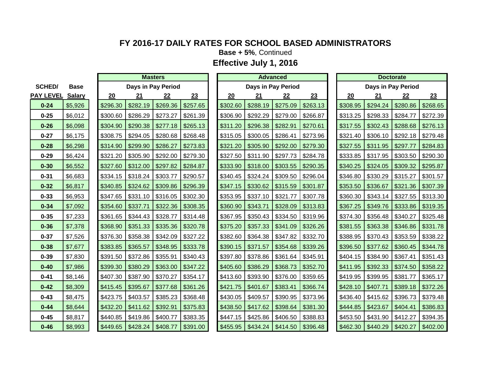**Base + 5%**, Continued

|                  |               | <b>Masters</b> |          |                    |          |  | <b>Advanced</b> |                     |          |          |  | <b>Doctorate</b> |                    |          |          |  |
|------------------|---------------|----------------|----------|--------------------|----------|--|-----------------|---------------------|----------|----------|--|------------------|--------------------|----------|----------|--|
| <b>SCHED/</b>    | <b>Base</b>   |                |          | Days in Pay Period |          |  |                 | Days in Pay Period  |          |          |  |                  | Days in Pay Period |          |          |  |
| <b>PAY LEVEL</b> | <b>Salary</b> | 20             | 21       | 22                 | 23       |  | 20              | 21                  | 22       | 23       |  | 20               | 21                 | 22       | 23       |  |
| $0 - 24$         | \$5,926       | \$296.30       | \$282.19 | \$269.36           | \$257.65 |  | \$302.60        | \$288.19            | \$275.09 | \$263.13 |  | \$308.95         | \$294.24           | \$280.86 | \$268.65 |  |
| $0 - 25$         | \$6,012       | \$300.60       | \$286.29 | \$273.27           | \$261.39 |  | \$306.90        | \$292.29            | \$279.00 | \$266.87 |  | \$313.25         | \$298.33           | \$284.77 | \$272.39 |  |
| $0 - 26$         | \$6,098       | \$304.90       | \$290.38 | \$277.18           | \$265.13 |  | \$311.20        | \$296.38            | \$282.91 | \$270.61 |  | \$317.55         | \$302.43           | \$288.68 | \$276.13 |  |
| $0 - 27$         | \$6,175       | \$308.75       | \$294.05 | \$280.68           | \$268.48 |  | \$315.05        | \$300.05            | \$286.41 | \$273.96 |  | \$321.40         | \$306.10           | \$292.18 | \$279.48 |  |
| $0 - 28$         | \$6,298       | \$314.90       | \$299.90 | \$286.27           | \$273.83 |  | \$321.20        | \$305.90            | \$292.00 | \$279.30 |  | \$327.55         | \$311.95           | \$297.77 | \$284.83 |  |
| $0 - 29$         | \$6,424       | \$321.20       | \$305.90 | \$292.00           | \$279.30 |  | \$327.50        | \$311.90            | \$297.73 | \$284.78 |  | \$333.85         | \$317.95           | \$303.50 | \$290.30 |  |
| $0 - 30$         | \$6,552       | \$327.60       | \$312.00 | \$297.82           | \$284.87 |  | \$333.90        | \$318.00            | \$303.55 | \$290.35 |  | \$340.25         | \$324.05           | \$309.32 | \$295.87 |  |
| $0 - 31$         | \$6,683       | \$334.15       | \$318.24 | \$303.77           | \$290.57 |  | \$340.45        | $$324.24$ $$309.50$ |          | \$296.04 |  | \$346.80         | \$330.29           | \$315.27 | \$301.57 |  |
| $0 - 32$         | \$6,817       | \$340.85       | \$324.62 | \$309.86           | \$296.39 |  | \$347.15        | \$330.62            | \$315.59 | \$301.87 |  | \$353.50         | \$336.67           | \$321.36 | \$307.39 |  |
| $0 - 33$         | \$6,953       | \$347.65       | \$331.10 | \$316.05           | \$302.30 |  | \$353.95        | \$337.10            | \$321.77 | \$307.78 |  | \$360.30         | \$343.14           | \$327.55 | \$313.30 |  |
| $0 - 34$         | \$7,092       | \$354.60       | \$337.71 | \$322.36           | \$308.35 |  | \$360.90        | \$343.71            | \$328.09 | \$313.83 |  | \$367.25         | \$349.76           | \$333.86 | \$319.35 |  |
| $0 - 35$         | \$7,233       | \$361.65       | \$344.43 | \$328.77           | \$314.48 |  | \$367.95        | \$350.43            | \$334.50 | \$319.96 |  | \$374.30         | \$356.48           | \$340.27 | \$325.48 |  |
| $0 - 36$         | \$7,378       | \$368.90       | \$351.33 | \$335.36           | \$320.78 |  | \$375.20        | \$357.33            | \$341.09 | \$326.26 |  | \$381.55         | \$363.38           | \$346.86 | \$331.78 |  |
| $0 - 37$         | \$7,526       | \$376.30       | \$358.38 | \$342.09           | \$327.22 |  | \$382.60        | \$364.38            | \$347.82 | \$332.70 |  | \$388.95         | \$370.43           | \$353.59 | \$338.22 |  |
| $0 - 38$         | \$7,677       | \$383.85       | \$365.57 | \$348.95           | \$333.78 |  | \$390.15        | \$371.57            | \$354.68 | \$339.26 |  | \$396.50         | \$377.62           | \$360.45 | \$344.78 |  |
| $0 - 39$         | \$7,830       | \$391.50       | \$372.86 | \$355.91           | \$340.43 |  | \$397.80        | \$378.86            | \$361.64 | \$345.91 |  | \$404.15         | \$384.90           | \$367.41 | \$351.43 |  |
| $0 - 40$         | \$7,986       | \$399.30       | \$380.29 | \$363.00           | \$347.22 |  | \$405.60        | \$386.29            | \$368.73 | \$352.70 |  | \$411.95         | \$392.33           | \$374.50 | \$358.22 |  |
| $0 - 41$         | \$8,146       | \$407.30       | \$387.90 | \$370.27           | \$354.17 |  | \$413.60        | \$393.90            | \$376.00 | \$359.65 |  | \$419.95         | \$399.95           | \$381.77 | \$365.17 |  |
| $0 - 42$         | \$8,309       | \$415.45       | \$395.67 | \$377.68           | \$361.26 |  | \$421.75        | \$401.67            | \$383.41 | \$366.74 |  | \$428.10         | \$407.71           | \$389.18 | \$372.26 |  |
| $0 - 43$         | \$8,475       | \$423.75       | \$403.57 | \$385.23           | \$368.48 |  | \$430.05        | \$409.57            | \$390.95 | \$373.96 |  | \$436.40         | \$415.62           | \$396.73 | \$379.48 |  |
| $0 - 44$         | \$8,644       | \$432.20       | \$411.62 | \$392.91           | \$375.83 |  | \$438.50        | \$417.62            | \$398.64 | \$381.30 |  | \$444.85         | \$423.67           | \$404.41 | \$386.83 |  |
| $0 - 45$         | \$8,817       | \$440.85       | \$419.86 | \$400.77           | \$383.35 |  | \$447.15        | \$425.86            | \$406.50 | \$388.83 |  | \$453.50         | \$431.90           | \$412.27 | \$394.35 |  |
| $0 - 46$         | \$8,993       | \$449.65       | \$428.24 | \$408.77           | \$391.00 |  | \$455.95        | $$434.24$ $$414.50$ |          | \$396.48 |  | \$462.30         | \$440.29           | \$420.27 | \$402.00 |  |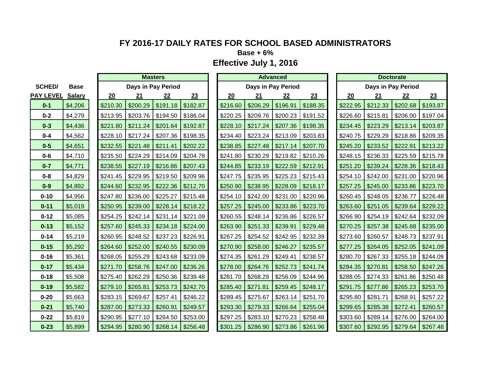**Base + 6%**

|                  |               | <b>Masters</b> |                        |                    |          |  |          |                     | <b>Advanced</b> |          | <b>Doctorate</b> |          |          |                    |          |
|------------------|---------------|----------------|------------------------|--------------------|----------|--|----------|---------------------|-----------------|----------|------------------|----------|----------|--------------------|----------|
| <b>SCHED/</b>    | <b>Base</b>   |                |                        | Days in Pay Period |          |  |          | Days in Pay Period  |                 |          |                  |          |          | Days in Pay Period |          |
| <b>PAY LEVEL</b> | <b>Salary</b> | 20             | 21                     | 22                 | 23       |  | 20       | 21                  | 22              | 23       |                  | 20       | 21       | 22                 | 23       |
| $0 - 1$          | \$4,206       | \$210.30       | \$200.29               | \$191.18           | \$182.87 |  | \$216.60 | \$206.29            | \$196.91        | \$188.35 |                  | \$222.95 | \$212.33 | \$202.68           | \$193.87 |
| $0 - 2$          | \$4,279       | \$213.95       | \$203.76               | \$194.50           | \$186.04 |  | \$220.25 | \$209.76            | \$200.23        | \$191.52 |                  | \$226.60 | \$215.81 | \$206.00           | \$197.04 |
| $0 - 3$          | \$4,436       | \$221.80       | \$211.24               | \$201.64           | \$192.87 |  | \$228.10 | $$217.24$ $$207.36$ |                 | \$198.35 |                  | \$234.45 | \$223.29 | \$213.14           | \$203.87 |
| $0 - 4$          | \$4,562       | \$228.10       | \$217.24               | \$207.36           | \$198.35 |  | \$234.40 | \$223.24            | \$213.09        | \$203.83 |                  | \$240.75 | \$229.29 | \$218.86           | \$209.35 |
| $0-5$            | \$4,651       | \$232.55       | \$221.48               | \$211.41           | \$202.22 |  | \$238.85 | \$227.48            | \$217.14        | \$207.70 |                  | \$245.20 | \$233.52 | \$222.91           | \$213.22 |
| $0 - 6$          | \$4,710       | \$235.50       | \$224.29               | \$214.09           | \$204.78 |  | \$241.80 | \$230.29            | \$219.82        | \$210.26 |                  | \$248.15 | \$236.33 | \$225.59           | \$215.78 |
| $0 - 7$          | \$4,771       | \$238.55       | \$227.19               | \$216.86           | \$207.43 |  | \$244.85 | \$233.19            | \$222.59        | \$212.91 |                  | \$251.20 | \$239.24 | \$228.36           | \$218.43 |
| $0 - 8$          | \$4,829       | \$241.45       | \$229.95               | \$219.50           | \$209.96 |  | \$247.75 | \$235.95            | \$225.23        | \$215.43 |                  | \$254.10 | \$242.00 | \$231.00           | \$220.96 |
| $0-9$            | \$4,892       | \$244.60       | \$232.95               | \$222.36           | \$212.70 |  | \$250.90 | \$238.95            | \$228.09        | \$218.17 |                  | \$257.25 | \$245.00 | \$233.86           | \$223.70 |
| $0 - 10$         | \$4,956       | \$247.80       | \$236.00               | \$225.27           | \$215.48 |  | \$254.10 | \$242.00            | \$231.00        | \$220.96 |                  | \$260.45 | \$248.05 | \$236.77           | \$226.48 |
| $0 - 11$         | \$5,019       | \$250.95       | \$239.00               | \$228.14           | \$218.22 |  | \$257.25 | \$245.00            | \$233.86        | \$223.70 |                  | \$263.60 | \$251.05 | \$239.64           | \$229.22 |
| $0 - 12$         | \$5,085       | \$254.25       | \$242.14               | \$231.14           | \$221.09 |  | \$260.55 | \$248.14            | \$236.86        | \$226.57 |                  | \$266.90 | \$254.19 | \$242.64           | \$232.09 |
| $0 - 13$         | \$5,152       | \$257.60       | \$245.33               | \$234.18           | \$224.00 |  | \$263.90 | \$251.33            | \$239.91        | \$229.48 |                  | \$270.25 | \$257.38 | \$245.68           | \$235.00 |
| $0 - 14$         | \$5,219       | \$260.95       | \$248.52               | \$237.23           | \$226.91 |  | \$267.25 | \$254.52            | \$242.95        | \$232.39 |                  | \$273.60 | \$260.57 | \$248.73           | \$237.91 |
| $0 - 15$         | \$5,292       | \$264.60       | \$252.00               | \$240.55           | \$230.09 |  | \$270.90 | \$258.00            | \$246.27        | \$235.57 |                  | \$277.25 | \$264.05 | \$252.05           | \$241.09 |
| $0 - 16$         | \$5,361       | \$268.05       | \$255.29               | \$243.68           | \$233.09 |  | \$274.35 | \$261.29            | \$249.41        | \$238.57 |                  | \$280.70 | \$267.33 | \$255.18           | \$244.09 |
| $0 - 17$         | \$5,434       | \$271.70       | \$258.76               | \$247.00           | \$236.26 |  | \$278.00 | \$264.76            | \$252.73        | \$241.74 |                  | \$284.35 | \$270.81 | \$258.50           | \$247.26 |
| $0 - 18$         | \$5,508       | \$275.40       | \$262.29               | \$250.36           | \$239.48 |  | \$281.70 | \$268.29            | \$256.09        | \$244.96 |                  | \$288.05 | \$274.33 | \$261.86           | \$250.48 |
| $0 - 19$         | \$5,582       | \$279.10       | \$265.81               | \$253.73           | \$242.70 |  | \$285.40 | \$271.81            | \$259.45        | \$248.17 |                  | \$291.75 | \$277.86 | \$265.23           | \$253.70 |
| $0 - 20$         | \$5,663       | \$283.15       | \$269.67               | \$257.41           | \$246.22 |  | \$289.45 | \$275.67            | \$263.14        | \$251.70 |                  | \$295.80 | \$281.71 | \$268.91           | \$257.22 |
| $0 - 21$         | \$5,740       | \$287.00       | \$273.33               | \$260.91           | \$249.57 |  | \$293.30 | \$279.33            | \$266.64        | \$255.04 |                  | \$299.65 | \$285.38 | \$272.41           | \$260.57 |
| $0 - 22$         | \$5,819       | \$290.95       | \$277.10               | \$264.50           | \$253.00 |  | \$297.25 | \$283.10            | \$270.23        | \$258.48 |                  | \$303.60 | \$289.14 | \$276.00           | \$264.00 |
| $0 - 23$         | \$5,899       | \$294.95       | $\frac{1}{2}$ \$280.90 | \$268.14           | \$256.48 |  | \$301.25 | \$286.90 \$273.86   |                 | \$261.96 |                  | \$307.60 | \$292.95 | \$279.64           | \$267.48 |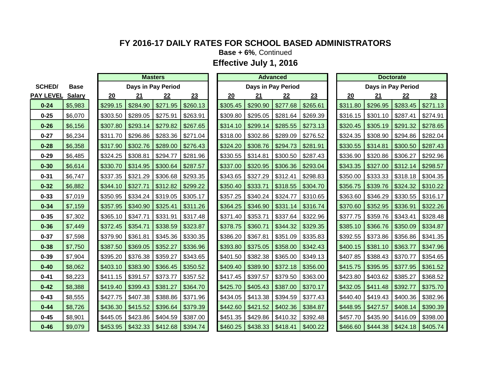**Base + 6%**, Continued

|                  |               | <b>Masters</b> |          |                    |          |  |          |                     | <b>Advanced</b>    |          | <b>Doctorate</b> |          |          |                    |          |
|------------------|---------------|----------------|----------|--------------------|----------|--|----------|---------------------|--------------------|----------|------------------|----------|----------|--------------------|----------|
| <b>SCHED/</b>    | <b>Base</b>   |                |          | Days in Pay Period |          |  |          |                     | Days in Pay Period |          |                  |          |          | Days in Pay Period |          |
| <b>PAY LEVEL</b> | <b>Salary</b> | 20             | 21       | 22                 | 23       |  | 20       | 21                  | 22                 | 23       |                  | 20       | 21       | 22                 | 23       |
| $0 - 24$         | \$5,983       | \$299.15       | \$284.90 | \$271.95           | \$260.13 |  | \$305.45 | \$290.90            | \$277.68           | \$265.61 |                  | \$311.80 | \$296.95 | \$283.45           | \$271.13 |
| $0 - 25$         | \$6,070       | \$303.50       | \$289.05 | \$275.91           | \$263.91 |  | \$309.80 | \$295.05            | \$281.64           | \$269.39 |                  | \$316.15 | \$301.10 | \$287.41           | \$274.91 |
| $0 - 26$         | \$6,156       | \$307.80       | \$293.14 | \$279.82           | \$267.65 |  | \$314.10 | \$299.14            | \$285.55           | \$273.13 |                  | \$320.45 | \$305.19 | \$291.32           | \$278.65 |
| $0 - 27$         | \$6,234       | \$311.70       | \$296.86 | \$283.36           | \$271.04 |  | \$318.00 | \$302.86            | \$289.09           | \$276.52 |                  | \$324.35 | \$308.90 | \$294.86           | \$282.04 |
| $0 - 28$         | \$6,358       | \$317.90       | \$302.76 | \$289.00           | \$276.43 |  | \$324.20 | \$308.76            | \$294.73           | \$281.91 |                  | \$330.55 | \$314.81 | \$300.50           | \$287.43 |
| $0 - 29$         | \$6,485       | \$324.25       | \$308.81 | \$294.77           | \$281.96 |  | \$330.55 | \$314.81            | \$300.50           | \$287.43 |                  | \$336.90 | \$320.86 | \$306.27           | \$292.96 |
| $0 - 30$         | \$6,614       | \$330.70       | \$314.95 | \$300.64           | \$287.57 |  | \$337.00 | \$320.95            | \$306.36           | \$293.04 |                  | \$343.35 | \$327.00 | \$312.14           | \$298.57 |
| $0 - 31$         | \$6,747       | \$337.35       | \$321.29 | \$306.68           | \$293.35 |  | \$343.65 | \$327.29            | \$312.41           | \$298.83 |                  | \$350.00 | \$333.33 | \$318.18           | \$304.35 |
| $0 - 32$         | \$6,882       | \$344.10       | \$327.71 | \$312.82           | \$299.22 |  | \$350.40 | \$333.71            | \$318.55           | \$304.70 |                  | \$356.75 | \$339.76 | \$324.32           | \$310.22 |
| $0 - 33$         | \$7,019       | \$350.95       | \$334.24 | \$319.05           | \$305.17 |  | \$357.25 | $$340.24$ $$324.77$ |                    | \$310.65 |                  | \$363.60 | \$346.29 | \$330.55           | \$316.17 |
| $0 - 34$         | \$7,159       | \$357.95       | \$340.90 | \$325.41           | \$311.26 |  | \$364.25 | \$346.90            | \$331.14           | \$316.74 |                  | \$370.60 | \$352.95 | \$336.91           | \$322.26 |
| $0 - 35$         | \$7,302       | \$365.10       | \$347.71 | \$331.91           | \$317.48 |  | \$371.40 | \$353.71            | \$337.64           | \$322.96 |                  | \$377.75 | \$359.76 | \$343.41           | \$328.48 |
| $0 - 36$         | \$7,449       | \$372.45       | \$354.71 | \$338.59           | \$323.87 |  | \$378.75 | \$360.71            | \$344.32           | \$329.35 |                  | \$385.10 | \$366.76 | \$350.09           | \$334.87 |
| $0 - 37$         | \$7,598       | \$379.90       | \$361.81 | \$345.36           | \$330.35 |  | \$386.20 | \$367.81            | \$351.09           | \$335.83 |                  | \$392.55 | \$373.86 | \$356.86           | \$341.35 |
| $0 - 38$         | \$7,750       | \$387.50       | \$369.05 | \$352.27           | \$336.96 |  | \$393.80 | \$375.05            | \$358.00           | \$342.43 |                  | \$400.15 | \$381.10 | \$363.77           | \$347.96 |
| $0 - 39$         | \$7,904       | \$395.20       | \$376.38 | \$359.27           | \$343.65 |  | \$401.50 | \$382.38            | \$365.00           | \$349.13 |                  | \$407.85 | \$388.43 | \$370.77           | \$354.65 |
| $0 - 40$         | \$8,062       | \$403.10       | \$383.90 | \$366.45           | \$350.52 |  | \$409.40 | \$389.90            | \$372.18           | \$356.00 |                  | \$415.75 | \$395.95 | \$377.95           | \$361.52 |
| $0 - 41$         | \$8,223       | \$411.15       | \$391.57 | \$373.77           | \$357.52 |  | \$417.45 | \$397.57            | \$379.50           | \$363.00 |                  | \$423.80 | \$403.62 | \$385.27           | \$368.52 |
| $0 - 42$         | \$8,388       | \$419.40       | \$399.43 | \$381.27           | \$364.70 |  | \$425.70 | \$405.43            | \$387.00           | \$370.17 |                  | \$432.05 | \$411.48 | \$392.77           | \$375.70 |
| $0 - 43$         | \$8,555       | \$427.75       | \$407.38 | \$388.86           | \$371.96 |  | \$434.05 | \$413.38            | \$394.59           | \$377.43 |                  | \$440.40 | \$419.43 | \$400.36           | \$382.96 |
| $0 - 44$         | \$8,726       | \$436.30       | \$415.52 | \$396.64           | \$379.39 |  | \$442.60 | \$421.52            | \$402.36           | \$384.87 |                  | \$448.95 | \$427.57 | \$408.14           | \$390.39 |
| $0 - 45$         | \$8,901       | \$445.05       | \$423.86 | \$404.59           | \$387.00 |  | \$451.35 | $$429.86$ $$410.32$ |                    | \$392.48 |                  | \$457.70 | \$435.90 | \$416.09           | \$398.00 |
| $0 - 46$         | \$9,079       | \$453.95       | \$432.33 | \$412.68           | \$394.74 |  | \$460.25 | $$438.33$ $$418.41$ |                    | \$400.22 |                  | \$466.60 | \$444.38 | \$424.18           | \$405.74 |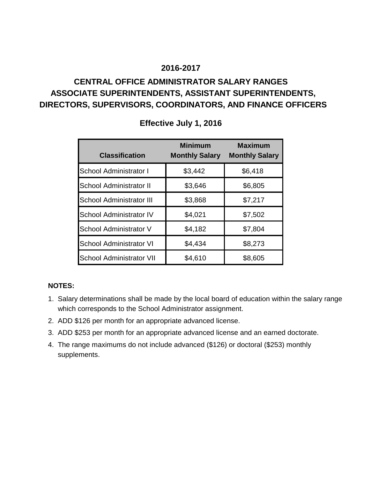# **CENTRAL OFFICE ADMINISTRATOR SALARY RANGES ASSOCIATE SUPERINTENDENTS, ASSISTANT SUPERINTENDENTS, DIRECTORS, SUPERVISORS, COORDINATORS, AND FINANCE OFFICERS**

| <b>Classification</b>           | <b>Minimum</b><br><b>Monthly Salary</b> | <b>Maximum</b><br><b>Monthly Salary</b> |
|---------------------------------|-----------------------------------------|-----------------------------------------|
| School Administrator I          | \$3,442                                 | \$6,418                                 |
| School Administrator II         | \$3,646                                 | \$6,805                                 |
| <b>School Administrator III</b> | \$3,868                                 | \$7,217                                 |
| <b>School Administrator IV</b>  | \$4,021                                 | \$7,502                                 |
| School Administrator V          | \$4,182                                 | \$7,804                                 |
| <b>School Administrator VI</b>  | \$4,434                                 | \$8,273                                 |
| <b>School Administrator VII</b> | \$4,610                                 | \$8,605                                 |

### **Effective July 1, 2016**

### **NOTES:**

- 1. Salary determinations shall be made by the local board of education within the salary range which corresponds to the School Administrator assignment.
- 2. ADD \$126 per month for an appropriate advanced license.
- 3. ADD \$253 per month for an appropriate advanced license and an earned doctorate.
- 4. The range maximums do not include advanced (\$126) or doctoral (\$253) monthly supplements.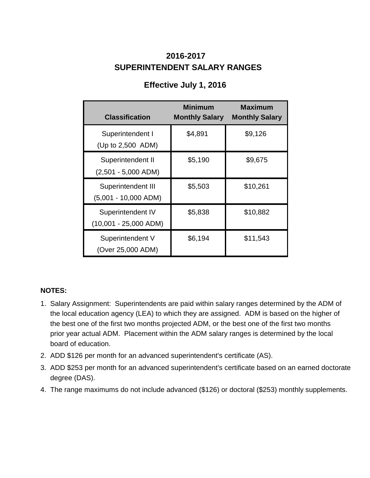# **SUPERINTENDENT SALARY RANGES 2016-2017**

| <b>Classification</b>                        | <b>Minimum</b><br><b>Monthly Salary</b> | <b>Maximum</b><br><b>Monthly Salary</b> |
|----------------------------------------------|-----------------------------------------|-----------------------------------------|
| Superintendent I<br>(Up to 2,500 ADM)        | \$4,891                                 | \$9,126                                 |
| Superintendent II<br>$(2,501 - 5,000$ ADM)   | \$5,190                                 | \$9,675                                 |
| Superintendent III<br>$(5,001 - 10,000$ ADM) | \$5,503                                 | \$10,261                                |
| Superintendent IV<br>$(10,001 - 25,000$ ADM) | \$5,838                                 | \$10,882                                |
| Superintendent V<br>(Over 25,000 ADM)        | \$6,194                                 | \$11,543                                |

# **Effective July 1, 2016**

### **NOTES:**

- 1. Salary Assignment: Superintendents are paid within salary ranges determined by the ADM of the local education agency (LEA) to which they are assigned. ADM is based on the higher of the best one of the first two months projected ADM, or the best one of the first two months prior year actual ADM. Placement within the ADM salary ranges is determined by the local board of education.
- 2. ADD \$126 per month for an advanced superintendent's certificate (AS).
- 3. ADD \$253 per month for an advanced superintendent's certificate based on an earned doctorate degree (DAS).
- 4. The range maximums do not include advanced (\$126) or doctoral (\$253) monthly supplements.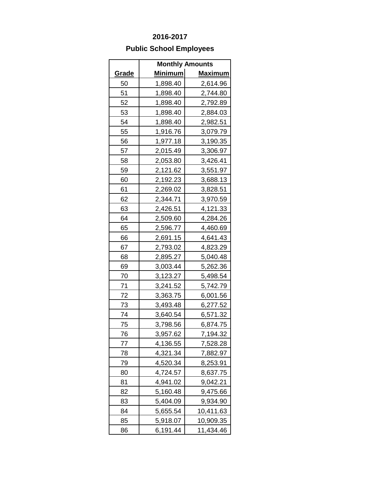# **Public School Employees**

|              |                | <b>Monthly Amounts</b> |  |
|--------------|----------------|------------------------|--|
| <u>Grade</u> | <u>Minimum</u> | <b>Maximum</b>         |  |
| 50           | 1,898.40       | 2,614.96               |  |
| 51           | 1,898.40       | 2,744.80               |  |
| 52           | 1,898.40       | 2,792.89               |  |
| 53           | 1,898.40       | 2,884.03               |  |
| 54           | 1,898.40       | 2,982.51               |  |
| 55           | 1,916.76       | 3,079.79               |  |
| 56           | 1,977.18       | 3,190.35               |  |
| 57           | 2,015.49       | 3,306.97               |  |
| 58           | 2,053.80       | 3,426.41               |  |
| 59           | 2,121.62       | 3,551.97               |  |
| 60           | 2,192.23       | 3,688.13               |  |
| 61           | 2,269.02       | 3,828.51               |  |
| 62           | 2,344.71       | 3,970.59               |  |
| 63           | 2,426.51       | 4,121.33               |  |
| 64           | 2,509.60       | 4,284.26               |  |
| 65           | 2,596.77       | 4,460.69               |  |
| 66           | 2,691.15       | 4,641.43               |  |
| 67           | 2,793.02       | 4,823.29               |  |
| 68           | 2,895.27       | 5,040.48               |  |
| 69           | 3,003.44       | 5,262.36               |  |
| 70           | 3,123.27       | 5,498.54               |  |
| 71           | 3,241.52       | 5,742.79               |  |
| 72           | 3,363.75       | 6,001.56               |  |
| 73           | 3,493.48       | 6,277.52               |  |
| 74           | 3,640.54       | 6,571.32               |  |
| 75           | 3,798.56       | 6,874.75               |  |
| 76           | 3,957.62       | 7,194.32               |  |
| 77           | 4,136.55       | 7,528.28               |  |
| 78           | 4,321.34       | 7,882.97               |  |
| 79           | 4,520.34       | 8,253.91               |  |
| 80           | 4,724.57       | 8,637.75               |  |
| 81           | 4,941.02       | 9,042.21               |  |
| 82           | 5,160.48       | 9,475.66               |  |
| 83           | 5,404.09       | 9,934.90               |  |
| 84           | 5,655.54       | 10,411.63              |  |
| 85           | 5,918.07       | 10,909.35              |  |
| 86           | 6,191.44       | 11,434.46              |  |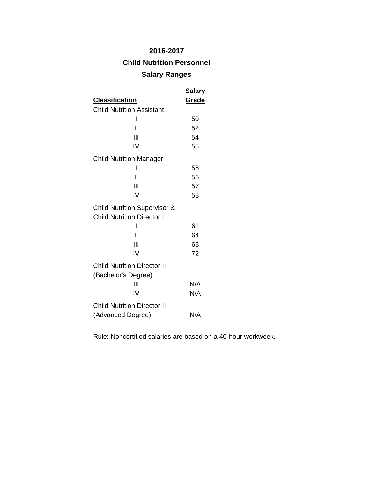# **Child Nutrition Personnel**

### **Salary Ranges**

|                                                                              | Salary |
|------------------------------------------------------------------------------|--------|
| <u>Classification</u>                                                        | Grade  |
| <b>Child Nutrition Assistant</b>                                             |        |
| I                                                                            | 50     |
| Н                                                                            | 52     |
| Ш                                                                            | 54     |
| IV                                                                           | 55     |
| <b>Child Nutrition Manager</b>                                               |        |
| ı                                                                            | 55     |
| Ш                                                                            | 56     |
| Ш                                                                            | 57     |
| IV                                                                           | 58     |
| <b>Child Nutrition Supervisor &amp;</b><br><b>Child Nutrition Director I</b> |        |
| ı                                                                            | 61     |
| Ш                                                                            | 64     |
| Ш                                                                            | 68     |
| IV                                                                           | 72     |
| <b>Child Nutrition Director II</b><br>(Bachelor's Degree)                    |        |
| Ш                                                                            | N/A    |
| IV                                                                           | N/A    |
| <b>Child Nutrition Director II</b>                                           |        |
| (Advanced Degree)                                                            | N/A    |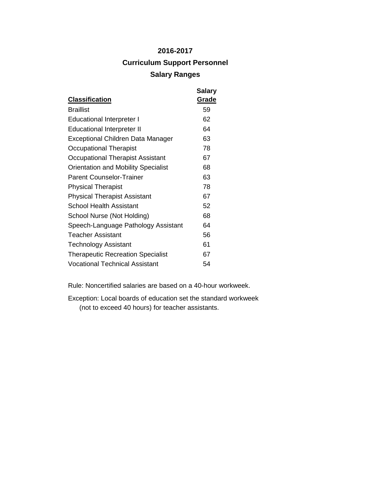# **2016-2017 Curriculum Support Personnel Salary Ranges**

| <b>Classification</b>                      | <b>Salary</b><br>Grade |
|--------------------------------------------|------------------------|
| <b>Braillist</b>                           | 59                     |
| <b>Educational Interpreter I</b>           | 62                     |
| <b>Educational Interpreter II</b>          | 64                     |
| Exceptional Children Data Manager          | 63                     |
| Occupational Therapist                     | 78                     |
| Occupational Therapist Assistant           | 67                     |
| <b>Orientation and Mobility Specialist</b> | 68                     |
| <b>Parent Counselor-Trainer</b>            | 63                     |
| <b>Physical Therapist</b>                  | 78                     |
| <b>Physical Therapist Assistant</b>        | 67                     |
| School Health Assistant                    | 52                     |
| School Nurse (Not Holding)                 | 68                     |
| Speech-Language Pathology Assistant        | 64                     |
| <b>Teacher Assistant</b>                   | 56                     |
| Technology Assistant                       | 61                     |
| <b>Therapeutic Recreation Specialist</b>   | 67                     |
| <b>Vocational Technical Assistant</b>      | 54                     |

Rule: Noncertified salaries are based on a 40-hour workweek.

Exception: Local boards of education set the standard workweek (not to exceed 40 hours) for teacher assistants.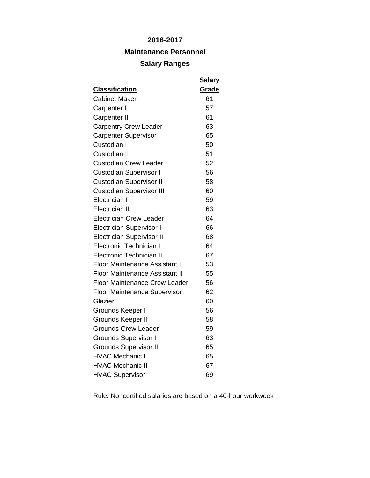### **Maintenance Personnel**

### **Salary Ranges**

| <b>Classification</b>                 | <b>Salary</b><br>Grade |
|---------------------------------------|------------------------|
| <b>Cabinet Maker</b>                  | 61                     |
|                                       | 57                     |
| Carpenter I                           |                        |
| <b>Carpenter II</b>                   | 61                     |
| <b>Carpentry Crew Leader</b>          | 63                     |
| <b>Carpenter Supervisor</b>           | 65                     |
| Custodian I                           | 50                     |
| Custodian II                          | 51                     |
| <b>Custodian Crew Leader</b>          | 52                     |
| <b>Custodian Supervisor I</b>         | 56                     |
| <b>Custodian Supervisor II</b>        | 58                     |
| <b>Custodian Supervisor III</b>       | 60                     |
| Electrician I                         | 59                     |
| <b>Electrician II</b>                 | 63                     |
| <b>Electrician Crew Leader</b>        | 64                     |
| <b>Electrician Supervisor I</b>       | 66                     |
| <b>Electrician Supervisor II</b>      | 68                     |
| <b>Electronic Technician I</b>        | 64                     |
| <b>Electronic Technician II</b>       | 67                     |
| <b>Floor Maintenance Assistant I</b>  | 53                     |
| <b>Floor Maintenance Assistant II</b> | 55                     |
| <b>Floor Maintenance Crew Leader</b>  | 56                     |
| <b>Floor Maintenance Supervisor</b>   | 62                     |
| Glazier                               | 60                     |
| Grounds Keeper I                      | 56                     |
| Grounds Keeper II                     | 58                     |
| <b>Grounds Crew Leader</b>            | 59                     |
| <b>Grounds Supervisor I</b>           | 63                     |
| <b>Grounds Supervisor II</b>          | 65                     |
| <b>HVAC Mechanic I</b>                | 65                     |
| <b>HVAC Mechanic II</b>               | 67                     |
| <b>HVAC Supervisor</b>                | 69                     |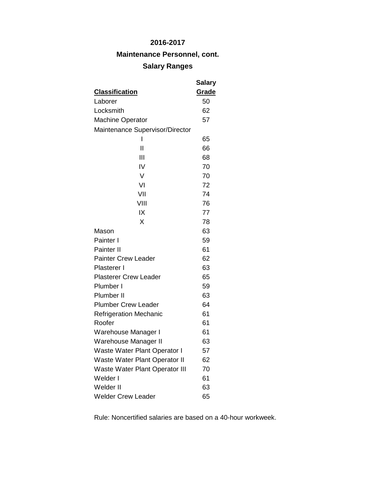**Maintenance Personnel, cont.**

# **Salary Ranges**

|                                       | Salary |
|---------------------------------------|--------|
| <b>Classification</b>                 | Grade  |
| Laborer                               | 50     |
| Locksmith                             | 62     |
| <b>Machine Operator</b>               | 57     |
| Maintenance Supervisor/Director       |        |
| ı                                     | 65     |
| $\mathsf{I}$                          | 66     |
| Ш                                     | 68     |
| IV                                    | 70     |
| V                                     | 70     |
| VI                                    | 72     |
| VII                                   | 74     |
| VIII                                  | 76     |
| IX                                    | 77     |
| X                                     | 78     |
| Mason                                 | 63     |
| Painter I                             | 59     |
| Painter II                            | 61     |
| <b>Painter Crew Leader</b>            | 62     |
| Plasterer I                           | 63     |
| <b>Plasterer Crew Leader</b>          | 65     |
| Plumber I                             | 59     |
| Plumber II                            | 63     |
| <b>Plumber Crew Leader</b>            | 64     |
| <b>Refrigeration Mechanic</b>         | 61     |
| Roofer                                | 61     |
| Warehouse Manager I                   | 61     |
| Warehouse Manager II                  | 63     |
| Waste Water Plant Operator I          | 57     |
| Waste Water Plant Operator II         | 62     |
| <b>Waste Water Plant Operator III</b> | 70     |
| Welder I                              | 61     |
| Welder II                             | 63     |
| <b>Welder Crew Leader</b>             | 65     |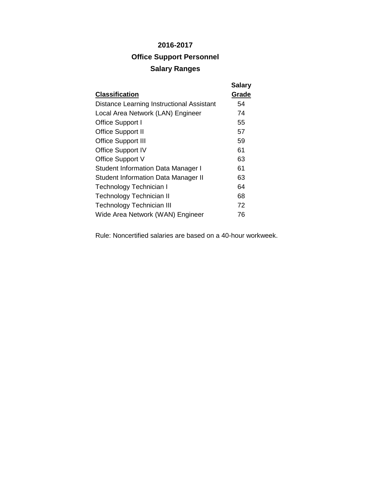# **2016-2017 Office Support Personnel Salary Ranges**

| <b>Classification</b>                            | <b>Salary</b><br>Grade |
|--------------------------------------------------|------------------------|
| <b>Distance Learning Instructional Assistant</b> | 54                     |
| Local Area Network (LAN) Engineer                | 74                     |
| Office Support I                                 | 55                     |
| <b>Office Support II</b>                         | 57                     |
| <b>Office Support III</b>                        | 59                     |
| <b>Office Support IV</b>                         | 61                     |
| Office Support V                                 | 63                     |
| <b>Student Information Data Manager I</b>        | 61                     |
| <b>Student Information Data Manager II</b>       | 63                     |
| Technology Technician I                          | 64                     |
| Technology Technician II                         | 68                     |
| <b>Technology Technician III</b>                 | 72                     |
| Wide Area Network (WAN) Engineer                 | 76                     |